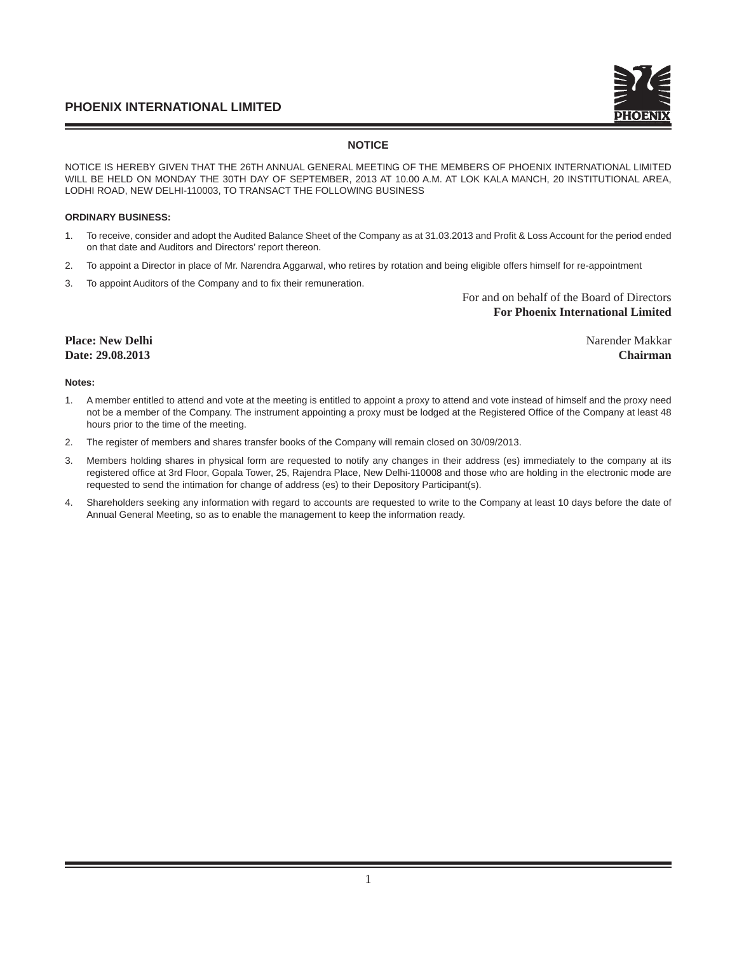# **NOTICE**

NOTICE IS HEREBY GIVEN THAT THE 26TH ANNUAL GENERAL MEETING OF THE MEMBERS OF PHOENIX INTERNATIONAL LIMITED WILL BE HELD ON MONDAY THE 30TH DAY OF SEPTEMBER, 2013 AT 10.00 A.M. AT LOK KALA MANCH, 20 INSTITUTIONAL AREA, LODHI ROAD, NEW DELHI-110003, TO TRANSACT THE FOLLOWING BUSINESS

# **ORDINARY BUSINESS:**

- 1. To receive, consider and adopt the Audited Balance Sheet of the Company as at 31.03.2013 and Profi t & Loss Account for the period ended on that date and Auditors and Directors' report thereon.
- 2. To appoint a Director in place of Mr. Narendra Aggarwal, who retires by rotation and being eligible offers himself for re-appointment
- 3. To appoint Auditors of the Company and to fix their remuneration.

For and on behalf of the Board of Directors  **For Phoenix International Limited** 

# **Place: New Delhi** Narender Makkar **Date: 29.08.2013 Chairman**

## **Notes:**

- 1. A member entitled to attend and vote at the meeting is entitled to appoint a proxy to attend and vote instead of himself and the proxy need not be a member of the Company. The instrument appointing a proxy must be lodged at the Registered Office of the Company at least 48 hours prior to the time of the meeting.
- 2. The register of members and shares transfer books of the Company will remain closed on 30/09/2013.
- 3. Members holding shares in physical form are requested to notify any changes in their address (es) immediately to the company at its registered office at 3rd Floor, Gopala Tower, 25, Rajendra Place, New Delhi-110008 and those who are holding in the electronic mode are requested to send the intimation for change of address (es) to their Depository Participant(s).
- 4. Shareholders seeking any information with regard to accounts are requested to write to the Company at least 10 days before the date of Annual General Meeting, so as to enable the management to keep the information ready.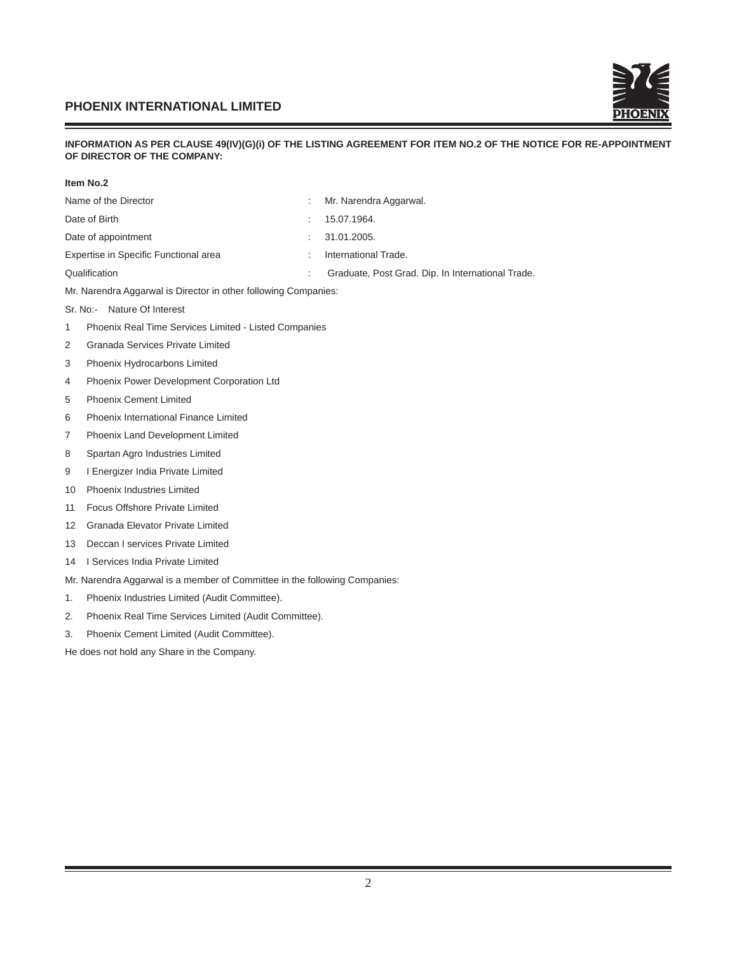

# **INFORMATION AS PER CLAUSE 49(IV)(G)(i) OF THE LISTING AGREEMENT FOR ITEM NO.2 OF THE NOTICE FOR RE-APPOINTMENT OF DIRECTOR OF THE COMPANY:**

| ltem No.2 |
|-----------|
|           |

|                                                | Item No.2                                                       |   |                                                   |
|------------------------------------------------|-----------------------------------------------------------------|---|---------------------------------------------------|
|                                                | Name of the Director                                            | ÷ | Mr. Narendra Aggarwal.                            |
|                                                | Date of Birth                                                   | ÷ | 15.07.1964.                                       |
|                                                | Date of appointment                                             | ÷ | 31.01.2005.                                       |
|                                                | Expertise in Specific Functional area                           | ÷ | International Trade.                              |
|                                                | Qualification                                                   |   | Graduate, Post Grad. Dip. In International Trade. |
|                                                | Mr. Narendra Aggarwal is Director in other following Companies: |   |                                                   |
| $Sr. No. -$                                    | Nature Of Interest                                              |   |                                                   |
| 1                                              | Phoenix Real Time Services Limited - Listed Companies           |   |                                                   |
| 2                                              | <b>Granada Services Private Limited</b>                         |   |                                                   |
| 3                                              | Phoenix Hydrocarbons Limited                                    |   |                                                   |
| Phoenix Power Development Corporation Ltd<br>4 |                                                                 |   |                                                   |
| 5                                              | <b>Phoenix Cement Limited</b>                                   |   |                                                   |
| 6                                              | Phoenix International Finance Limited                           |   |                                                   |
| 7                                              | Phoenix Land Development Limited                                |   |                                                   |
| 8                                              | Spartan Agro Industries Limited                                 |   |                                                   |
| 9                                              | I Energizer India Private Limited                               |   |                                                   |
| 10                                             | Phoenix Industries Limited                                      |   |                                                   |
| 11                                             | Focus Offshore Private Limited                                  |   |                                                   |

- 12 Granada Elevator Private Limited
- 13 Deccan I services Private Limited
- 14 I Services India Private Limited

Mr. Narendra Aggarwal is a member of Committee in the following Companies:

- 1. Phoenix Industries Limited (Audit Committee).
- 2. Phoenix Real Time Services Limited (Audit Committee).
- 3. Phoenix Cement Limited (Audit Committee).

He does not hold any Share in the Company.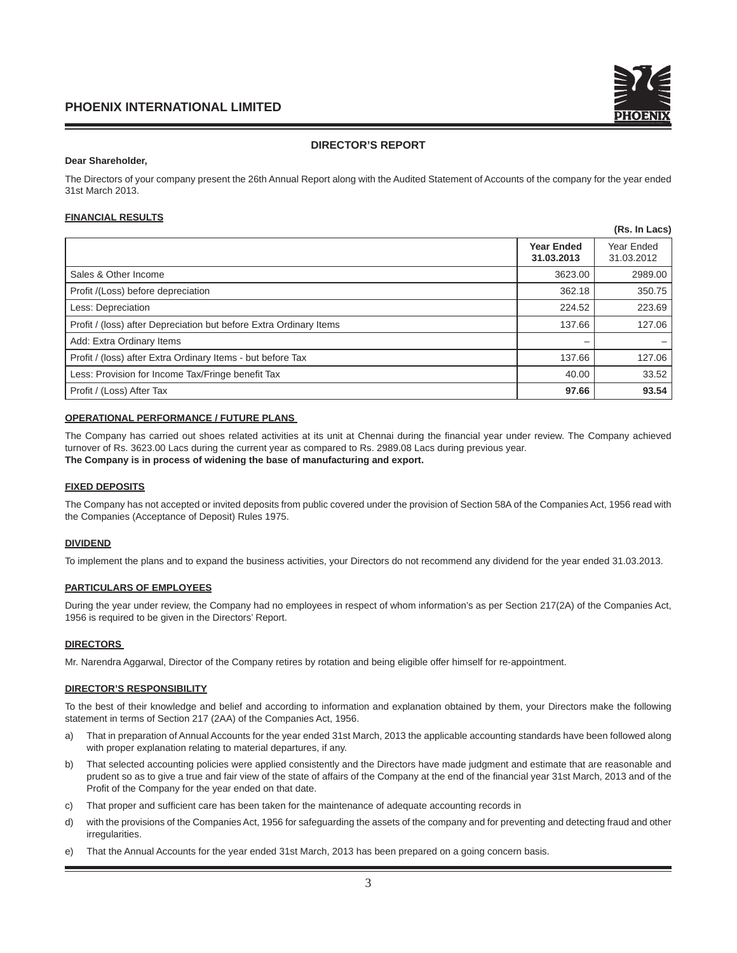# **DIRECTOR'S REPORT**

#### **Dear Shareholder,**

The Directors of your company present the 26th Annual Report along with the Audited Statement of Accounts of the company for the year ended 31st March 2013.

# **FINANCIAL RESULTS**

|                                                                    |                                 | (Rs. In Lacs)            |
|--------------------------------------------------------------------|---------------------------------|--------------------------|
|                                                                    | <b>Year Ended</b><br>31.03.2013 | Year Ended<br>31.03.2012 |
| Sales & Other Income                                               | 3623.00                         | 2989.00                  |
| Profit /(Loss) before depreciation                                 | 362.18                          | 350.75                   |
| Less: Depreciation                                                 | 224.52                          | 223.69                   |
| Profit / (loss) after Depreciation but before Extra Ordinary Items | 137.66                          | 127.06                   |
| Add: Extra Ordinary Items                                          |                                 |                          |
| Profit / (loss) after Extra Ordinary Items - but before Tax        | 137.66                          | 127.06                   |
| Less: Provision for Income Tax/Fringe benefit Tax                  | 40.00                           | 33.52                    |
| Profit / (Loss) After Tax                                          | 97.66                           | 93.54                    |

## **OPERATIONAL PERFORMANCE / FUTURE PLANS**

The Company has carried out shoes related activities at its unit at Chennai during the financial year under review. The Company achieved turnover of Rs. 3623.00 Lacs during the current year as compared to Rs. 2989.08 Lacs during previous year. **The Company is in process of widening the base of manufacturing and export.**

#### **FIXED DEPOSITS**

The Company has not accepted or invited deposits from public covered under the provision of Section 58A of the Companies Act, 1956 read with the Companies (Acceptance of Deposit) Rules 1975.

#### **DIVIDEND**

To implement the plans and to expand the business activities, your Directors do not recommend any dividend for the year ended 31.03.2013.

## **PARTICULARS OF EMPLOYEES**

During the year under review, the Company had no employees in respect of whom information's as per Section 217(2A) of the Companies Act, 1956 is required to be given in the Directors' Report.

#### **DIRECTORS**

Mr. Narendra Aggarwal, Director of the Company retires by rotation and being eligible offer himself for re-appointment.

#### **DIRECTOR'S RESPONSIBILITY**

To the best of their knowledge and belief and according to information and explanation obtained by them, your Directors make the following statement in terms of Section 217 (2AA) of the Companies Act, 1956.

- a) That in preparation of Annual Accounts for the year ended 31st March, 2013 the applicable accounting standards have been followed along with proper explanation relating to material departures, if any.
- b) That selected accounting policies were applied consistently and the Directors have made judgment and estimate that are reasonable and prudent so as to give a true and fair view of the state of affairs of the Company at the end of the financial year 31st March, 2013 and of the Profit of the Company for the year ended on that date.
- c) That proper and sufficient care has been taken for the maintenance of adequate accounting records in
- d) with the provisions of the Companies Act, 1956 for safeguarding the assets of the company and for preventing and detecting fraud and other irregularities.
- e) That the Annual Accounts for the year ended 31st March, 2013 has been prepared on a going concern basis.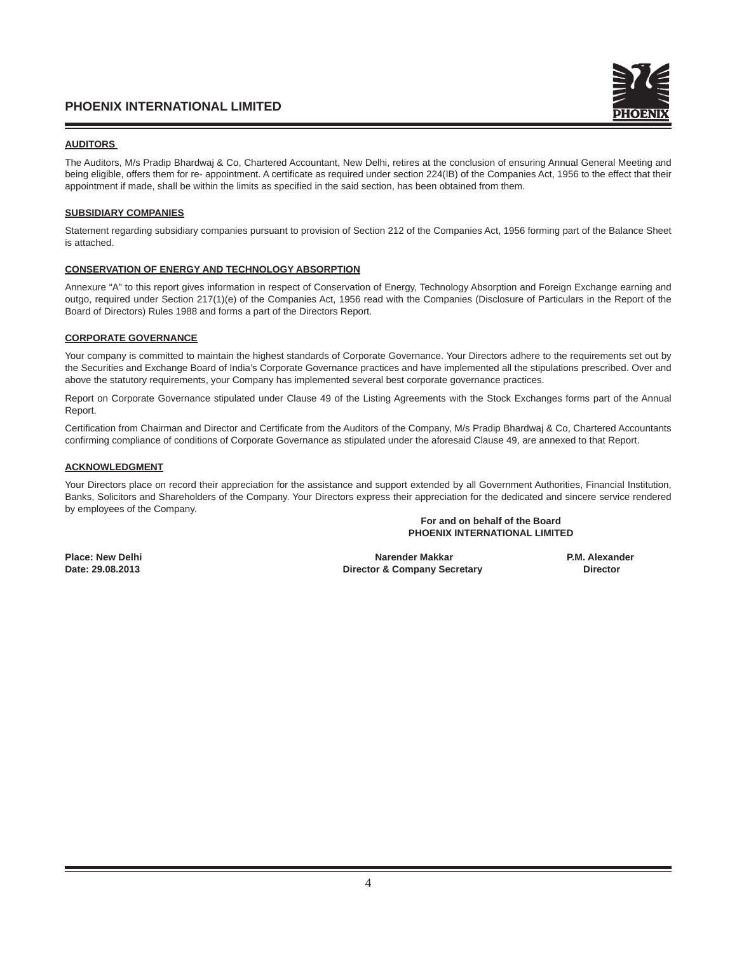# **AUDITORS**

The Auditors, M/s Pradip Bhardwaj & Co, Chartered Accountant, New Delhi, retires at the conclusion of ensuring Annual General Meeting and being eligible, offers them for re- appointment. A certificate as required under section 224(IB) of the Companies Act, 1956 to the effect that their appointment if made, shall be within the limits as specified in the said section, has been obtained from them.

# **SUBSIDIARY COMPANIES**

Statement regarding subsidiary companies pursuant to provision of Section 212 of the Companies Act, 1956 forming part of the Balance Sheet is attached.

## **CONSERVATION OF ENERGY AND TECHNOLOGY ABSORPTION**

Annexure "A" to this report gives information in respect of Conservation of Energy, Technology Absorption and Foreign Exchange earning and outgo, required under Section 217(1)(e) of the Companies Act, 1956 read with the Companies (Disclosure of Particulars in the Report of the Board of Directors) Rules 1988 and forms a part of the Directors Report.

# **CORPORATE GOVERNANCE**

Your company is committed to maintain the highest standards of Corporate Governance. Your Directors adhere to the requirements set out by the Securities and Exchange Board of India's Corporate Governance practices and have implemented all the stipulations prescribed. Over and above the statutory requirements, your Company has implemented several best corporate governance practices.

Report on Corporate Governance stipulated under Clause 49 of the Listing Agreements with the Stock Exchanges forms part of the Annual Report.

Certification from Chairman and Director and Certificate from the Auditors of the Company, M/s Pradip Bhardwaj & Co, Chartered Accountants confirming compliance of conditions of Corporate Governance as stipulated under the aforesaid Clause 49, are annexed to that Report.

# **ACKNOWLEDGMENT**

Your Directors place on record their appreciation for the assistance and support extended by all Government Authorities, Financial Institution, Banks, Solicitors and Shareholders of the Company. Your Directors express their appreciation for the dedicated and sincere service rendered by employees of the Company.

## **For and on behalf of the Board PHOENIX INTERNATIONAL LIMITED**

Place: New Delhi **Narender Makkar Narender Makkar P.M. Alexander**<br>Director & Company Secretary **P.M. Alexander**<br>Director & Company Secretary **P.M. Alexander Director & Company Secretary**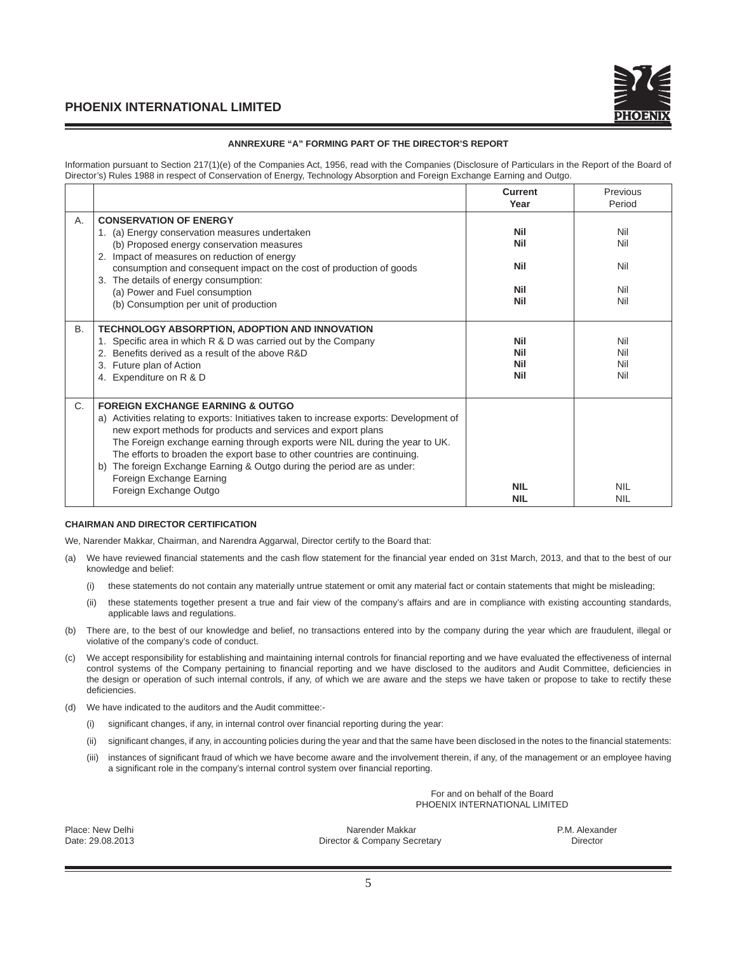

## **ANNREXURE "A" FORMING PART OF THE DIRECTOR'S REPORT**

Information pursuant to Section 217(1)(e) of the Companies Act, 1956, read with the Companies (Disclosure of Particulars in the Report of the Board of Director's) Rules 1988 in respect of Conservation of Energy, Technology Absorption and Foreign Exchange Earning and Outgo.

|    |                                                                                                                                                                                                                                                                                                                                                                                                                                                                                                           | <b>Current</b><br>Year                               | Previous<br>Period              |
|----|-----------------------------------------------------------------------------------------------------------------------------------------------------------------------------------------------------------------------------------------------------------------------------------------------------------------------------------------------------------------------------------------------------------------------------------------------------------------------------------------------------------|------------------------------------------------------|---------------------------------|
| Α. | <b>CONSERVATION OF ENERGY</b><br>1. (a) Energy conservation measures undertaken<br>(b) Proposed energy conservation measures<br>Impact of measures on reduction of energy<br>2.<br>consumption and consequent impact on the cost of production of goods<br>The details of energy consumption:<br>3.<br>(a) Power and Fuel consumption<br>(b) Consumption per unit of production                                                                                                                           | <b>Nil</b><br>Nil<br><b>Nil</b><br>Nil<br><b>Nil</b> | Nil<br>Nil<br>Nil<br>Nil<br>Nil |
| В. | <b>TECHNOLOGY ABSORPTION, ADOPTION AND INNOVATION</b><br>1. Specific area in which R & D was carried out by the Company<br>Benefits derived as a result of the above R&D<br>Future plan of Action<br>4. Expenditure on R & D                                                                                                                                                                                                                                                                              | <b>Nil</b><br>Nil<br><b>Nil</b><br><b>Nil</b>        | Nil<br>Nil<br>Nil<br>Nil        |
| C. | <b>FOREIGN EXCHANGE EARNING &amp; OUTGO</b><br>a) Activities relating to exports: Initiatives taken to increase exports: Development of<br>new export methods for products and services and export plans<br>The Foreign exchange earning through exports were NIL during the year to UK.<br>The efforts to broaden the export base to other countries are continuing.<br>The foreign Exchange Earning & Outgo during the period are as under:<br>b)<br>Foreign Exchange Earning<br>Foreign Exchange Outgo | <b>NIL</b><br><b>NIL</b>                             | <b>NIL</b><br><b>NIL</b>        |

#### **CHAIRMAN AND DIRECTOR CERTIFICATION**

We, Narender Makkar, Chairman, and Narendra Aggarwal, Director certify to the Board that:

- (a) We have reviewed financial statements and the cash flow statement for the financial year ended on 31st March, 2013, and that to the best of our knowledge and belief:
	- (i) these statements do not contain any materially untrue statement or omit any material fact or contain statements that might be misleading;
	- (ii) these statements together present a true and fair view of the company's affairs and are in compliance with existing accounting standards, applicable laws and regulations.
- (b) There are, to the best of our knowledge and belief, no transactions entered into by the company during the year which are fraudulent, illegal or violative of the company's code of conduct.
- (c) We accept responsibility for establishing and maintaining internal controls for fi nancial reporting and we have evaluated the effectiveness of internal control systems of the Company pertaining to financial reporting and we have disclosed to the auditors and Audit Committee, deficiencies in the design or operation of such internal controls, if any, of which we are aware and the steps we have taken or propose to take to rectify these deficiencies.
- (d) We have indicated to the auditors and the Audit committee:-
	- (i) significant changes, if any, in internal control over financial reporting during the year:
	- (ii) significant changes, if any, in accounting policies during the year and that the same have been disclosed in the notes to the financial statements:
	- (iii) instances of significant fraud of which we have become aware and the involvement therein, if any, of the management or an employee having a significant role in the company's internal control system over financial reporting.

For and on behalf of the Board PHOENIX INTERNATIONAL LIMITED

Place: New Delhi Narender Makkar Narender Makkar P.M. Alexander P.M. Alexander Date: 29.08.2013 Director & Company Secretary Director & Company Secretary Director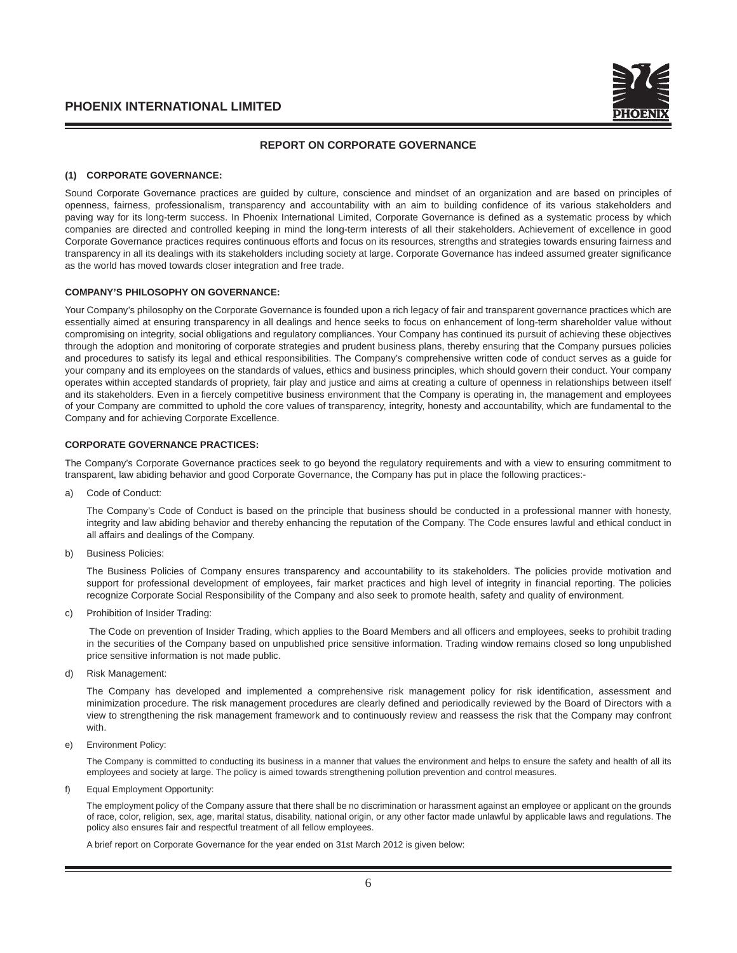

## **REPORT ON CORPORATE GOVERNANCE**

## **(1) CORPORATE GOVERNANCE:**

Sound Corporate Governance practices are guided by culture, conscience and mindset of an organization and are based on principles of openness, fairness, professionalism, transparency and accountability with an aim to building confidence of its various stakeholders and paving way for its long-term success. In Phoenix International Limited, Corporate Governance is defined as a systematic process by which companies are directed and controlled keeping in mind the long-term interests of all their stakeholders. Achievement of excellence in good Corporate Governance practices requires continuous efforts and focus on its resources, strengths and strategies towards ensuring fairness and transparency in all its dealings with its stakeholders including society at large. Corporate Governance has indeed assumed greater significance as the world has moved towards closer integration and free trade.

# **COMPANY'S PHILOSOPHY ON GOVERNANCE:**

Your Company's philosophy on the Corporate Governance is founded upon a rich legacy of fair and transparent governance practices which are essentially aimed at ensuring transparency in all dealings and hence seeks to focus on enhancement of long-term shareholder value without compromising on integrity, social obligations and regulatory compliances. Your Company has continued its pursuit of achieving these objectives through the adoption and monitoring of corporate strategies and prudent business plans, thereby ensuring that the Company pursues policies and procedures to satisfy its legal and ethical responsibilities. The Company's comprehensive written code of conduct serves as a guide for your company and its employees on the standards of values, ethics and business principles, which should govern their conduct. Your company operates within accepted standards of propriety, fair play and justice and aims at creating a culture of openness in relationships between itself and its stakeholders. Even in a fiercely competitive business environment that the Company is operating in, the management and employees of your Company are committed to uphold the core values of transparency, integrity, honesty and accountability, which are fundamental to the Company and for achieving Corporate Excellence.

#### **CORPORATE GOVERNANCE PRACTICES:**

The Company's Corporate Governance practices seek to go beyond the regulatory requirements and with a view to ensuring commitment to transparent, law abiding behavior and good Corporate Governance, the Company has put in place the following practices:-

a) Code of Conduct:

 The Company's Code of Conduct is based on the principle that business should be conducted in a professional manner with honesty, integrity and law abiding behavior and thereby enhancing the reputation of the Company. The Code ensures lawful and ethical conduct in all affairs and dealings of the Company.

b) Business Policies:

 The Business Policies of Company ensures transparency and accountability to its stakeholders. The policies provide motivation and support for professional development of employees, fair market practices and high level of integrity in financial reporting. The policies recognize Corporate Social Responsibility of the Company and also seek to promote health, safety and quality of environment.

c) Prohibition of Insider Trading:

The Code on prevention of Insider Trading, which applies to the Board Members and all officers and employees, seeks to prohibit trading in the securities of the Company based on unpublished price sensitive information. Trading window remains closed so long unpublished price sensitive information is not made public.

d) Risk Management:

The Company has developed and implemented a comprehensive risk management policy for risk identification, assessment and minimization procedure. The risk management procedures are clearly defined and periodically reviewed by the Board of Directors with a view to strengthening the risk management framework and to continuously review and reassess the risk that the Company may confront with.

e) Environment Policy:

 The Company is committed to conducting its business in a manner that values the environment and helps to ensure the safety and health of all its employees and society at large. The policy is aimed towards strengthening pollution prevention and control measures.

f) Equal Employment Opportunity:

 The employment policy of the Company assure that there shall be no discrimination or harassment against an employee or applicant on the grounds of race, color, religion, sex, age, marital status, disability, national origin, or any other factor made unlawful by applicable laws and regulations. The policy also ensures fair and respectful treatment of all fellow employees.

A brief report on Corporate Governance for the year ended on 31st March 2012 is given below: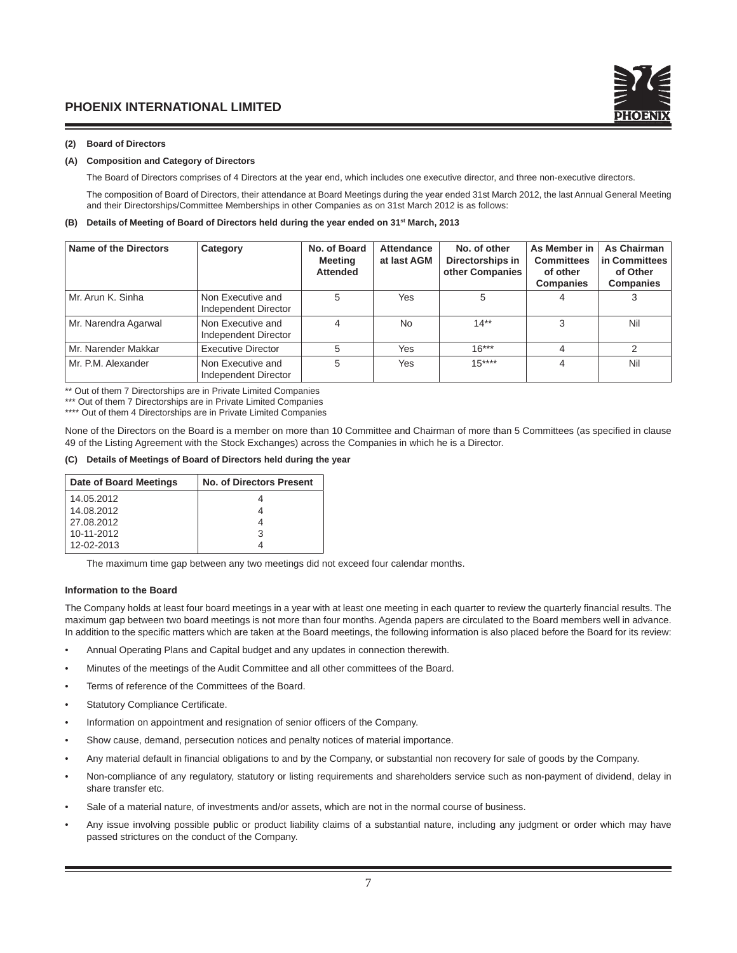## **(2) Board of Directors**

#### **(A) Composition and Category of Directors**

The Board of Directors comprises of 4 Directors at the year end, which includes one executive director, and three non-executive directors.

 The composition of Board of Directors, their attendance at Board Meetings during the year ended 31st March 2012, the last Annual General Meeting and their Directorships/Committee Memberships in other Companies as on 31st March 2012 is as follows:

#### **(B) Details of Meeting of Board of Directors held during the year ended on 31st March, 2013**

| Name of the Directors | Category                                  | No. of Board<br><b>Meeting</b><br><b>Attended</b> | Attendance<br>at last AGM | No. of other<br>Directorships in<br>other Companies | As Member in<br><b>Committees</b><br>of other<br><b>Companies</b> | As Chairman<br>in Committees<br>of Other<br><b>Companies</b> |
|-----------------------|-------------------------------------------|---------------------------------------------------|---------------------------|-----------------------------------------------------|-------------------------------------------------------------------|--------------------------------------------------------------|
| Mr. Arun K. Sinha     | Non Executive and<br>Independent Director | 5                                                 | Yes                       | 5                                                   |                                                                   |                                                              |
| Mr. Narendra Agarwal  | Non Executive and<br>Independent Director | 4                                                 | No.                       | $14**$                                              | 3                                                                 | Nil                                                          |
| Mr. Narender Makkar   | <b>Executive Director</b>                 |                                                   | Yes                       | $16***$                                             |                                                                   | 2                                                            |
| Mr. P.M. Alexander    | Non Executive and<br>Independent Director | 5                                                 | <b>Yes</b>                | $15***$                                             |                                                                   | Nil                                                          |

\*\* Out of them 7 Directorships are in Private Limited Companies

\*\*\* Out of them 7 Directorships are in Private Limited Companies

\*\*\*\* Out of them 4 Directorships are in Private Limited Companies

None of the Directors on the Board is a member on more than 10 Committee and Chairman of more than 5 Committees (as specified in clause 49 of the Listing Agreement with the Stock Exchanges) across the Companies in which he is a Director.

#### **(C) Details of Meetings of Board of Directors held during the year**

| Date of Board Meetings | <b>No. of Directors Present</b> |
|------------------------|---------------------------------|
| 14.05.2012             |                                 |
| 14.08.2012             |                                 |
| 27.08.2012             |                                 |
| 10-11-2012             | ঽ                               |
| 12-02-2013             |                                 |

The maximum time gap between any two meetings did not exceed four calendar months.

#### **Information to the Board**

The Company holds at least four board meetings in a year with at least one meeting in each quarter to review the quarterly financial results. The maximum gap between two board meetings is not more than four months. Agenda papers are circulated to the Board members well in advance. In addition to the specific matters which are taken at the Board meetings, the following information is also placed before the Board for its review:

- Annual Operating Plans and Capital budget and any updates in connection therewith.
- Minutes of the meetings of the Audit Committee and all other committees of the Board.
- Terms of reference of the Committees of the Board.
- Statutory Compliance Certificate.
- Information on appointment and resignation of senior officers of the Company.
- Show cause, demand, persecution notices and penalty notices of material importance.
- Any material default in financial obligations to and by the Company, or substantial non recovery for sale of goods by the Company.
- Non-compliance of any regulatory, statutory or listing requirements and shareholders service such as non-payment of dividend, delay in share transfer etc.
- Sale of a material nature, of investments and/or assets, which are not in the normal course of business.
- Any issue involving possible public or product liability claims of a substantial nature, including any judgment or order which may have passed strictures on the conduct of the Company.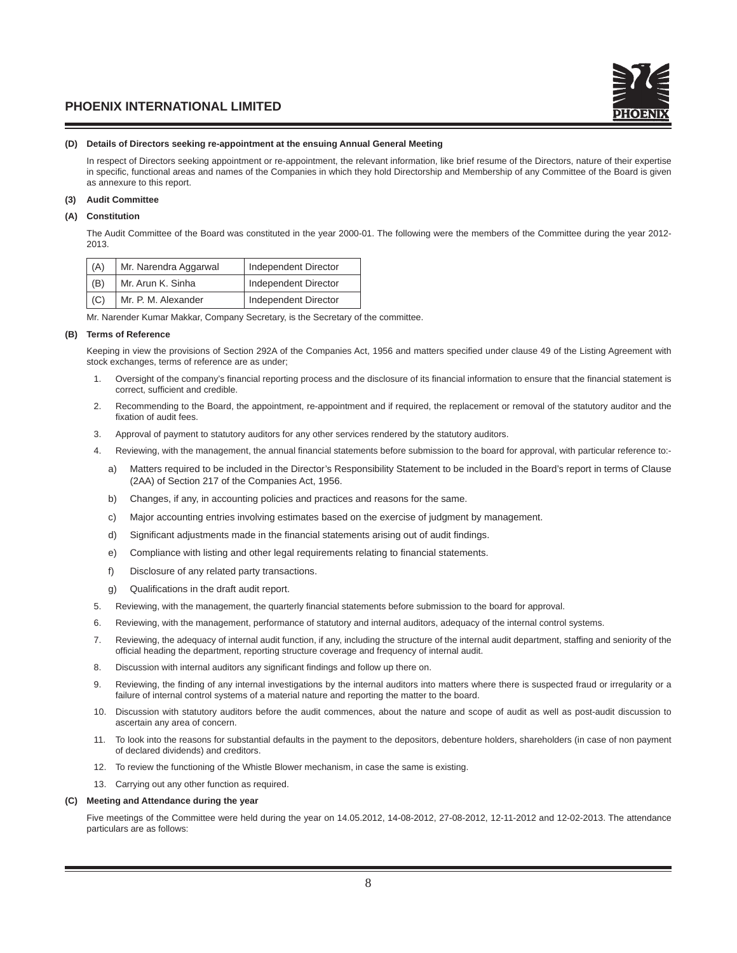#### **(D) Details of Directors seeking re-appointment at the ensuing Annual General Meeting**

In respect of Directors seeking appointment or re-appointment, the relevant information, like brief resume of the Directors, nature of their expertise in specific, functional areas and names of the Companies in which they hold Directorship and Membership of any Committee of the Board is given as annexure to this report.

# **(3) Audit Committee**

## **(A) Constitution**

The Audit Committee of the Board was constituted in the year 2000-01. The following were the members of the Committee during the year 2012- 2013.

| (A) | Mr. Narendra Aggarwal | Independent Director |
|-----|-----------------------|----------------------|
| (B) | Mr. Arun K. Sinha     | Independent Director |
| (C) | Mr. P. M. Alexander   | Independent Director |

Mr. Narender Kumar Makkar, Company Secretary, is the Secretary of the committee.

#### **(B) Terms of Reference**

Keeping in view the provisions of Section 292A of the Companies Act, 1956 and matters specified under clause 49 of the Listing Agreement with stock exchanges, terms of reference are as under;

- 1. Oversight of the company's financial reporting process and the disclosure of its financial information to ensure that the financial statement is correct, sufficient and credible.
- 2. Recommending to the Board, the appointment, re-appointment and if required, the replacement or removal of the statutory auditor and the fixation of audit fees.
- 3. Approval of payment to statutory auditors for any other services rendered by the statutory auditors.
- 4. Reviewing, with the management, the annual financial statements before submission to the board for approval, with particular reference to:
	- a) Matters required to be included in the Director's Responsibility Statement to be included in the Board's report in terms of Clause (2AA) of Section 217 of the Companies Act, 1956.
	- b) Changes, if any, in accounting policies and practices and reasons for the same.
	- c) Major accounting entries involving estimates based on the exercise of judgment by management.
	- d) Significant adjustments made in the financial statements arising out of audit findings.
	- e) Compliance with listing and other legal requirements relating to financial statements.
	- f) Disclosure of any related party transactions.
	- g) Qualifications in the draft audit report.
- 5. Reviewing, with the management, the quarterly financial statements before submission to the board for approval.
- 6. Reviewing, with the management, performance of statutory and internal auditors, adequacy of the internal control systems.
- 7. Reviewing, the adequacy of internal audit function, if any, including the structure of the internal audit department, staffing and seniority of the official heading the department, reporting structure coverage and frequency of internal audit.
- 8. Discussion with internal auditors any significant findings and follow up there on.
- 9. Reviewing, the finding of any internal investigations by the internal auditors into matters where there is suspected fraud or irregularity or a failure of internal control systems of a material nature and reporting the matter to the board.
- 10. Discussion with statutory auditors before the audit commences, about the nature and scope of audit as well as post-audit discussion to ascertain any area of concern.
- 11. To look into the reasons for substantial defaults in the payment to the depositors, debenture holders, shareholders (in case of non payment of declared dividends) and creditors.
- 12. To review the functioning of the Whistle Blower mechanism, in case the same is existing.
- 13. Carrying out any other function as required.

#### **(C) Meeting and Attendance during the year**

Five meetings of the Committee were held during the year on 14.05.2012, 14-08-2012, 27-08-2012, 12-11-2012 and 12-02-2013. The attendance particulars are as follows: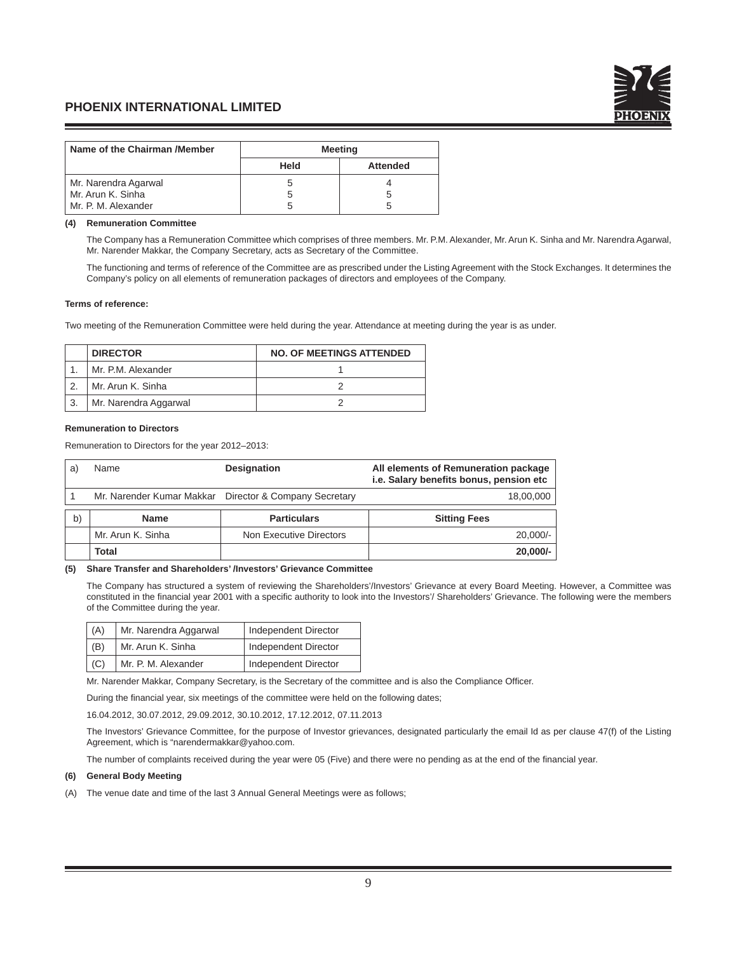

| Name of the Chairman /Member | <b>Meeting</b> |                 |
|------------------------------|----------------|-----------------|
|                              | Held           | <b>Attended</b> |
| Mr. Narendra Agarwal         |                |                 |
| Mr. Arun K. Sinha            |                |                 |
| Mr. P. M. Alexander          |                |                 |

#### **(4) Remuneration Committee**

The Company has a Remuneration Committee which comprises of three members. Mr. P.M. Alexander, Mr. Arun K. Sinha and Mr. Narendra Agarwal, Mr. Narender Makkar, the Company Secretary, acts as Secretary of the Committee.

 The functioning and terms of reference of the Committee are as prescribed under the Listing Agreement with the Stock Exchanges. It determines the Company's policy on all elements of remuneration packages of directors and employees of the Company.

#### **Terms of reference:**

Two meeting of the Remuneration Committee were held during the year. Attendance at meeting during the year is as under.

| <b>DIRECTOR</b>       | <b>NO. OF MEETINGS ATTENDED</b> |
|-----------------------|---------------------------------|
| Mr. P.M. Alexander    |                                 |
| Mr. Arun K. Sinha     |                                 |
| Mr. Narendra Aggarwal |                                 |

#### **Remuneration to Directors**

Remuneration to Directors for the year 2012–2013:

| a  | Name                      | <b>Designation</b>           | All elements of Remuneration package<br>i.e. Salary benefits bonus, pension etc |
|----|---------------------------|------------------------------|---------------------------------------------------------------------------------|
|    | Mr. Narender Kumar Makkar | Director & Company Secretary | 18,00,000                                                                       |
| b) | <b>Name</b>               | <b>Particulars</b>           | <b>Sitting Fees</b>                                                             |
|    | Mr. Arun K. Sinha         | Non Executive Directors      | $20,000/-$                                                                      |
|    | Total                     |                              | $20,000/-$                                                                      |

## **(5) Share Transfer and Shareholders' /Investors' Grievance Committee**

 The Company has structured a system of reviewing the Shareholders'/Investors' Grievance at every Board Meeting. However, a Committee was constituted in the financial year 2001 with a specific authority to look into the Investors'/ Shareholders' Grievance. The following were the members of the Committee during the year.

| (A)        | Mr. Narendra Aggarwal | Independent Director |
|------------|-----------------------|----------------------|
| (B)        | Mr. Arun K. Sinha     | Independent Director |
| $\mid$ (C) | Mr. P. M. Alexander   | Independent Director |

Mr. Narender Makkar, Company Secretary, is the Secretary of the committee and is also the Compliance Officer.

During the financial year, six meetings of the committee were held on the following dates;

16.04.2012, 30.07.2012, 29.09.2012, 30.10.2012, 17.12.2012, 07.11.2013

 The Investors' Grievance Committee, for the purpose of Investor grievances, designated particularly the email Id as per clause 47(f) of the Listing Agreement, which is "narendermakkar@yahoo.com.

The number of complaints received during the year were 05 (Five) and there were no pending as at the end of the financial year.

#### **(6) General Body Meeting**

(A) The venue date and time of the last 3 Annual General Meetings were as follows;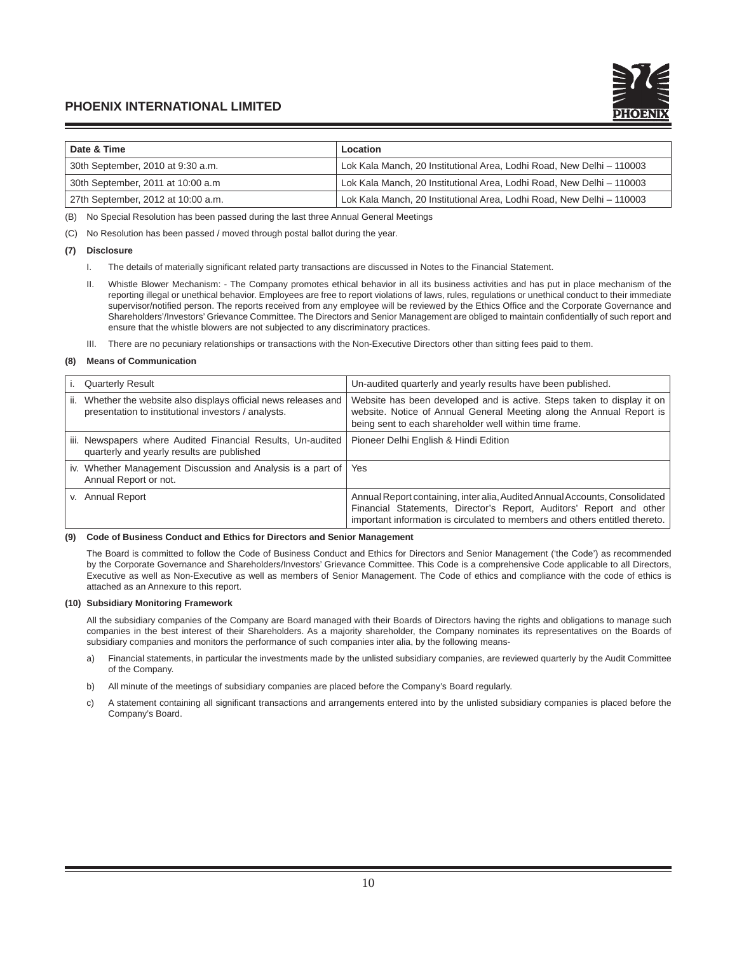

| Date & Time                        | Location                                                              |
|------------------------------------|-----------------------------------------------------------------------|
| 30th September, 2010 at 9:30 a.m.  | Lok Kala Manch, 20 Institutional Area, Lodhi Road, New Delhi - 110003 |
| 30th September, 2011 at 10:00 a.m. | Lok Kala Manch, 20 Institutional Area, Lodhi Road, New Delhi - 110003 |
| 27th September, 2012 at 10:00 a.m. | Lok Kala Manch, 20 Institutional Area, Lodhi Road, New Delhi - 110003 |

(B) No Special Resolution has been passed during the last three Annual General Meetings

(C) No Resolution has been passed / moved through postal ballot during the year.

#### **(7) Disclosure**

- I. The details of materially significant related party transactions are discussed in Notes to the Financial Statement.
- II. Whistle Blower Mechanism: The Company promotes ethical behavior in all its business activities and has put in place mechanism of the reporting illegal or unethical behavior. Employees are free to report violations of laws, rules, regulations or unethical conduct to their immediate supervisor/notified person. The reports received from any employee will be reviewed by the Ethics Office and the Corporate Governance and Shareholders'/Investors' Grievance Committee. The Directors and Senior Management are obliged to maintain confidentially of such report and ensure that the whistle blowers are not subjected to any discriminatory practices.
- III. There are no pecuniary relationships or transactions with the Non-Executive Directors other than sitting fees paid to them.

#### **(8) Means of Communication**

| <b>Quarterly Result</b>                                                                                                    | Un-audited quarterly and yearly results have been published.                                                                                                                                                                      |
|----------------------------------------------------------------------------------------------------------------------------|-----------------------------------------------------------------------------------------------------------------------------------------------------------------------------------------------------------------------------------|
| Whether the website also displays official news releases and<br>ii.<br>presentation to institutional investors / analysts. | Website has been developed and is active. Steps taken to display it on<br>website. Notice of Annual General Meeting along the Annual Report is<br>being sent to each shareholder well within time frame.                          |
| iii. Newspapers where Audited Financial Results, Un-audited<br>quarterly and yearly results are published                  | Pioneer Delhi English & Hindi Edition                                                                                                                                                                                             |
| iv. Whether Management Discussion and Analysis is a part of<br>Annual Report or not.                                       | Yes                                                                                                                                                                                                                               |
| <b>Annual Report</b><br>V.                                                                                                 | Annual Report containing, inter alia, Audited Annual Accounts, Consolidated<br>Financial Statements, Director's Report, Auditors' Report and other<br>important information is circulated to members and others entitled thereto. |

#### **(9) Code of Business Conduct and Ethics for Directors and Senior Management**

 The Board is committed to follow the Code of Business Conduct and Ethics for Directors and Senior Management ('the Code') as recommended by the Corporate Governance and Shareholders/Investors' Grievance Committee. This Code is a comprehensive Code applicable to all Directors, Executive as well as Non-Executive as well as members of Senior Management. The Code of ethics and compliance with the code of ethics is attached as an Annexure to this report.

#### **(10) Subsidiary Monitoring Framework**

 All the subsidiary companies of the Company are Board managed with their Boards of Directors having the rights and obligations to manage such companies in the best interest of their Shareholders. As a majority shareholder, the Company nominates its representatives on the Boards of subsidiary companies and monitors the performance of such companies inter alia, by the following means-

- a) Financial statements, in particular the investments made by the unlisted subsidiary companies, are reviewed quarterly by the Audit Committee of the Company.
- b) All minute of the meetings of subsidiary companies are placed before the Company's Board regularly.
- c) A statement containing all significant transactions and arrangements entered into by the unlisted subsidiary companies is placed before the Company's Board.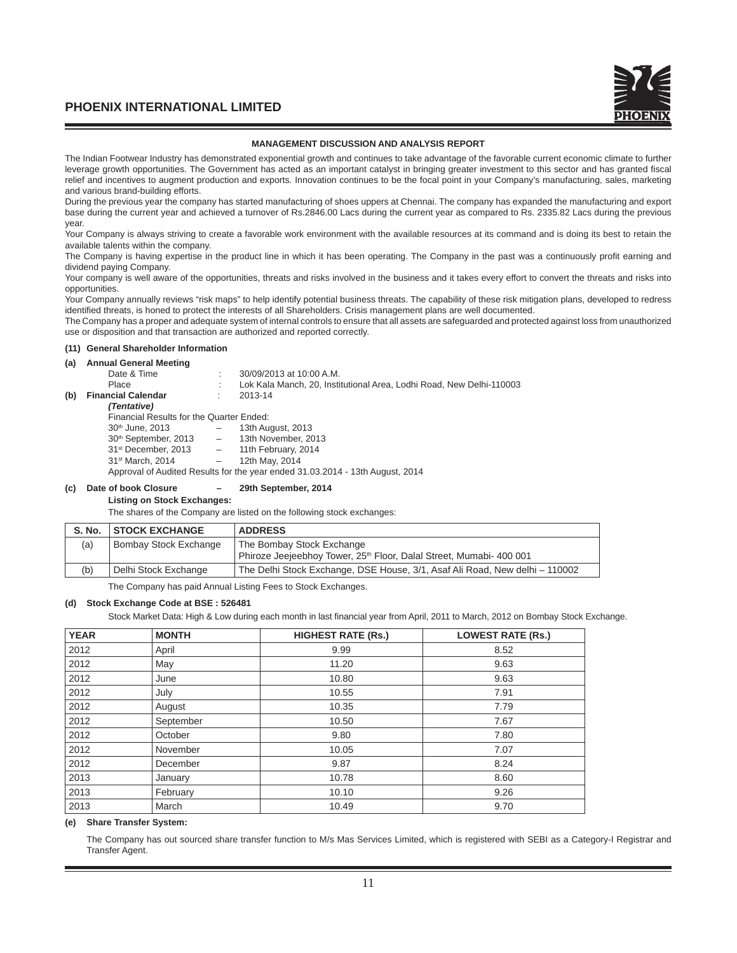

#### **MANAGEMENT DISCUSSION AND ANALYSIS REPORT**

The Indian Footwear Industry has demonstrated exponential growth and continues to take advantage of the favorable current economic climate to further leverage growth opportunities. The Government has acted as an important catalyst in bringing greater investment to this sector and has granted fiscal relief and incentives to augment production and exports. Innovation continues to be the focal point in your Company's manufacturing, sales, marketing and various brand-building efforts.

During the previous year the company has started manufacturing of shoes uppers at Chennai. The company has expanded the manufacturing and export base during the current year and achieved a turnover of Rs.2846.00 Lacs during the current year as compared to Rs. 2335.82 Lacs during the previous year.

Your Company is always striving to create a favorable work environment with the available resources at its command and is doing its best to retain the available talents within the company.

The Company is having expertise in the product line in which it has been operating. The Company in the past was a continuously profit earning and dividend paying Company.

Your company is well aware of the opportunities, threats and risks involved in the business and it takes every effort to convert the threats and risks into opportunities.

Your Company annually reviews "risk maps" to help identify potential business threats. The capability of these risk mitigation plans, developed to redress identified threats, is honed to protect the interests of all Shareholders. Crisis management plans are well documented.

The Company has a proper and adequate system of internal controls to ensure that all assets are safeguarded and protected against loss from unauthorized use or disposition and that transaction are authorized and reported correctly.

#### **(11) General Shareholder Information**

#### **(a) Annual General Meeting**

| $\cdots$ |                                          |       |                                                                               |
|----------|------------------------------------------|-------|-------------------------------------------------------------------------------|
|          | Date & Time                              |       | 30/09/2013 at 10:00 A.M.                                                      |
|          | Place                                    |       | Lok Kala Manch, 20, Institutional Area, Lodhi Road, New Delhi-110003          |
| (b)      | <b>Financial Calendar</b>                |       | 2013-14                                                                       |
|          | (Tentative)                              |       |                                                                               |
|          | Financial Results for the Quarter Ended: |       |                                                                               |
|          | 30 <sup>th</sup> June, 2013              |       | 13th August, 2013                                                             |
|          | 30 <sup>th</sup> September, 2013         | $ \,$ | 13th November, 2013                                                           |
|          | $31st$ December, 2013 $-$                |       | 11th February, 2014                                                           |
|          | 31 <sup>st</sup> March, 2014             | $ \,$ | 12th May, 2014                                                                |
|          |                                          |       | Approval of Audited Results for the year ended 31.03.2014 - 13th August, 2014 |
|          |                                          |       |                                                                               |

#### **(c) Date of book Closure – 29th September, 2014**

## **Listing on Stock Exchanges:**

The shares of the Company are listed on the following stock exchanges:

|     | S. No. STOCK EXCHANGE | <b>ADDRESS</b>                                                                  |
|-----|-----------------------|---------------------------------------------------------------------------------|
| (a) | Bombay Stock Exchange | The Bombay Stock Exchange                                                       |
|     |                       | Phiroze Jeejeebhoy Tower, 25 <sup>th</sup> Floor, Dalal Street, Mumabi- 400 001 |
| (b) | Delhi Stock Exchange  | The Delhi Stock Exchange, DSE House, 3/1, Asaf Ali Road, New delhi - 110002     |
|     |                       |                                                                                 |

The Company has paid Annual Listing Fees to Stock Exchanges.

#### **(d) Stock Exchange Code at BSE : 526481**

Stock Market Data: High & Low during each month in last financial year from April, 2011 to March, 2012 on Bombay Stock Exchange.

| <b>YEAR</b> | <b>MONTH</b> | <b>HIGHEST RATE (Rs.)</b> | <b>LOWEST RATE (Rs.)</b> |
|-------------|--------------|---------------------------|--------------------------|
| 2012        | April        | 9.99                      | 8.52                     |
| 2012        | May          | 11.20                     | 9.63                     |
| 2012        | June         | 10.80                     | 9.63                     |
| 2012        | July         | 10.55                     | 7.91                     |
| 2012        | August       | 10.35                     | 7.79                     |
| 2012        | September    | 10.50                     | 7.67                     |
| 2012        | October      | 9.80                      | 7.80                     |
| 2012        | November     | 10.05                     | 7.07                     |
| 2012        | December     | 9.87                      | 8.24                     |
| 2013        | January      | 10.78                     | 8.60                     |
| 2013        | February     | 10.10                     | 9.26                     |
| 2013        | March        | 10.49                     | 9.70                     |

#### **(e) Share Transfer System:**

 The Company has out sourced share transfer function to M/s Mas Services Limited, which is registered with SEBI as a Category-I Registrar and Transfer Agent.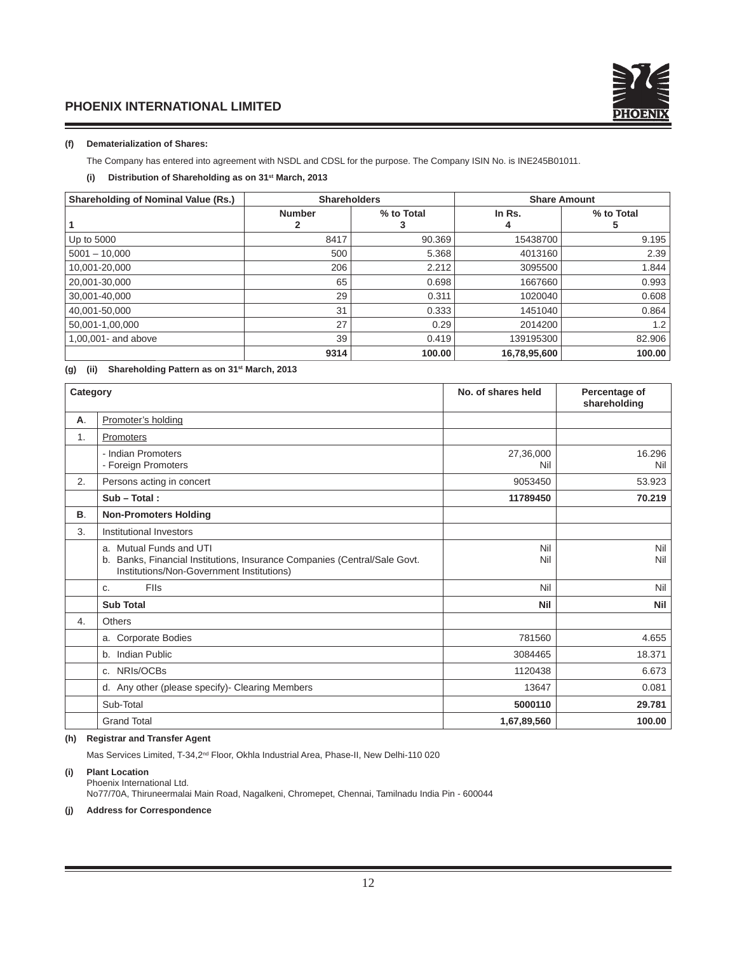

## **(f) Dematerialization of Shares:**

The Company has entered into agreement with NSDL and CDSL for the purpose. The Company ISIN No. is INE245B01011.

# **(i) Distribution of Shareholding as on 31st March, 2013**

| <b>Shareholding of Nominal Value (Rs.)</b> | <b>Shareholders</b> |            | <b>Share Amount</b> |                 |  |
|--------------------------------------------|---------------------|------------|---------------------|-----------------|--|
|                                            | <b>Number</b>       | % to Total | In Rs.<br>4         | % to Total<br>5 |  |
| Up to 5000                                 | 8417                | 90.369     | 15438700            | 9.195           |  |
| $5001 - 10,000$                            | 500                 | 5.368      | 4013160             | 2.39            |  |
| 10,001-20,000                              | 206                 | 2.212      | 3095500             | 1.844           |  |
| 20,001-30,000                              | 65                  | 0.698      | 1667660             | 0.993           |  |
| 30.001-40.000                              | 29                  | 0.311      | 1020040             | 0.608           |  |
| 40,001-50,000                              | 31                  | 0.333      | 1451040             | 0.864           |  |
| 50,001-1,00,000                            | 27                  | 0.29       | 2014200             | 1.2             |  |
| 1,00,001- and above                        | 39                  | 0.419      | 139195300           | 82.906          |  |
|                                            | 9314                | 100.00     | 16,78,95,600        | 100.00          |  |

# **(g) (ii) Shareholding Pattern as on 31st March, 2013**

| Category |                                                                                                                                                      | No. of shares held | Percentage of<br>shareholding |
|----------|------------------------------------------------------------------------------------------------------------------------------------------------------|--------------------|-------------------------------|
| А.       | Promoter's holding                                                                                                                                   |                    |                               |
| 1.       | Promoters                                                                                                                                            |                    |                               |
|          | - Indian Promoters<br>- Foreign Promoters                                                                                                            | 27,36,000<br>Nil   | 16.296<br>Nil                 |
| 2.       | Persons acting in concert                                                                                                                            | 9053450            | 53.923                        |
|          | $Sub - Total:$                                                                                                                                       | 11789450           | 70.219                        |
| В.       | <b>Non-Promoters Holding</b>                                                                                                                         |                    |                               |
| 3.       | Institutional Investors                                                                                                                              |                    |                               |
|          | a. Mutual Funds and UTI<br>Banks, Financial Institutions, Insurance Companies (Central/Sale Govt.<br>b.<br>Institutions/Non-Government Institutions) | Nil<br>Nil         | Nil<br>Nil                    |
|          | <b>FIIs</b><br>C.                                                                                                                                    | Nil                | Nil                           |
|          | <b>Sub Total</b>                                                                                                                                     | Nil                | <b>Nil</b>                    |
| 4.       | Others                                                                                                                                               |                    |                               |
|          | a. Corporate Bodies                                                                                                                                  | 781560             | 4.655                         |
|          | b. Indian Public                                                                                                                                     | 3084465            | 18.371                        |
|          | c. NRIs/OCBs                                                                                                                                         | 1120438            | 6.673                         |
|          | d. Any other (please specify)- Clearing Members                                                                                                      | 13647              | 0.081                         |
|          | Sub-Total                                                                                                                                            | 5000110            | 29.781                        |
|          | <b>Grand Total</b>                                                                                                                                   | 1,67,89,560        | 100.00                        |

## **(h) Registrar and Transfer Agent**

Mas Services Limited, T-34,2nd Floor, Okhla Industrial Area, Phase-II, New Delhi-110 020

# **(i) Plant Location**

 Phoenix International Ltd. No77/70A, Thiruneermalai Main Road, Nagalkeni, Chromepet, Chennai, Tamilnadu India Pin - 600044

## **(j) Address for Correspondence**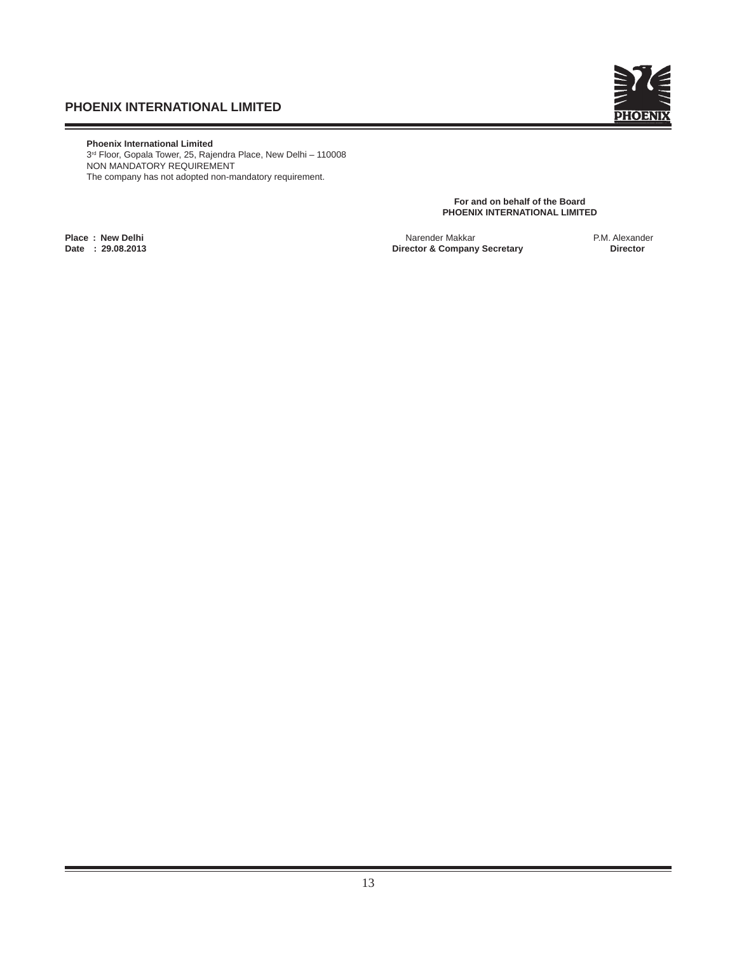

 **Phoenix International Limited** 3rd Floor, Gopala Tower, 25, Rajendra Place, New Delhi – 110008 NON MANDATORY REQUIREMENT The company has not adopted non-mandatory requirement.

> **For and on behalf of the Board PHOENIX INTERNATIONAL LIMITED**

**Place : New Delhi** Narender Makkar P.M. Alexander **Director & Company Secretary**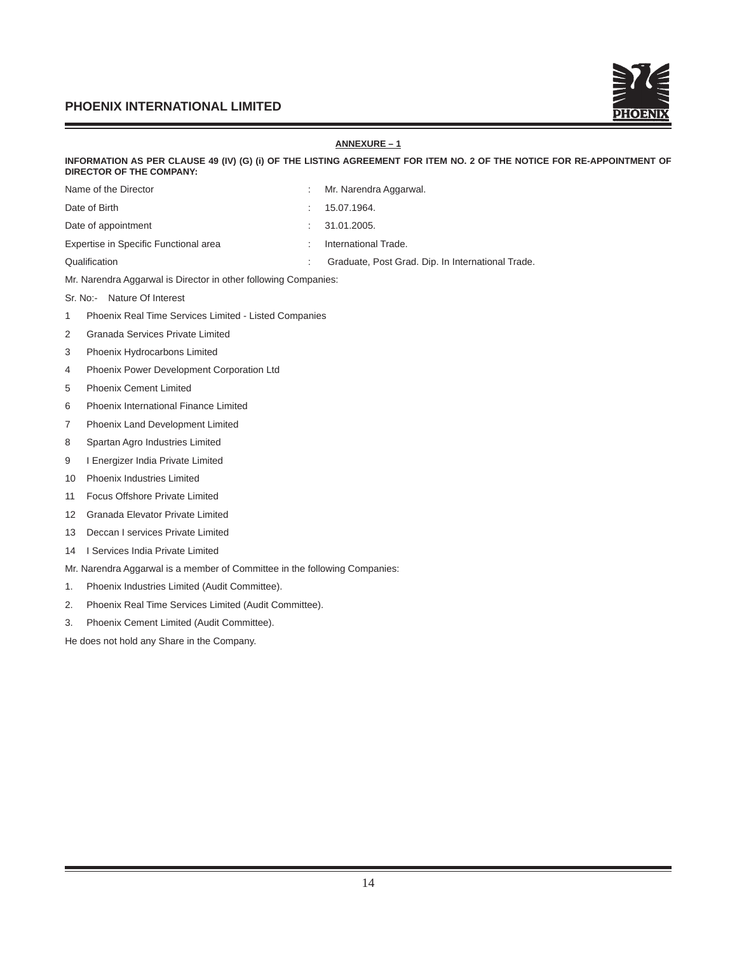

# **ANNEXURE – 1 INFORMATION AS PER CLAUSE 49 (IV) (G) (i) OF THE LISTING AGREEMENT FOR ITEM NO. 2 OF THE NOTICE FOR RE-APPOINTMENT OF DIRECTOR OF THE COMPANY:**  Name of the Director **interval and the Director** intervalsed a metal of the Director Date of Birth : 15.07.1964. Date of appointment  $\qquad \qquad$ : 31.01.2005. Expertise in Specific Functional area : International Trade. Qualification **Cation 2006** Craduate, Post Grad. Dip. In International Trade. Mr. Narendra Aggarwal is Director in other following Companies: Sr. No:- Nature Of Interest 1 Phoenix Real Time Services Limited - Listed Companies 2 Granada Services Private Limited 3 Phoenix Hydrocarbons Limited 4 Phoenix Power Development Corporation Ltd 5 Phoenix Cement Limited 6 Phoenix International Finance Limited 7 Phoenix Land Development Limited 8 Spartan Agro Industries Limited 9 I Energizer India Private Limited 10 Phoenix Industries Limited 11 Focus Offshore Private Limited 12 Granada Elevator Private Limited 13 Deccan I services Private Limited 14 I Services India Private Limited Mr. Narendra Aggarwal is a member of Committee in the following Companies: 1. Phoenix Industries Limited (Audit Committee). 2. Phoenix Real Time Services Limited (Audit Committee). 3. Phoenix Cement Limited (Audit Committee).

He does not hold any Share in the Company.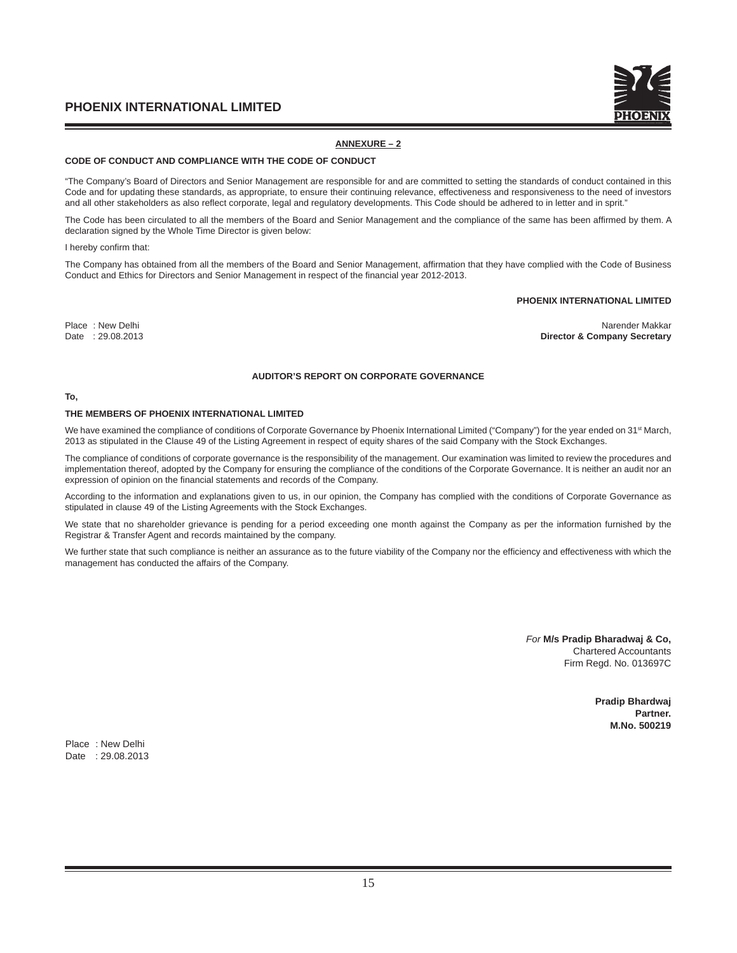

# **ANNEXURE – 2**

#### **CODE OF CONDUCT AND COMPLIANCE WITH THE CODE OF CONDUCT**

"The Company's Board of Directors and Senior Management are responsible for and are committed to setting the standards of conduct contained in this Code and for updating these standards, as appropriate, to ensure their continuing relevance, effectiveness and responsiveness to the need of investors and all other stakeholders as also reflect corporate, legal and regulatory developments. This Code should be adhered to in letter and in sprit.'

The Code has been circulated to all the members of the Board and Senior Management and the compliance of the same has been affirmed by them. A declaration signed by the Whole Time Director is given below:

#### I hereby confirm that:

The Company has obtained from all the members of the Board and Senior Management, affirmation that they have complied with the Code of Business Conduct and Ethics for Directors and Senior Management in respect of the financial year 2012-2013.

#### **PHOENIX INTERNATIONAL LIMITED**

Place : New Delhi Narender Makkar<br>Director & Company Secretary (1999) 29.08.2013 **Director & Company Secretary** 

## **AUDITOR'S REPORT ON CORPORATE GOVERNANCE**

#### **To,**

#### **THE MEMBERS OF PHOENIX INTERNATIONAL LIMITED**

We have examined the compliance of conditions of Corporate Governance by Phoenix International Limited ("Company") for the year ended on 31<sup>st</sup> March, 2013 as stipulated in the Clause 49 of the Listing Agreement in respect of equity shares of the said Company with the Stock Exchanges.

The compliance of conditions of corporate governance is the responsibility of the management. Our examination was limited to review the procedures and implementation thereof, adopted by the Company for ensuring the compliance of the conditions of the Corporate Governance. It is neither an audit nor an expression of opinion on the financial statements and records of the Company.

According to the information and explanations given to us, in our opinion, the Company has complied with the conditions of Corporate Governance as stipulated in clause 49 of the Listing Agreements with the Stock Exchanges.

We state that no shareholder grievance is pending for a period exceeding one month against the Company as per the information furnished by the Registrar & Transfer Agent and records maintained by the company.

We further state that such compliance is neither an assurance as to the future viability of the Company nor the efficiency and effectiveness with which the management has conducted the affairs of the Company.

> *For* **M/s Pradip Bharadwaj & Co,** Chartered Accountants Firm Regd. No. 013697C

> > **Pradip Bhardwaj Partner. M.No. 500219**

Place : New Delhi Date : 29.08.2013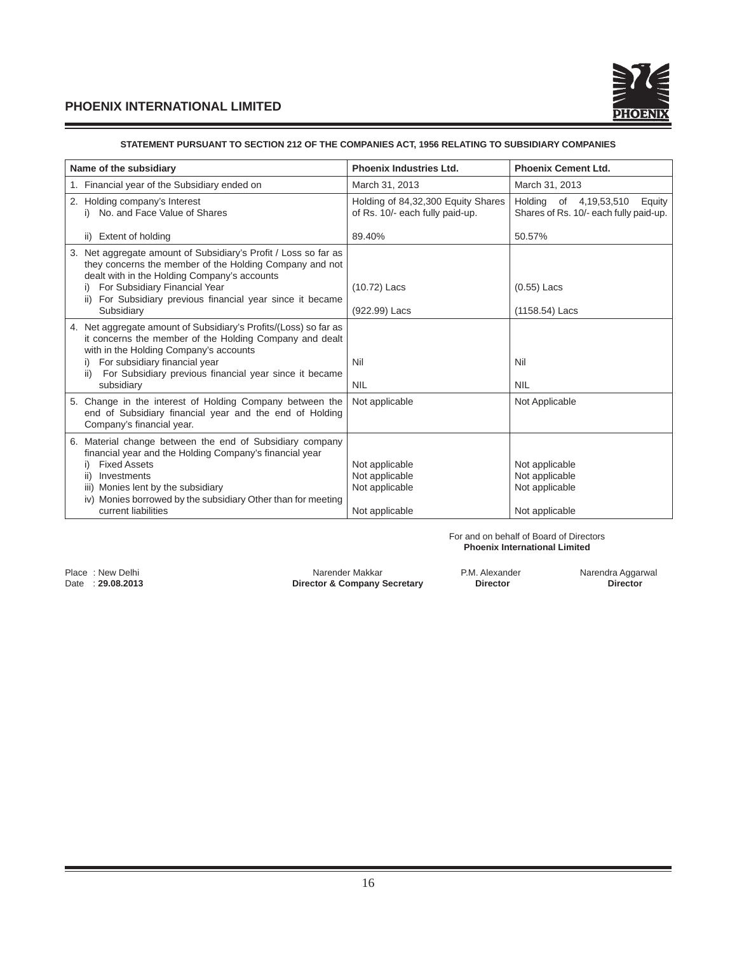

# **STATEMENT PURSUANT TO SECTION 212 OF THE COMPANIES ACT, 1956 RELATING TO SUBSIDIARY COMPANIES**

| Name of the subsidiary                                                                                                                                                                                                                                                                        | <b>Phoenix Industries Ltd.</b>                                        | <b>Phoenix Cement Ltd.</b>                                                 |
|-----------------------------------------------------------------------------------------------------------------------------------------------------------------------------------------------------------------------------------------------------------------------------------------------|-----------------------------------------------------------------------|----------------------------------------------------------------------------|
| 1. Financial year of the Subsidiary ended on                                                                                                                                                                                                                                                  | March 31, 2013                                                        | March 31, 2013                                                             |
| 2. Holding company's Interest<br>i) No. and Face Value of Shares                                                                                                                                                                                                                              | Holding of 84,32,300 Equity Shares<br>of Rs. 10/- each fully paid-up. | Holding of 4,19,53,510<br>Equity<br>Shares of Rs. 10/- each fully paid-up. |
| ii) Extent of holding                                                                                                                                                                                                                                                                         | 89.40%                                                                | 50.57%                                                                     |
| Net aggregate amount of Subsidiary's Profit / Loss so far as<br>3.<br>they concerns the member of the Holding Company and not<br>dealt with in the Holding Company's accounts<br>i) For Subsidiary Financial Year                                                                             | $(10.72)$ Lacs                                                        | $(0.55)$ Lacs                                                              |
| For Subsidiary previous financial year since it became<br>ii)<br>Subsidiary                                                                                                                                                                                                                   | (922.99) Lacs                                                         | (1158.54) Lacs                                                             |
| 4. Net aggregate amount of Subsidiary's Profits/(Loss) so far as<br>it concerns the member of the Holding Company and dealt<br>with in the Holding Company's accounts<br>For subsidiary financial year<br>For Subsidiary previous financial year since it became<br>ii)                       | Nil                                                                   | Nil                                                                        |
| subsidiary                                                                                                                                                                                                                                                                                    | <b>NIL</b>                                                            | <b>NIL</b>                                                                 |
| 5. Change in the interest of Holding Company between the<br>end of Subsidiary financial year and the end of Holding<br>Company's financial year.                                                                                                                                              | Not applicable                                                        | Not Applicable                                                             |
| 6. Material change between the end of Subsidiary company<br>financial year and the Holding Company's financial year<br><b>Fixed Assets</b><br>Investments<br>ii)<br>iii) Monies lent by the subsidiary<br>iv) Monies borrowed by the subsidiary Other than for meeting<br>current liabilities | Not applicable<br>Not applicable<br>Not applicable<br>Not applicable  | Not applicable<br>Not applicable<br>Not applicable<br>Not applicable       |

#### For and on behalf of Board of Directors **Phoenix International Limited**

Place : New Delhi **Narender Makkar** P.M. Alexander Makkar P.M. Alexander Narendra Aggarwal Director Company Secretary **P.M. Alexander Narendra Aggarwal** Director Sumpany Secretary **P.M. Alexander Narendra Aggarwal** Directo **Director & Company Secretary Director Director**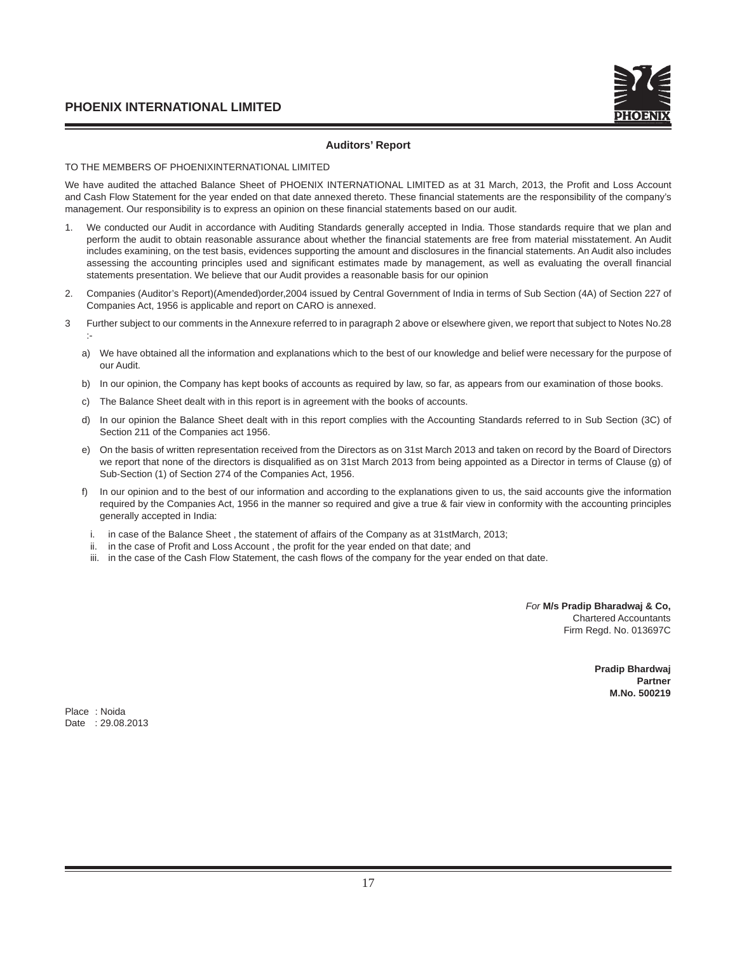# **Auditors' Report**

# TO THE MEMBERS OF PHOENIXINTERNATIONAL LIMITED

We have audited the attached Balance Sheet of PHOENIX INTERNATIONAL LIMITED as at 31 March, 2013, the Profit and Loss Account and Cash Flow Statement for the year ended on that date annexed thereto. These financial statements are the responsibility of the company's management. Our responsibility is to express an opinion on these financial statements based on our audit.

- 1. We conducted our Audit in accordance with Auditing Standards generally accepted in India. Those standards require that we plan and perform the audit to obtain reasonable assurance about whether the financial statements are free from material misstatement. An Audit includes examining, on the test basis, evidences supporting the amount and disclosures in the financial statements. An Audit also includes assessing the accounting principles used and significant estimates made by management, as well as evaluating the overall financial statements presentation. We believe that our Audit provides a reasonable basis for our opinion
- 2. Companies (Auditor's Report)(Amended)order,2004 issued by Central Government of India in terms of Sub Section (4A) of Section 227 of Companies Act, 1956 is applicable and report on CARO is annexed.
- 3 Further subject to our comments in the Annexure referred to in paragraph 2 above or elsewhere given, we report that subject to Notes No.28 :
	- a) We have obtained all the information and explanations which to the best of our knowledge and belief were necessary for the purpose of our Audit.
	- b) In our opinion, the Company has kept books of accounts as required by law, so far, as appears from our examination of those books.
	- c) The Balance Sheet dealt with in this report is in agreement with the books of accounts.
	- d) In our opinion the Balance Sheet dealt with in this report complies with the Accounting Standards referred to in Sub Section (3C) of Section 211 of the Companies act 1956.
	- e) On the basis of written representation received from the Directors as on 31st March 2013 and taken on record by the Board of Directors we report that none of the directors is disqualified as on 31st March 2013 from being appointed as a Director in terms of Clause (g) of Sub-Section (1) of Section 274 of the Companies Act, 1956.
	- f) In our opinion and to the best of our information and according to the explanations given to us, the said accounts give the information required by the Companies Act, 1956 in the manner so required and give a true & fair view in conformity with the accounting principles generally accepted in India:
	- i. in case of the Balance Sheet , the statement of affairs of the Company as at 31stMarch, 2013;
	- ii. in the case of Profit and Loss Account, the profit for the year ended on that date; and
	- iii. in the case of the Cash Flow Statement, the cash flows of the company for the year ended on that date.

*For* **M/s Pradip Bharadwaj & Co,** Chartered Accountants Firm Regd. No. 013697C

> **Pradip Bhardwaj Partner M.No. 500219**

Place : Noida Date : 29.08.2013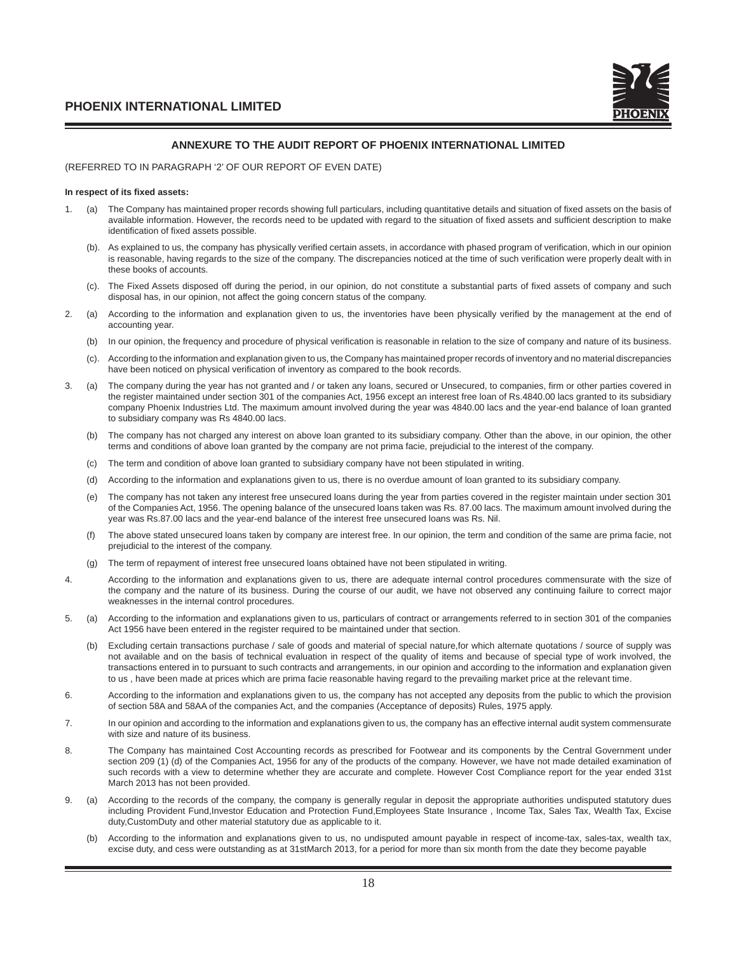

# **ANNEXURE TO THE AUDIT REPORT OF PHOENIX INTERNATIONAL LIMITED**

## (REFERRED TO IN PARAGRAPH '2' OF OUR REPORT OF EVEN DATE)

#### **In respect of its fi xed assets:**

- The Company has maintained proper records showing full particulars, including quantitative details and situation of fixed assets on the basis of available information. However, the records need to be updated with regard to the situation of fixed assets and sufficient description to make identification of fixed assets possible.
	- (b). As explained to us, the company has physically verified certain assets, in accordance with phased program of verification, which in our opinion is reasonable, having regards to the size of the company. The discrepancies noticed at the time of such verification were properly dealt with in these books of accounts.
	- (c). The Fixed Assets disposed off during the period, in our opinion, do not constitute a substantial parts of fi xed assets of company and such disposal has, in our opinion, not affect the going concern status of the company.
- 2. (a) According to the information and explanation given to us, the inventories have been physically verified by the management at the end of accounting year.
	- (b) In our opinion, the frequency and procedure of physical verification is reasonable in relation to the size of company and nature of its business.
	- (c). According to the information and explanation given to us, the Company has maintained proper records of inventory and no material discrepancies have been noticed on physical verification of inventory as compared to the book records.
- 3. (a) The company during the year has not granted and / or taken any loans, secured or Unsecured, to companies, firm or other parties covered in the register maintained under section 301 of the companies Act, 1956 except an interest free loan of Rs.4840.00 lacs granted to its subsidiary company Phoenix Industries Ltd. The maximum amount involved during the year was 4840.00 lacs and the year-end balance of loan granted to subsidiary company was Rs 4840.00 lacs.
	- (b) The company has not charged any interest on above loan granted to its subsidiary company. Other than the above, in our opinion, the other terms and conditions of above loan granted by the company are not prima facie, prejudicial to the interest of the company.
	- (c) The term and condition of above loan granted to subsidiary company have not been stipulated in writing.
	- (d) According to the information and explanations given to us, there is no overdue amount of loan granted to its subsidiary company.
	- (e) The company has not taken any interest free unsecured loans during the year from parties covered in the register maintain under section 301 of the Companies Act, 1956. The opening balance of the unsecured loans taken was Rs. 87.00 lacs. The maximum amount involved during the year was Rs.87.00 lacs and the year-end balance of the interest free unsecured loans was Rs. Nil.
	- (f) The above stated unsecured loans taken by company are interest free. In our opinion, the term and condition of the same are prima facie, not prejudicial to the interest of the company.
	- (g) The term of repayment of interest free unsecured loans obtained have not been stipulated in writing.
- 4. According to the information and explanations given to us, there are adequate internal control procedures commensurate with the size of the company and the nature of its business. During the course of our audit, we have not observed any continuing failure to correct major weaknesses in the internal control procedures.
- 5. (a) According to the information and explanations given to us, particulars of contract or arrangements referred to in section 301 of the companies Act 1956 have been entered in the register required to be maintained under that section.
	- (b) Excluding certain transactions purchase / sale of goods and material of special nature,for which alternate quotations / source of supply was not available and on the basis of technical evaluation in respect of the quality of items and because of special type of work involved, the transactions entered in to pursuant to such contracts and arrangements, in our opinion and according to the information and explanation given to us , have been made at prices which are prima facie reasonable having regard to the prevailing market price at the relevant time.
- 6. According to the information and explanations given to us, the company has not accepted any deposits from the public to which the provision of section 58A and 58AA of the companies Act, and the companies (Acceptance of deposits) Rules, 1975 apply.
- 7. In our opinion and according to the information and explanations given to us, the company has an effective internal audit system commensurate with size and nature of its business.
- 8. The Company has maintained Cost Accounting records as prescribed for Footwear and its components by the Central Government under section 209 (1) (d) of the Companies Act, 1956 for any of the products of the company. However, we have not made detailed examination of such records with a view to determine whether they are accurate and complete. However Cost Compliance report for the year ended 31st March 2013 has not been provided.
- 9. (a) According to the records of the company, the company is generally regular in deposit the appropriate authorities undisputed statutory dues including Provident Fund,Investor Education and Protection Fund,Employees State Insurance , Income Tax, Sales Tax, Wealth Tax, Excise duty,CustomDuty and other material statutory due as applicable to it.
	- (b) According to the information and explanations given to us, no undisputed amount payable in respect of income-tax, sales-tax, wealth tax, excise duty, and cess were outstanding as at 31stMarch 2013, for a period for more than six month from the date they become payable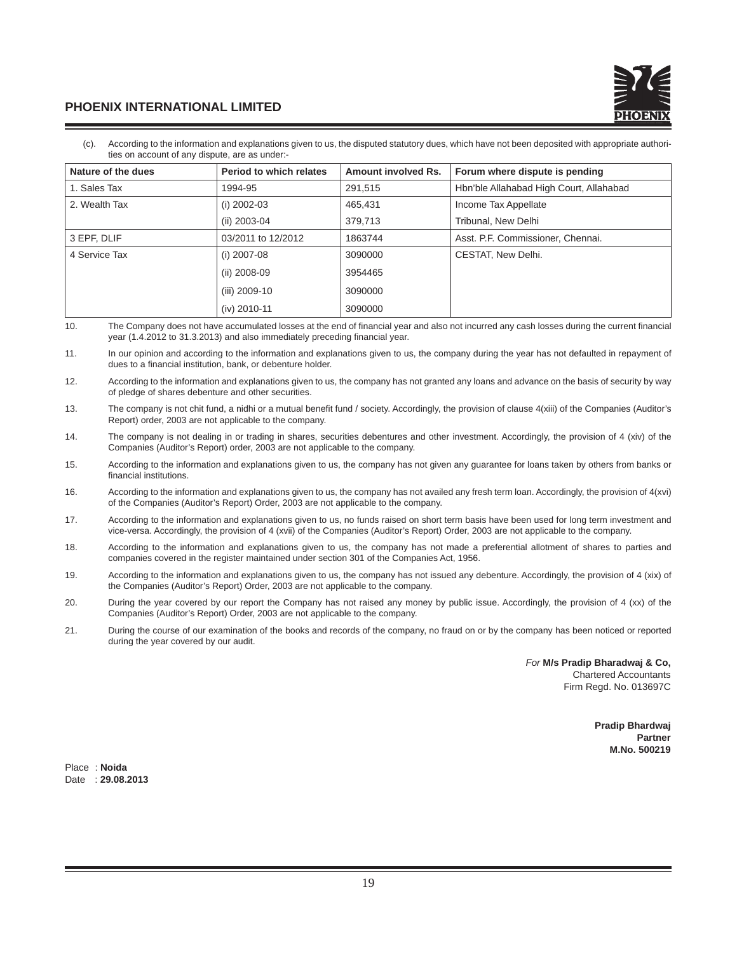

 (c). According to the information and explanations given to us, the disputed statutory dues, which have not been deposited with appropriate authorities on account of any dispute, are as under:-

| Nature of the dues | Period to which relates | Amount involved Rs. | Forum where dispute is pending          |
|--------------------|-------------------------|---------------------|-----------------------------------------|
| 1. Sales Tax       | 1994-95                 | 291,515             | Hbn'ble Allahabad High Court, Allahabad |
| 2. Wealth Tax      | $(i)$ 2002-03           | 465,431             | Income Tax Appellate                    |
|                    | (ii) 2003-04            | 379,713             | Tribunal, New Delhi                     |
| 3 EPF, DLIF        | 03/2011 to 12/2012      | 1863744             | Asst. P.F. Commissioner, Chennai.       |
| 4 Service Tax      | $(i)$ 2007-08           | 3090000             | CESTAT, New Delhi.                      |
|                    | $(ii) 2008-09$          | 3954465             |                                         |
|                    | (iii) 2009-10           | 3090000             |                                         |
|                    | (iv) 2010-11            | 3090000             |                                         |

10. The Company does not have accumulated losses at the end of financial year and also not incurred any cash losses during the current financial year (1.4.2012 to 31.3.2013) and also immediately preceding financial year.

11. In our opinion and according to the information and explanations given to us, the company during the year has not defaulted in repayment of dues to a financial institution, bank, or debenture holder.

- 12. According to the information and explanations given to us, the company has not granted any loans and advance on the basis of security by way of pledge of shares debenture and other securities.
- 13. The company is not chit fund, a nidhi or a mutual benefit fund / society. Accordingly, the provision of clause 4(xiii) of the Companies (Auditor's Report) order, 2003 are not applicable to the company.
- 14. The company is not dealing in or trading in shares, securities debentures and other investment. Accordingly, the provision of 4 (xiv) of the Companies (Auditor's Report) order, 2003 are not applicable to the company.
- 15. According to the information and explanations given to us, the company has not given any guarantee for loans taken by others from banks or financial institutions.
- 16. According to the information and explanations given to us, the company has not availed any fresh term loan. Accordingly, the provision of 4(xvi) of the Companies (Auditor's Report) Order, 2003 are not applicable to the company.
- 17. According to the information and explanations given to us, no funds raised on short term basis have been used for long term investment and vice-versa. Accordingly, the provision of 4 (xvii) of the Companies (Auditor's Report) Order, 2003 are not applicable to the company.
- 18. According to the information and explanations given to us, the company has not made a preferential allotment of shares to parties and companies covered in the register maintained under section 301 of the Companies Act, 1956.
- 19. According to the information and explanations given to us, the company has not issued any debenture. Accordingly, the provision of 4 (xix) of the Companies (Auditor's Report) Order, 2003 are not applicable to the company.
- 20. During the year covered by our report the Company has not raised any money by public issue. Accordingly, the provision of 4 (xx) of the Companies (Auditor's Report) Order, 2003 are not applicable to the company.
- 21. During the course of our examination of the books and records of the company, no fraud on or by the company has been noticed or reported during the year covered by our audit.

*For* **M/s Pradip Bharadwaj & Co,** Chartered Accountants Firm Regd. No. 013697C

> **Pradip Bhardwaj Partner M.No. 500219**

Place : **Noida** Date : **29.08.2013**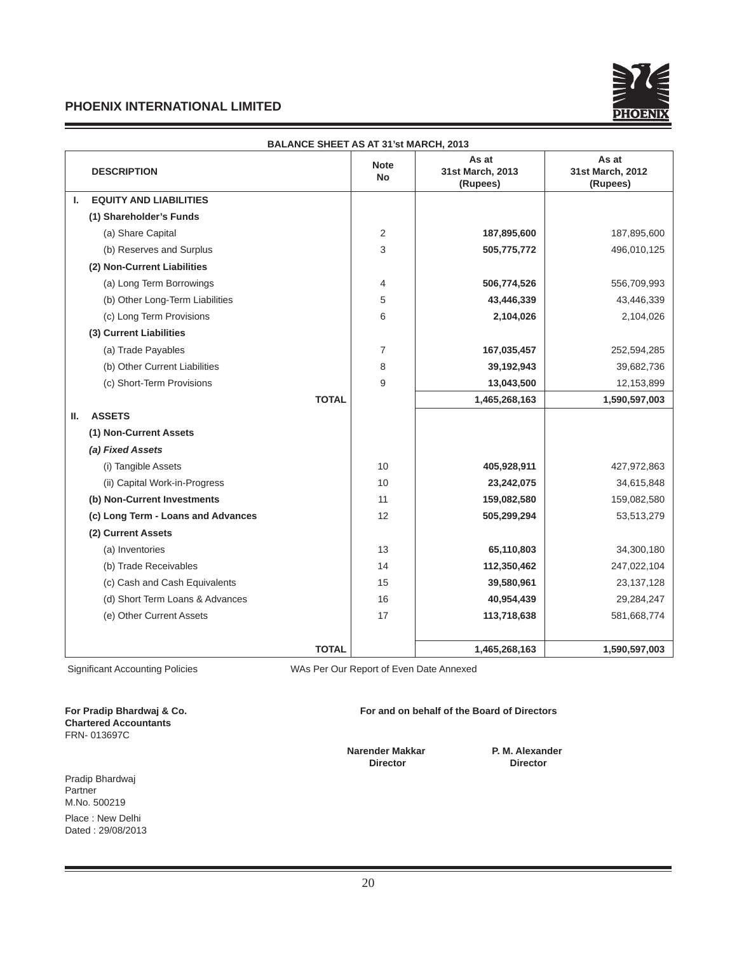

|    | <b>BALANCE SHEET AS AT 31'st MARCH, 2013</b> |              |                          |                                       |                                       |  |
|----|----------------------------------------------|--------------|--------------------------|---------------------------------------|---------------------------------------|--|
|    | <b>DESCRIPTION</b>                           |              | <b>Note</b><br><b>No</b> | As at<br>31st March, 2013<br>(Rupees) | As at<br>31st March, 2012<br>(Rupees) |  |
| L. | <b>EQUITY AND LIABILITIES</b>                |              |                          |                                       |                                       |  |
|    | (1) Shareholder's Funds                      |              |                          |                                       |                                       |  |
|    | (a) Share Capital                            |              | 2                        | 187,895,600                           | 187,895,600                           |  |
|    | (b) Reserves and Surplus                     |              | 3                        | 505,775,772                           | 496,010,125                           |  |
|    | (2) Non-Current Liabilities                  |              |                          |                                       |                                       |  |
|    | (a) Long Term Borrowings                     |              | 4                        | 506,774,526                           | 556,709,993                           |  |
|    | (b) Other Long-Term Liabilities              |              | 5                        | 43,446,339                            | 43,446,339                            |  |
|    | (c) Long Term Provisions                     |              | 6                        | 2,104,026                             | 2,104,026                             |  |
|    | (3) Current Liabilities                      |              |                          |                                       |                                       |  |
|    | (a) Trade Payables                           |              | $\overline{7}$           | 167,035,457                           | 252,594,285                           |  |
|    | (b) Other Current Liabilities                |              | 8                        | 39,192,943                            | 39,682,736                            |  |
|    | (c) Short-Term Provisions                    |              | 9                        | 13,043,500                            | 12,153,899                            |  |
|    |                                              | <b>TOTAL</b> |                          | 1,465,268,163                         | 1,590,597,003                         |  |
| Ш. | <b>ASSETS</b>                                |              |                          |                                       |                                       |  |
|    | (1) Non-Current Assets                       |              |                          |                                       |                                       |  |
|    | (a) Fixed Assets                             |              |                          |                                       |                                       |  |
|    | (i) Tangible Assets                          |              | 10                       | 405,928,911                           | 427,972,863                           |  |
|    | (ii) Capital Work-in-Progress                |              | 10                       | 23,242,075                            | 34,615,848                            |  |
|    | (b) Non-Current Investments                  |              | 11                       | 159,082,580                           | 159,082,580                           |  |
|    | (c) Long Term - Loans and Advances           |              | 12                       | 505,299,294                           | 53,513,279                            |  |
|    | (2) Current Assets                           |              |                          |                                       |                                       |  |
|    | (a) Inventories                              |              | 13                       | 65,110,803                            | 34,300,180                            |  |
|    | (b) Trade Receivables                        |              | 14                       | 112,350,462                           | 247,022,104                           |  |
|    | (c) Cash and Cash Equivalents                |              | 15                       | 39,580,961                            | 23, 137, 128                          |  |
|    | (d) Short Term Loans & Advances              |              | 16                       | 40,954,439                            | 29,284,247                            |  |
|    | (e) Other Current Assets                     |              | 17                       | 113,718,638                           | 581,668,774                           |  |
|    |                                              |              |                          |                                       |                                       |  |
|    |                                              | <b>TOTAL</b> |                          | 1,465,268,163                         | 1,590,597,003                         |  |

**Chartered Accountants**

Significant Accounting Policies WAS Per Our Report of Even Date Annexed

**For Pradip Bhardwaj & Co. For and on behalf of the Board of Directors** 

**Narender Makkar P. M. Alexander** *Director* **Director Director Director Director** 

Pradip Bhardwaj Partner M.No. 500219

FRN- 013697C

Place : New Delhi Dated : 29/08/2013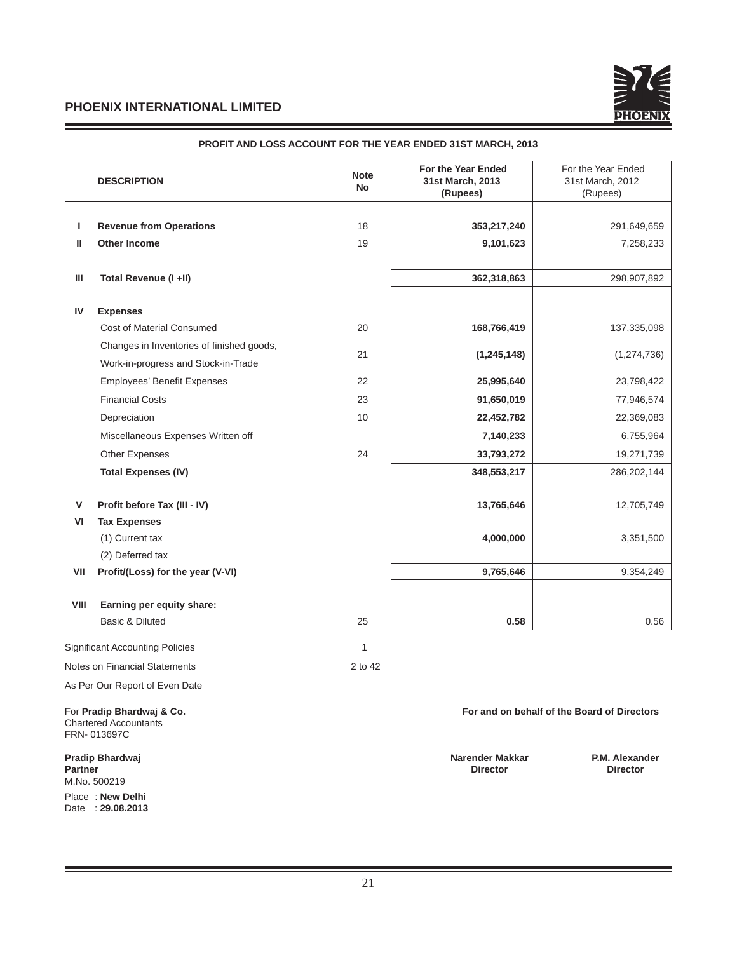

|      | <b>DESCRIPTION</b>                                                       | <b>Note</b><br><b>No</b> | For the Year Ended<br>31st March, 2013<br>(Rupees) | For the Year Ended<br>31st March, 2012<br>(Rupees) |
|------|--------------------------------------------------------------------------|--------------------------|----------------------------------------------------|----------------------------------------------------|
| L    | <b>Revenue from Operations</b>                                           | 18                       | 353,217,240                                        | 291,649,659                                        |
| Ш    | <b>Other Income</b>                                                      | 19                       | 9,101,623                                          | 7,258,233                                          |
| Ш    | Total Revenue (I +II)                                                    |                          | 362,318,863                                        | 298,907,892                                        |
| IV   | <b>Expenses</b>                                                          |                          |                                                    |                                                    |
|      | <b>Cost of Material Consumed</b>                                         | 20                       | 168,766,419                                        | 137,335,098                                        |
|      | Changes in Inventories of finished goods,                                |                          |                                                    |                                                    |
|      | Work-in-progress and Stock-in-Trade                                      | 21                       | (1, 245, 148)                                      | (1,274,736)                                        |
|      | <b>Employees' Benefit Expenses</b>                                       | 22                       | 25,995,640                                         | 23,798,422                                         |
|      | <b>Financial Costs</b>                                                   | 23                       | 91,650,019                                         | 77,946,574                                         |
|      | Depreciation                                                             | 10                       | 22,452,782                                         | 22,369,083                                         |
|      | Miscellaneous Expenses Written off                                       |                          | 7,140,233                                          | 6,755,964                                          |
|      | <b>Other Expenses</b>                                                    | 24                       | 33,793,272                                         | 19,271,739                                         |
|      | <b>Total Expenses (IV)</b>                                               |                          | 348,553,217                                        | 286, 202, 144                                      |
| v    | Profit before Tax (III - IV)                                             |                          | 13,765,646                                         | 12,705,749                                         |
| VI   | <b>Tax Expenses</b>                                                      |                          |                                                    |                                                    |
|      | (1) Current tax                                                          |                          | 4,000,000                                          | 3,351,500                                          |
|      | (2) Deferred tax                                                         |                          |                                                    |                                                    |
| VII  | Profit/(Loss) for the year (V-VI)                                        |                          | 9,765,646                                          | 9,354,249                                          |
| VIII | Earning per equity share:                                                |                          |                                                    |                                                    |
|      | <b>Basic &amp; Diluted</b>                                               | 25                       | 0.58                                               | 0.56                                               |
|      | <b>Significant Accounting Policies</b>                                   | 1                        |                                                    |                                                    |
|      | Notes on Financial Statements                                            | 2 to 42                  |                                                    |                                                    |
|      | As Per Our Report of Even Date                                           |                          |                                                    |                                                    |
|      | For Pradip Bhardwaj & Co.<br><b>Chartered Accountants</b><br>FRN-013697C |                          |                                                    | For and on behalf of the Board of Directors        |

# **PROFIT AND LOSS ACCOUNT FOR THE YEAR ENDED 31ST MARCH, 2013**

**Partner Director** Director Director Director Director Director Director Director Director Director Director Director M.No. 500219 Place : **New Delhi**  Date : **29.08.2013**

21

Pradip Bhardwaj **Pradip Bhardwaj (Research Controller Area)**<br>Partner Makkar **Partner Director** Director Director Director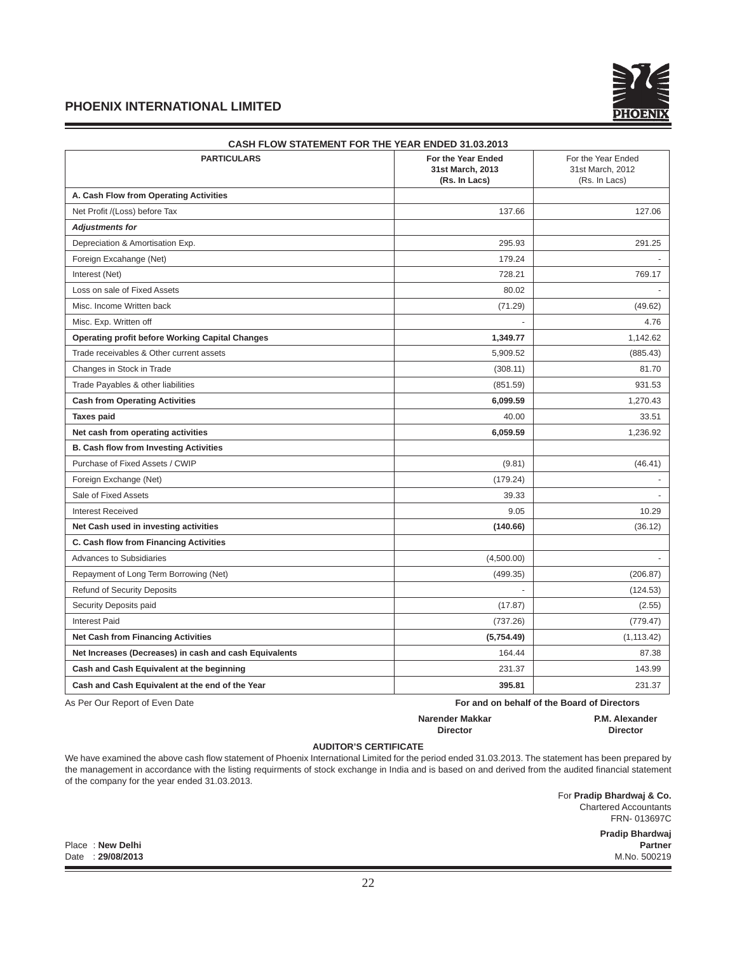

| CASH FLOW STATEMENT FOR THE YEAR ENDED 31.03.2013      |                                                         |                                                         |  |  |  |
|--------------------------------------------------------|---------------------------------------------------------|---------------------------------------------------------|--|--|--|
| <b>PARTICULARS</b>                                     | For the Year Ended<br>31st March, 2013<br>(Rs. In Lacs) | For the Year Ended<br>31st March, 2012<br>(Rs. In Lacs) |  |  |  |
| A. Cash Flow from Operating Activities                 |                                                         |                                                         |  |  |  |
| Net Profit /(Loss) before Tax                          | 137.66                                                  | 127.06                                                  |  |  |  |
| <b>Adjustments for</b>                                 |                                                         |                                                         |  |  |  |
| Depreciation & Amortisation Exp.                       | 295.93                                                  | 291.25                                                  |  |  |  |
| Foreign Excahange (Net)                                | 179.24                                                  |                                                         |  |  |  |
| Interest (Net)                                         | 728.21                                                  | 769.17                                                  |  |  |  |
| Loss on sale of Fixed Assets                           | 80.02                                                   |                                                         |  |  |  |
| Misc. Income Written back                              | (71.29)                                                 | (49.62)                                                 |  |  |  |
| Misc. Exp. Written off                                 |                                                         | 4.76                                                    |  |  |  |
| <b>Operating profit before Working Capital Changes</b> | 1,349.77                                                | 1,142.62                                                |  |  |  |
| Trade receivables & Other current assets               | 5,909.52                                                | (885.43)                                                |  |  |  |
| Changes in Stock in Trade                              | (308.11)                                                | 81.70                                                   |  |  |  |
| Trade Payables & other liabilities                     | (851.59)                                                | 931.53                                                  |  |  |  |
| <b>Cash from Operating Activities</b>                  | 6,099.59                                                | 1,270.43                                                |  |  |  |
| <b>Taxes paid</b>                                      | 40.00                                                   | 33.51                                                   |  |  |  |
| Net cash from operating activities                     | 6,059.59                                                | 1,236.92                                                |  |  |  |
| <b>B. Cash flow from Investing Activities</b>          |                                                         |                                                         |  |  |  |
| Purchase of Fixed Assets / CWIP                        | (9.81)                                                  | (46.41)                                                 |  |  |  |
| Foreign Exchange (Net)                                 | (179.24)                                                |                                                         |  |  |  |
| Sale of Fixed Assets                                   | 39.33                                                   |                                                         |  |  |  |
| <b>Interest Received</b>                               | 9.05                                                    | 10.29                                                   |  |  |  |
| Net Cash used in investing activities                  | (140.66)                                                | (36.12)                                                 |  |  |  |
| C. Cash flow from Financing Activities                 |                                                         |                                                         |  |  |  |
| <b>Advances to Subsidiaries</b>                        | (4,500.00)                                              |                                                         |  |  |  |
| Repayment of Long Term Borrowing (Net)                 | (499.35)                                                | (206.87)                                                |  |  |  |
| <b>Refund of Security Deposits</b>                     |                                                         | (124.53)                                                |  |  |  |
| Security Deposits paid                                 | (17.87)                                                 | (2.55)                                                  |  |  |  |
| <b>Interest Paid</b>                                   | (737.26)                                                | (779.47)                                                |  |  |  |
| <b>Net Cash from Financing Activities</b>              | (5,754.49)                                              | (1, 113.42)                                             |  |  |  |
| Net Increases (Decreases) in cash and cash Equivalents | 164.44                                                  | 87.38                                                   |  |  |  |
| Cash and Cash Equivalent at the beginning              | 231.37                                                  | 143.99                                                  |  |  |  |
| Cash and Cash Equivalent at the end of the Year        | 395.81                                                  | 231.37                                                  |  |  |  |

As Per Our Report of Even Date **For and on behalf of the Board of Directors** 

#### **Narender Makkar P.M. Alexander Director Director**

## **AUDITOR'S CERTIFICATE**

We have examined the above cash flow statement of Phoenix International Limited for the period ended 31.03.2013. The statement has been prepared by the management in accordance with the listing requirments of stock exchange in India and is based on and derived from the audited financial statement of the company for the year ended 31.03.2013.

> For **Pradip Bhardwaj & Co.**  Chartered Accountants FRN- 013697C

**Pradip Bhardwaj** Place : **New Delhi Partner**

Date : **29/08/2013** M.No. 500219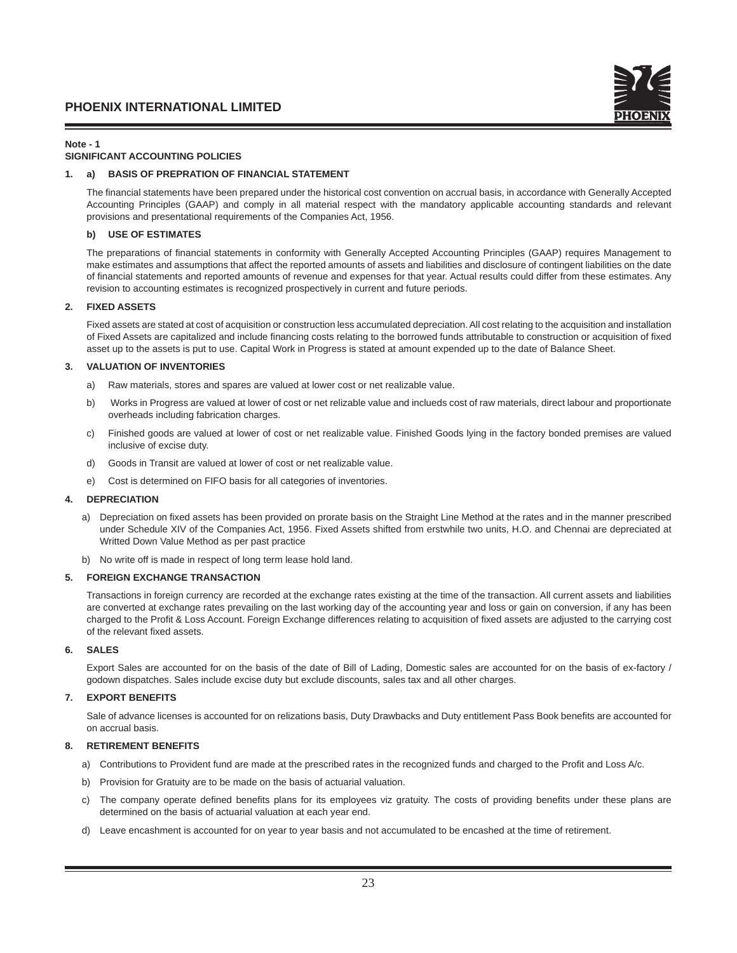## **Note - 1**

## **SIGNIFICANT ACCOUNTING POLICIES**

## **1. a) BASIS OF PREPRATION OF FINANCIAL STATEMENT**

The financial statements have been prepared under the historical cost convention on accrual basis, in accordance with Generally Accepted Accounting Principles (GAAP) and comply in all material respect with the mandatory applicable accounting standards and relevant provisions and presentational requirements of the Companies Act, 1956.

## **b) USE OF ESTIMATES**

The preparations of financial statements in conformity with Generally Accepted Accounting Principles (GAAP) requires Management to make estimates and assumptions that affect the reported amounts of assets and liabilities and disclosure of contingent liabilities on the date of financial statements and reported amounts of revenue and expenses for that year. Actual results could differ from these estimates. Any revision to accounting estimates is recognized prospectively in current and future periods.

## **2. FIXED ASSETS**

 Fixed assets are stated at cost of acquisition or construction less accumulated depreciation. All cost relating to the acquisition and installation of Fixed Assets are capitalized and include financing costs relating to the borrowed funds attributable to construction or acquisition of fixed asset up to the assets is put to use. Capital Work in Progress is stated at amount expended up to the date of Balance Sheet.

## **3. VALUATION OF INVENTORIES**

- a) Raw materials, stores and spares are valued at lower cost or net realizable value.
- b) Works in Progress are valued at lower of cost or net relizable value and inclueds cost of raw materials, direct labour and proportionate overheads including fabrication charges.
- c) Finished goods are valued at lower of cost or net realizable value. Finished Goods lying in the factory bonded premises are valued inclusive of excise duty.
- d) Goods in Transit are valued at lower of cost or net realizable value.
- e) Cost is determined on FIFO basis for all categories of inventories.

#### **4. DEPRECIATION**

- a) Depreciation on fixed assets has been provided on prorate basis on the Straight Line Method at the rates and in the manner prescribed under Schedule XIV of the Companies Act, 1956. Fixed Assets shifted from erstwhile two units, H.O. and Chennai are depreciated at Writted Down Value Method as per past practice
- b) No write off is made in respect of long term lease hold land.

#### **5. FOREIGN EXCHANGE TRANSACTION**

 Transactions in foreign currency are recorded at the exchange rates existing at the time of the transaction. All current assets and liabilities are converted at exchange rates prevailing on the last working day of the accounting year and loss or gain on conversion, if any has been charged to the Profit & Loss Account. Foreign Exchange differences relating to acquisition of fixed assets are adjusted to the carrying cost of the relevant fixed assets.

#### **6. SALES**

 Export Sales are accounted for on the basis of the date of Bill of Lading, Domestic sales are accounted for on the basis of ex-factory / godown dispatches. Sales include excise duty but exclude discounts, sales tax and all other charges.

#### **7. EXPORT BENEFITS**

Sale of advance licenses is accounted for on relizations basis, Duty Drawbacks and Duty entitlement Pass Book benefits are accounted for on accrual basis.

# **8. RETIREMENT BENEFITS**

- a) Contributions to Provident fund are made at the prescribed rates in the recognized funds and charged to the Profit and Loss A/c.
- b) Provision for Gratuity are to be made on the basis of actuarial valuation.
- c) The company operate defined benefits plans for its employees viz gratuity. The costs of providing benefits under these plans are determined on the basis of actuarial valuation at each year end.
- d) Leave encashment is accounted for on year to year basis and not accumulated to be encashed at the time of retirement.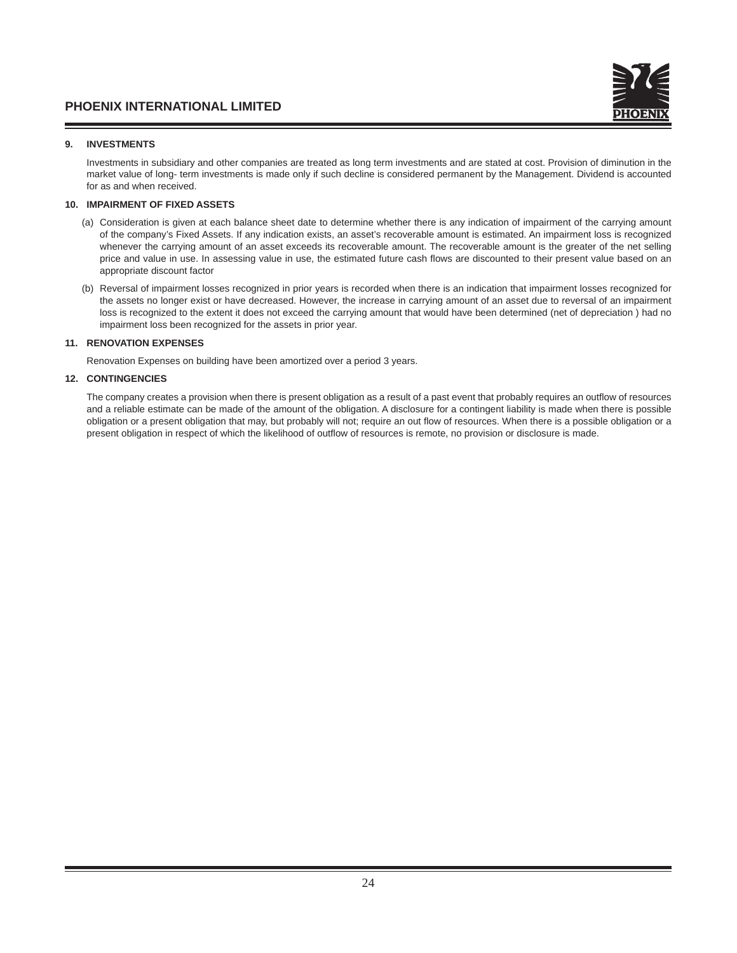# **9. INVESTMENTS**

 Investments in subsidiary and other companies are treated as long term investments and are stated at cost. Provision of diminution in the market value of long- term investments is made only if such decline is considered permanent by the Management. Dividend is accounted for as and when received.

## **10. IMPAIRMENT OF FIXED ASSETS**

- (a) Consideration is given at each balance sheet date to determine whether there is any indication of impairment of the carrying amount of the company's Fixed Assets. If any indication exists, an asset's recoverable amount is estimated. An impairment loss is recognized whenever the carrying amount of an asset exceeds its recoverable amount. The recoverable amount is the greater of the net selling price and value in use. In assessing value in use, the estimated future cash flows are discounted to their present value based on an appropriate discount factor
- (b) Reversal of impairment losses recognized in prior years is recorded when there is an indication that impairment losses recognized for the assets no longer exist or have decreased. However, the increase in carrying amount of an asset due to reversal of an impairment loss is recognized to the extent it does not exceed the carrying amount that would have been determined (net of depreciation ) had no impairment loss been recognized for the assets in prior year.

## **11. RENOVATION EXPENSES**

Renovation Expenses on building have been amortized over a period 3 years.

## **12. CONTINGENCIES**

The company creates a provision when there is present obligation as a result of a past event that probably requires an outflow of resources and a reliable estimate can be made of the amount of the obligation. A disclosure for a contingent liability is made when there is possible obligation or a present obligation that may, but probably will not; require an out flow of resources. When there is a possible obligation or a present obligation in respect of which the likelihood of outflow of resources is remote, no provision or disclosure is made.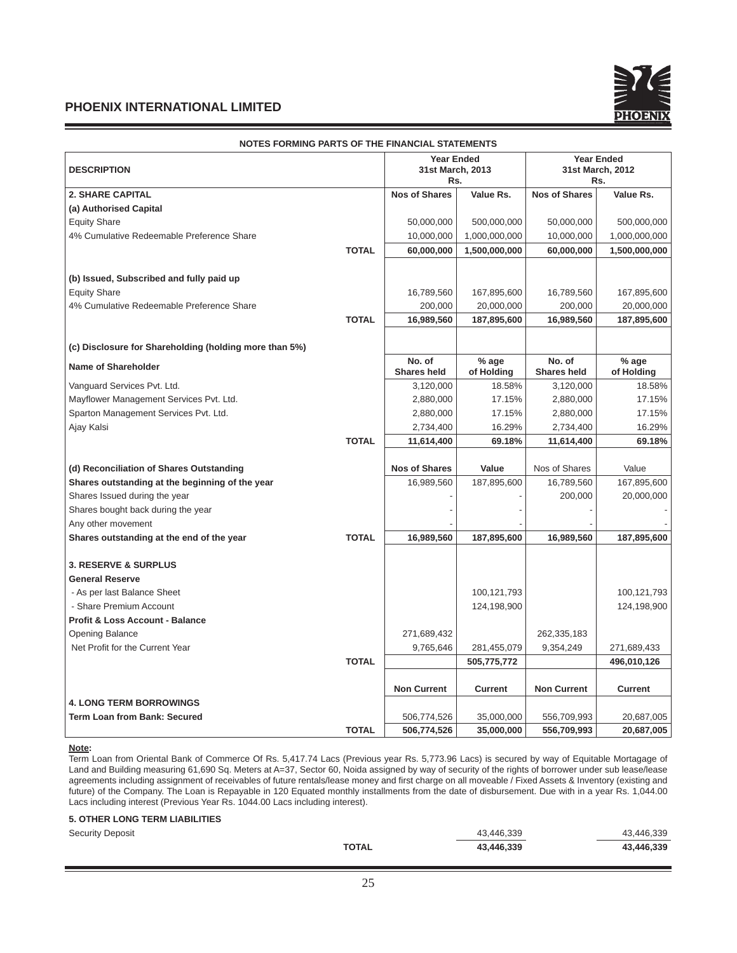

| NOTES FORMING PARTS OF THE FINANCIAL STATEMENTS        |              | <b>Year Ended</b>            |                     |                              | <b>Year Ended</b>       |  |
|--------------------------------------------------------|--------------|------------------------------|---------------------|------------------------------|-------------------------|--|
| <b>DESCRIPTION</b>                                     |              | 31st March, 2013<br>Rs.      |                     |                              | 31st March, 2012<br>Rs. |  |
| <b>2. SHARE CAPITAL</b>                                |              | <b>Nos of Shares</b>         | Value Rs.           | <b>Nos of Shares</b>         | Value Rs.               |  |
| (a) Authorised Capital                                 |              |                              |                     |                              |                         |  |
| <b>Equity Share</b>                                    |              | 50,000,000                   | 500,000,000         | 50,000,000                   | 500,000,000             |  |
| 4% Cumulative Redeemable Preference Share              |              | 10,000,000                   | 1,000,000,000       | 10,000,000                   | 1,000,000,000           |  |
|                                                        | <b>TOTAL</b> | 60,000,000                   | 1,500,000,000       | 60,000,000                   | 1,500,000,000           |  |
| (b) Issued, Subscribed and fully paid up               |              |                              |                     |                              |                         |  |
| <b>Equity Share</b>                                    |              | 16,789,560                   | 167,895,600         | 16,789,560                   | 167,895,600             |  |
| 4% Cumulative Redeemable Preference Share              |              | 200,000                      | 20,000,000          | 200,000                      | 20,000,000              |  |
|                                                        | <b>TOTAL</b> | 16,989,560                   | 187,895,600         | 16,989,560                   | 187,895,600             |  |
| (c) Disclosure for Shareholding (holding more than 5%) |              |                              |                     |                              |                         |  |
| <b>Name of Shareholder</b>                             |              | No. of<br><b>Shares held</b> | % age<br>of Holding | No. of<br><b>Shares held</b> | % age<br>of Holding     |  |
| Vanguard Services Pvt. Ltd.                            |              | 3,120,000                    | 18.58%              | 3,120,000                    | 18.58%                  |  |
| Mayflower Management Services Pvt. Ltd.                |              | 2,880,000                    | 17.15%              | 2,880,000                    | 17.15%                  |  |
| Sparton Management Services Pvt. Ltd.                  |              | 2,880,000                    | 17.15%              | 2,880,000                    | 17.15%                  |  |
| Ajay Kalsi                                             |              | 2,734,400                    | 16.29%              | 2,734,400                    | 16.29%                  |  |
|                                                        | <b>TOTAL</b> | 11,614,400                   | 69.18%              | 11,614,400                   | 69.18%                  |  |
| (d) Reconciliation of Shares Outstanding               |              | <b>Nos of Shares</b>         | Value               | Nos of Shares                | Value                   |  |
| Shares outstanding at the beginning of the year        |              | 16,989,560                   | 187,895,600         | 16,789,560                   | 167,895,600             |  |
| Shares Issued during the year                          |              |                              |                     | 200,000                      | 20,000,000              |  |
| Shares bought back during the year                     |              |                              |                     |                              |                         |  |
| Any other movement                                     |              |                              |                     |                              |                         |  |
| Shares outstanding at the end of the year              | <b>TOTAL</b> | 16,989,560                   | 187,895,600         | 16,989,560                   | 187,895,600             |  |
| <b>3. RESERVE &amp; SURPLUS</b>                        |              |                              |                     |                              |                         |  |
| <b>General Reserve</b>                                 |              |                              |                     |                              |                         |  |
| - As per last Balance Sheet                            |              |                              | 100,121,793         |                              | 100,121,793             |  |
| - Share Premium Account                                |              |                              | 124,198,900         |                              | 124,198,900             |  |
| <b>Profit &amp; Loss Account - Balance</b>             |              |                              |                     |                              |                         |  |
| <b>Opening Balance</b>                                 |              | 271,689,432                  |                     | 262,335,183                  |                         |  |
| Net Profit for the Current Year                        |              | 9,765,646                    | 281,455,079         | 9,354,249                    | 271,689,433             |  |
|                                                        | <b>TOTAL</b> |                              | 505,775,772         |                              | 496,010,126             |  |
|                                                        |              | <b>Non Current</b>           | <b>Current</b>      | <b>Non Current</b>           | <b>Current</b>          |  |
| <b>4. LONG TERM BORROWINGS</b>                         |              |                              |                     |                              |                         |  |
| <b>Term Loan from Bank: Secured</b>                    |              | 506,774,526                  | 35,000,000          | 556,709,993                  | 20,687,005              |  |
|                                                        | <b>TOTAL</b> | 506,774,526                  | 35,000,000          | 556,709,993                  | 20,687,005              |  |

# **NOTES FORMING PARTS OF THE FINANCIAL STATEMENTS**

## **Note:**

Term Loan from Oriental Bank of Commerce Of Rs. 5,417.74 Lacs (Previous year Rs. 5,773.96 Lacs) is secured by way of Equitable Mortagage of Land and Building measuring 61,690 Sq. Meters at A=37, Sector 60, Noida assigned by way of security of the rights of borrower under sub lease/lease agreements including assignment of receivables of future rentals/lease money and first charge on all moveable / Fixed Assets & Inventory (existing and future) of the Company. The Loan is Repayable in 120 Equated monthly installments from the date of disbursement. Due with in a year Rs. 1,044.00 Lacs including interest (Previous Year Rs. 1044.00 Lacs including interest).

#### **5. OTHER LONG TERM LIABILITIES**

| <b>Security Deposit</b> | 43.446.339                 | 43.446.339 |
|-------------------------|----------------------------|------------|
|                         | <b>TOTAL</b><br>43,446,339 | 43,446,339 |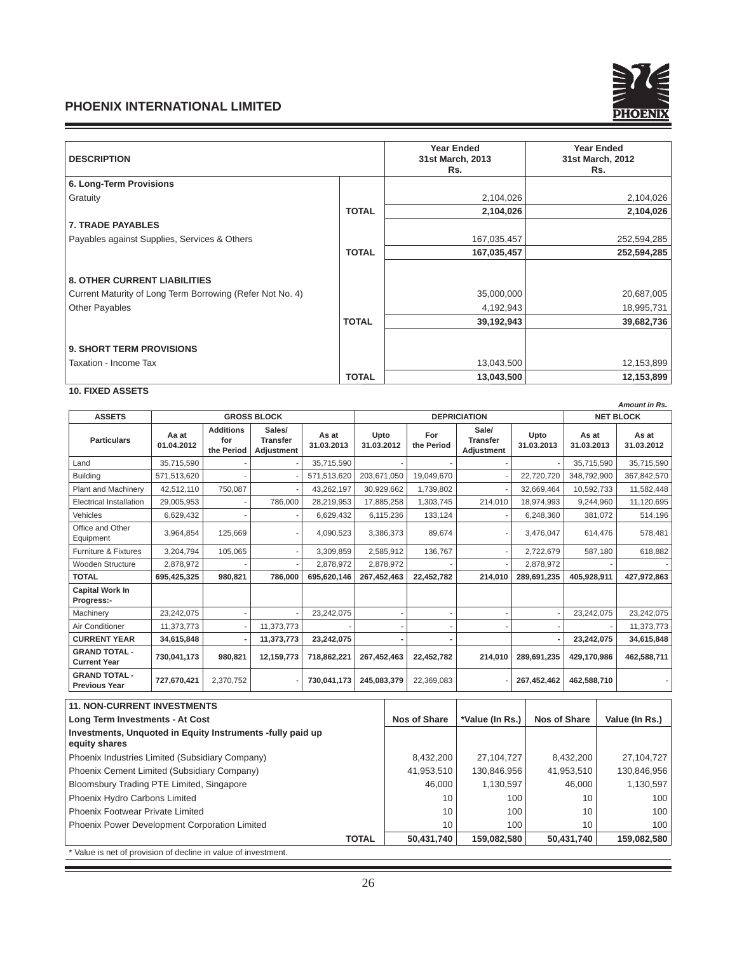

| <b>DESCRIPTION</b>                                        |              | <b>Year Ended</b><br>31st March, 2013<br>Rs. | <b>Year Ended</b><br>31st March, 2012<br>Rs. |  |
|-----------------------------------------------------------|--------------|----------------------------------------------|----------------------------------------------|--|
| 6. Long-Term Provisions                                   |              |                                              |                                              |  |
| Gratuity                                                  |              | 2,104,026                                    | 2,104,026                                    |  |
|                                                           | <b>TOTAL</b> | 2,104,026                                    | 2,104,026                                    |  |
| <b>7. TRADE PAYABLES</b>                                  |              |                                              |                                              |  |
| Payables against Supplies, Services & Others              |              | 167,035,457                                  | 252,594,285                                  |  |
|                                                           | <b>TOTAL</b> | 167,035,457                                  | 252,594,285                                  |  |
| <b>8. OTHER CURRENT LIABILITIES</b>                       |              |                                              |                                              |  |
| Current Maturity of Long Term Borrowing (Refer Not No. 4) |              | 35,000,000                                   | 20,687,005                                   |  |
| <b>Other Payables</b>                                     |              | 4,192,943                                    | 18,995,731                                   |  |
|                                                           | <b>TOTAL</b> | 39,192,943                                   | 39,682,736                                   |  |
| <b>9. SHORT TERM PROVISIONS</b>                           |              |                                              |                                              |  |
| Taxation - Income Tax                                     |              | 13,043,500                                   | 12,153,899                                   |  |
|                                                           | <b>TOTAL</b> | 13,043,500                                   | 12,153,899                                   |  |

# **10. FIXED ASSETS**

**College** 

|                                              | Amount in Rs.       |                                       |                                                |                     |                     |                   |                                               |                    |                     |                     |
|----------------------------------------------|---------------------|---------------------------------------|------------------------------------------------|---------------------|---------------------|-------------------|-----------------------------------------------|--------------------|---------------------|---------------------|
| <b>ASSETS</b>                                |                     |                                       | <b>GROSS BLOCK</b>                             |                     | <b>DEPRICIATION</b> |                   |                                               |                    | <b>NET BLOCK</b>    |                     |
| <b>Particulars</b>                           | Aa at<br>01.04.2012 | <b>Additions</b><br>for<br>the Period | Sales/<br><b>Transfer</b><br><b>Adjustment</b> | As at<br>31.03.2013 | Upto<br>31.03.2012  | For<br>the Period | Sale/<br><b>Transfer</b><br><b>Adjustment</b> | Upto<br>31.03.2013 | As at<br>31.03.2013 | As at<br>31.03.2012 |
| Land                                         | 35,715,590          |                                       |                                                | 35,715,590          |                     |                   |                                               |                    | 35,715,590          | 35,715,590          |
| <b>Building</b>                              | 571,513,620         |                                       |                                                | 571,513,620         | 203,671,050         | 19,049,670        |                                               | 22,720,720         | 348.792.900         | 367,842,570         |
| <b>Plant and Machinerv</b>                   | 42.512.110          | 750.087                               |                                                | 43.262.197          | 30,929,662          | 1,739,802         |                                               | 32.669.464         | 10,592,733          | 11,582,448          |
| <b>Electrical Installation</b>               | 29.005.953          |                                       | 786.000                                        | 28,219,953          | 17,885,258          | 1,303,745         | 214.010                                       | 18,974,993         | 9,244,960           | 11,120,695          |
| Vehicles                                     | 6,629,432           |                                       |                                                | 6,629,432           | 6,115,236           | 133,124           |                                               | 6,248,360          | 381,072             | 514,196             |
| Office and Other<br>Equipment                | 3,964,854           | 125.669                               |                                                | 4,090,523           | 3,386,373           | 89,674            |                                               | 3,476,047          | 614,476             | 578,481             |
| <b>Furniture &amp; Fixtures</b>              | 3,204,794           | 105,065                               |                                                | 3,309,859           | 2,585,912           | 136,767           |                                               | 2,722,679          | 587,180             | 618,882             |
| Wooden Structure                             | 2,878,972           |                                       |                                                | 2,878,972           | 2,878,972           |                   |                                               | 2,878,972          |                     |                     |
| <b>TOTAL</b>                                 | 695,425,325         | 980,821                               | 786,000                                        | 695,620,146         | 267,452,463         | 22,452,782        | 214,010                                       | 289,691,235        | 405,928,911         | 427,972,863         |
| <b>Capital Work In</b><br>Progress:-         |                     |                                       |                                                |                     |                     |                   |                                               |                    |                     |                     |
| Machinery                                    | 23,242,075          |                                       |                                                | 23,242,075          |                     |                   |                                               |                    | 23,242,075          | 23,242,075          |
| Air Conditioner                              | 11,373,773          |                                       | 11,373,773                                     |                     |                     |                   |                                               |                    |                     | 11,373,773          |
| <b>CURRENT YEAR</b>                          | 34,615,848          |                                       | 11,373,773                                     | 23,242,075          |                     |                   |                                               |                    | 23.242.075          | 34,615,848          |
| <b>GRAND TOTAL -</b><br><b>Current Year</b>  | 730,041,173         | 980.821                               | 12,159,773                                     | 718,862,221         | 267,452,463         | 22,452,782        | 214.010                                       | 289.691.235        | 429.170.986         | 462,588,711         |
| <b>GRAND TOTAL -</b><br><b>Previous Year</b> | 727,670,421         | 2,370,752                             |                                                | 730,041,173         | 245,083,379         | 22,369,083        |                                               | 267,452,462        | 462,588,710         |                     |

| <b>11. NON-CURRENT INVESTMENTS</b>                                          |              |                 |              |                |
|-----------------------------------------------------------------------------|--------------|-----------------|--------------|----------------|
| Long Term Investments - At Cost                                             | Nos of Share | *Value (In Rs.) | Nos of Share | Value (In Rs.) |
| Investments, Unquoted in Equity Instruments -fully paid up<br>equity shares |              |                 |              |                |
| Phoenix Industries Limited (Subsidiary Company)                             | 8.432.200    | 27.104.727      | 8.432.200    | 27,104,727     |
| Phoenix Cement Limited (Subsidiary Company)                                 | 41,953,510   | 130,846,956     | 41,953,510   | 130,846,956    |
| Bloomsbury Trading PTE Limited, Singapore                                   | 46,000       | 1,130,597       | 46.000       | 1,130,597      |
| Phoenix Hydro Carbons Limited                                               | 10           | 100             | 10           | 100            |
| l Phoenix Footwear Private Limited                                          | 10           | 100             | 10           | 100            |
| Phoenix Power Development Corporation Limited                               | 10           | 100             | 10           | 100            |
| <b>TOTAL</b>                                                                | 50,431,740   | 159,082,580     | 50,431,740   | 159,082,580    |
| * Value is net of provision of decline in value of investment.              |              |                 |              |                |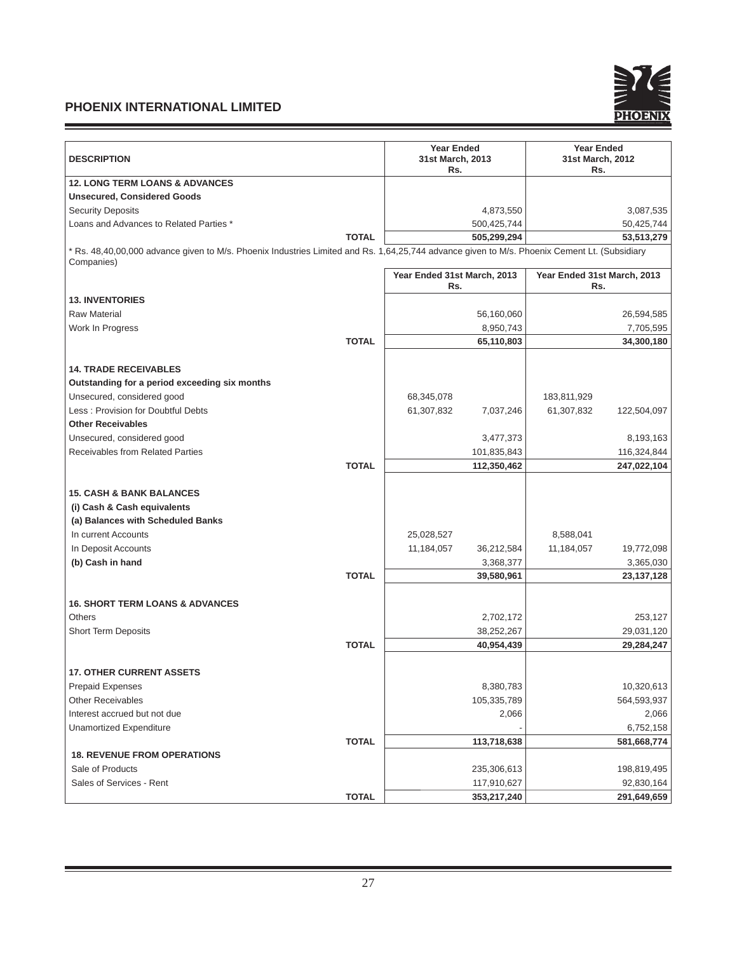Ξ

and the control of the control of the control of the control of the control of



a a

| <b>DESCRIPTION</b>                                                                                                                                         | <b>Year Ended</b><br>31st March, 2013<br>Rs. | <b>Year Ended</b><br>31st March, 2012<br>Rs. |
|------------------------------------------------------------------------------------------------------------------------------------------------------------|----------------------------------------------|----------------------------------------------|
| <b>12. LONG TERM LOANS &amp; ADVANCES</b>                                                                                                                  |                                              |                                              |
| <b>Unsecured, Considered Goods</b>                                                                                                                         |                                              |                                              |
| <b>Security Deposits</b>                                                                                                                                   | 4,873,550                                    | 3,087,535                                    |
| Loans and Advances to Related Parties *                                                                                                                    | 500,425,744                                  | 50,425,744                                   |
| <b>TOTAL</b>                                                                                                                                               | 505,299,294                                  | 53,513,279                                   |
| * Rs. 48,40,00,000 advance given to M/s. Phoenix Industries Limited and Rs. 1,64,25,744 advance given to M/s. Phoenix Cement Lt. (Subsidiary<br>Companies) |                                              |                                              |
|                                                                                                                                                            | Year Ended 31st March, 2013<br>Rs.           | Year Ended 31st March, 2013<br>Rs.           |
| <b>13. INVENTORIES</b>                                                                                                                                     |                                              |                                              |
| <b>Raw Material</b>                                                                                                                                        | 56,160,060                                   | 26,594,585                                   |
| Work In Progress                                                                                                                                           | 8,950,743                                    | 7,705,595                                    |
| <b>TOTAL</b>                                                                                                                                               | 65,110,803                                   | 34,300,180                                   |
| <b>14. TRADE RECEIVABLES</b>                                                                                                                               |                                              |                                              |
| Outstanding for a period exceeding six months                                                                                                              |                                              |                                              |
| Unsecured, considered good                                                                                                                                 | 68,345,078                                   | 183,811,929                                  |
| Less: Provision for Doubtful Debts                                                                                                                         | 61,307,832<br>7,037,246                      | 61,307,832<br>122,504,097                    |
| <b>Other Receivables</b>                                                                                                                                   |                                              |                                              |
| Unsecured, considered good                                                                                                                                 | 3,477,373                                    | 8,193,163                                    |
| <b>Receivables from Related Parties</b>                                                                                                                    | 101,835,843                                  | 116,324,844                                  |
| <b>TOTAL</b>                                                                                                                                               | 112,350,462                                  | 247,022,104                                  |
| <b>15. CASH &amp; BANK BALANCES</b>                                                                                                                        |                                              |                                              |
| (i) Cash & Cash equivalents                                                                                                                                |                                              |                                              |
| (a) Balances with Scheduled Banks                                                                                                                          |                                              |                                              |
| In current Accounts                                                                                                                                        | 25,028,527                                   | 8,588,041                                    |
| In Deposit Accounts                                                                                                                                        | 11,184,057<br>36,212,584                     | 11,184,057<br>19,772,098                     |
| (b) Cash in hand                                                                                                                                           | 3,368,377                                    | 3,365,030                                    |
| <b>TOTAL</b>                                                                                                                                               | 39,580,961                                   | 23, 137, 128                                 |
|                                                                                                                                                            |                                              |                                              |
| <b>16. SHORT TERM LOANS &amp; ADVANCES</b>                                                                                                                 |                                              |                                              |
| <b>Others</b>                                                                                                                                              | 2,702,172                                    | 253,127                                      |
| <b>Short Term Deposits</b>                                                                                                                                 | 38,252,267                                   | 29,031,120                                   |
| <b>TOTAL</b>                                                                                                                                               | 40,954,439                                   | 29,284,247                                   |
| <b>17. OTHER CURRENT ASSETS</b>                                                                                                                            |                                              |                                              |
| <b>Prepaid Expenses</b>                                                                                                                                    | 8,380,783                                    | 10,320,613                                   |
| <b>Other Receivables</b>                                                                                                                                   | 105,335,789                                  | 564,593,937                                  |
| Interest accrued but not due                                                                                                                               | 2,066                                        | 2,066                                        |
| Unamortized Expenditure                                                                                                                                    |                                              | 6,752,158                                    |
| <b>TOTAL</b>                                                                                                                                               | 113,718,638                                  | 581,668,774                                  |
| <b>18. REVENUE FROM OPERATIONS</b>                                                                                                                         |                                              |                                              |
| Sale of Products                                                                                                                                           | 235,306,613                                  | 198,819,495                                  |
| Sales of Services - Rent                                                                                                                                   | 117,910,627                                  | 92,830,164                                   |
| <b>TOTAL</b>                                                                                                                                               | 353,217,240                                  | 291,649,659                                  |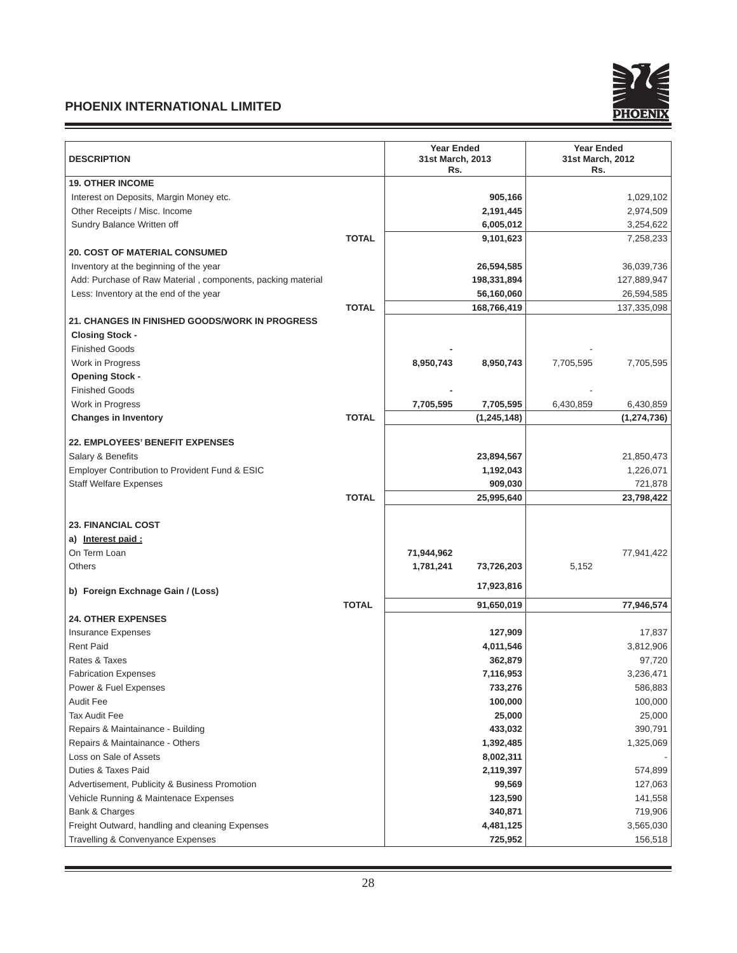and the control of the control of the control of



| <b>DESCRIPTION</b>                                          | <b>Year Ended</b><br>31st March, 2013<br>Rs. | <b>Year Ended</b><br>31st March, 2012<br>Rs. |  |
|-------------------------------------------------------------|----------------------------------------------|----------------------------------------------|--|
| <b>19. OTHER INCOME</b>                                     |                                              |                                              |  |
| Interest on Deposits, Margin Money etc.                     | 905,166                                      | 1,029,102                                    |  |
| Other Receipts / Misc. Income                               | 2,191,445                                    | 2,974,509                                    |  |
| Sundry Balance Written off                                  | 6,005,012                                    | 3,254,622                                    |  |
|                                                             | <b>TOTAL</b><br>9,101,623                    | 7,258,233                                    |  |
| <b>20. COST OF MATERIAL CONSUMED</b>                        |                                              |                                              |  |
| Inventory at the beginning of the year                      | 26,594,585                                   | 36,039,736                                   |  |
| Add: Purchase of Raw Material, components, packing material | 198,331,894                                  | 127,889,947                                  |  |
| Less: Inventory at the end of the year                      | 56,160,060                                   | 26,594,585                                   |  |
|                                                             | <b>TOTAL</b><br>168,766,419                  | 137,335,098                                  |  |
| <b>21. CHANGES IN FINISHED GOODS/WORK IN PROGRESS</b>       |                                              |                                              |  |
| <b>Closing Stock -</b>                                      |                                              |                                              |  |
| <b>Finished Goods</b>                                       |                                              |                                              |  |
| Work in Progress                                            | 8,950,743<br>8,950,743                       | 7,705,595<br>7,705,595                       |  |
| <b>Opening Stock -</b>                                      |                                              |                                              |  |
| <b>Finished Goods</b>                                       |                                              |                                              |  |
| Work in Progress                                            | 7,705,595<br>7,705,595                       | 6,430,859<br>6,430,859                       |  |
| <b>Changes in Inventory</b>                                 | <b>TOTAL</b><br>(1, 245, 148)                | (1, 274, 736)                                |  |
|                                                             |                                              |                                              |  |
| <b>22. EMPLOYEES' BENEFIT EXPENSES</b>                      |                                              |                                              |  |
| Salary & Benefits                                           | 23,894,567                                   | 21,850,473                                   |  |
| Employer Contribution to Provident Fund & ESIC              | 1,192,043                                    | 1,226,071                                    |  |
| <b>Staff Welfare Expenses</b>                               | 909,030                                      | 721,878                                      |  |
|                                                             | <b>TOTAL</b><br>25,995,640                   | 23,798,422                                   |  |
|                                                             |                                              |                                              |  |
| <b>23. FINANCIAL COST</b>                                   |                                              |                                              |  |
| a) Interest paid:                                           |                                              |                                              |  |
| On Term Loan                                                | 71,944,962                                   | 77,941,422                                   |  |
| Others                                                      | 1,781,241<br>73,726,203                      | 5,152                                        |  |
| b) Foreign Exchnage Gain / (Loss)                           | 17,923,816                                   |                                              |  |
|                                                             | <b>TOTAL</b><br>91,650,019                   | 77,946,574                                   |  |
| <b>24. OTHER EXPENSES</b>                                   |                                              |                                              |  |
| <b>Insurance Expenses</b>                                   | 127,909                                      | 17,837                                       |  |
| <b>Rent Paid</b>                                            | 4,011,546                                    | 3,812,906                                    |  |
| Rates & Taxes                                               | 362,879                                      | 97,720                                       |  |
| <b>Fabrication Expenses</b>                                 | 7,116,953                                    | 3,236,471                                    |  |
| Power & Fuel Expenses                                       | 733,276                                      | 586,883                                      |  |
| <b>Audit Fee</b>                                            | 100,000                                      | 100,000                                      |  |
| <b>Tax Audit Fee</b>                                        | 25,000                                       | 25,000                                       |  |
| Repairs & Maintainance - Building                           | 433,032                                      | 390,791                                      |  |
| Repairs & Maintainance - Others                             | 1,392,485                                    | 1,325,069                                    |  |
| Loss on Sale of Assets                                      | 8,002,311                                    |                                              |  |
| Duties & Taxes Paid                                         | 2,119,397                                    | 574,899                                      |  |
| Advertisement, Publicity & Business Promotion               | 99,569                                       | 127,063                                      |  |
| Vehicle Running & Maintenace Expenses                       | 123,590                                      | 141,558                                      |  |
| Bank & Charges                                              | 340,871                                      | 719,906                                      |  |
| Freight Outward, handling and cleaning Expenses             | 4,481,125                                    | 3,565,030                                    |  |
| Travelling & Convenyance Expenses                           | 725,952                                      | 156,518                                      |  |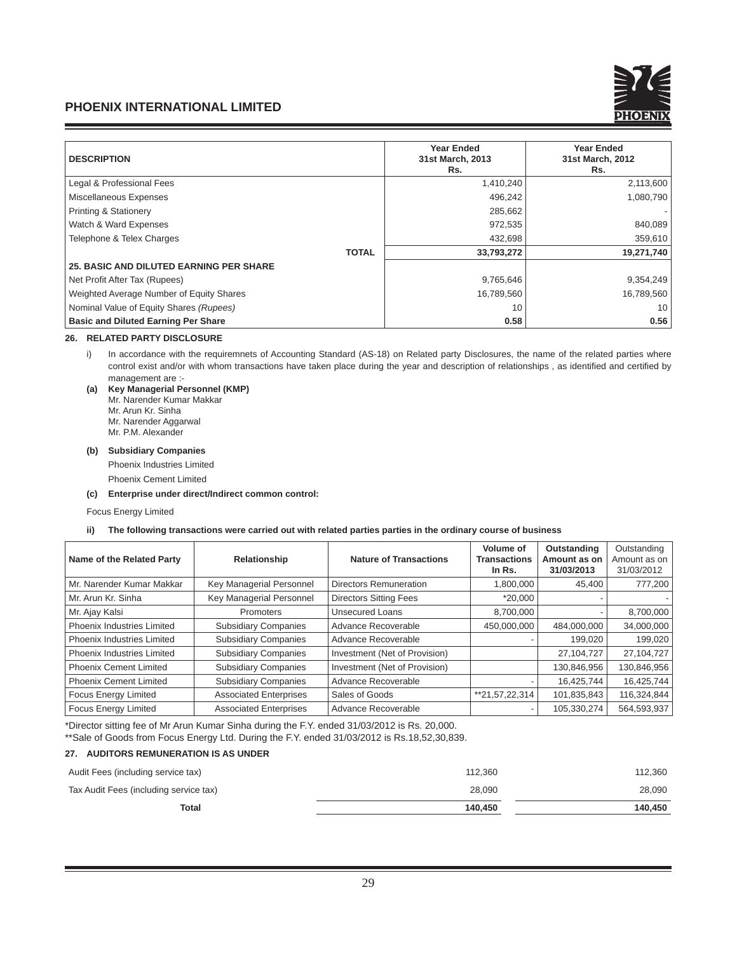

| <b>DESCRIPTION</b>                             | <b>Year Ended</b><br>31st March, 2013<br>Rs. | <b>Year Ended</b><br>31st March, 2012<br>Rs. |
|------------------------------------------------|----------------------------------------------|----------------------------------------------|
| Legal & Professional Fees                      | 1,410,240                                    | 2,113,600                                    |
| Miscellaneous Expenses                         | 496,242                                      | 1,080,790                                    |
| <b>Printing &amp; Stationery</b>               | 285,662                                      |                                              |
| Watch & Ward Expenses                          | 972,535                                      | 840,089                                      |
| Telephone & Telex Charges                      | 432,698                                      | 359,610                                      |
| <b>TOTAL</b>                                   | 33,793,272                                   | 19,271,740                                   |
| <b>25. BASIC AND DILUTED EARNING PER SHARE</b> |                                              |                                              |
| Net Profit After Tax (Rupees)                  | 9,765,646                                    | 9,354,249                                    |
| Weighted Average Number of Equity Shares       | 16,789,560                                   | 16,789,560                                   |
| Nominal Value of Equity Shares (Rupees)        | 10                                           | 10                                           |
| <b>Basic and Diluted Earning Per Share</b>     | 0.58                                         | 0.56                                         |

## **26. RELATED PARTY DISCLOSURE**

i) In accordance with the requiremnets of Accounting Standard (AS-18) on Related party Disclosures, the name of the related parties where control exist and/or with whom transactions have taken place during the year and description of relationships, as identified and certified by management are :-

**(a) Key Managerial Personnel (KMP)** Mr. Narender Kumar Makkar Mr. Arun Kr. Sinha Mr. Narender Aggarwal Mr. P.M. Alexander

#### **(b) Subsidiary Companies**

Phoenix Industries Limited

Phoenix Cement Limited

**(c) Enterprise under direct/Indirect common control:**

#### Focus Energy Limited

#### **ii) The following transactions were carried out with related parties parties in the ordinary course of business**

| Name of the Related Party         | Relationship                  | <b>Nature of Transactions</b> | Volume of<br><b>Transactions</b><br>In Rs. | Outstanding<br>Amount as on<br>31/03/2013 | Outstanding<br>Amount as on<br>31/03/2012 |
|-----------------------------------|-------------------------------|-------------------------------|--------------------------------------------|-------------------------------------------|-------------------------------------------|
| Mr. Narender Kumar Makkar         | Key Managerial Personnel      | Directors Remuneration        | 1,800,000                                  | 45,400                                    | 777,200                                   |
| Mr. Arun Kr. Sinha                | Key Managerial Personnel      | <b>Directors Sitting Fees</b> | $*20,000$                                  |                                           |                                           |
| Mr. Ajay Kalsi                    | <b>Promoters</b>              | <b>Unsecured Loans</b>        | 8,700,000                                  |                                           | 8,700,000                                 |
| <b>Phoenix Industries Limited</b> | <b>Subsidiary Companies</b>   | Advance Recoverable           | 450.000.000                                | 484,000,000                               | 34,000,000                                |
| Phoenix Industries Limited        | <b>Subsidiary Companies</b>   | Advance Recoverable           |                                            | 199,020                                   | 199,020                                   |
| Phoenix Industries Limited        | <b>Subsidiary Companies</b>   | Investment (Net of Provision) |                                            | 27,104,727                                | 27,104,727                                |
| <b>Phoenix Cement Limited</b>     | <b>Subsidiary Companies</b>   | Investment (Net of Provision) |                                            | 130,846,956                               | 130,846,956                               |
| <b>Phoenix Cement Limited</b>     | <b>Subsidiary Companies</b>   | Advance Recoverable           |                                            | 16,425,744                                | 16,425,744                                |
| <b>Focus Energy Limited</b>       | <b>Associated Enterprises</b> | Sales of Goods                | **21,57,22,314                             | 101,835,843                               | 116,324,844                               |
| <b>Focus Energy Limited</b>       | <b>Associated Enterprises</b> | Advance Recoverable           |                                            | 105,330,274                               | 564,593,937                               |

\*Director sitting fee of Mr Arun Kumar Sinha during the F.Y. ended 31/03/2012 is Rs. 20,000. \*\*Sale of Goods from Focus Energy Ltd. During the F.Y. ended 31/03/2012 is Rs.18,52,30,839.

## **27. AUDITORS REMUNERATION IS AS UNDER**

| 140.450 | 140.450 |
|---------|---------|
| 28.090  | 28,090  |
| 112.360 | 112.360 |
|         |         |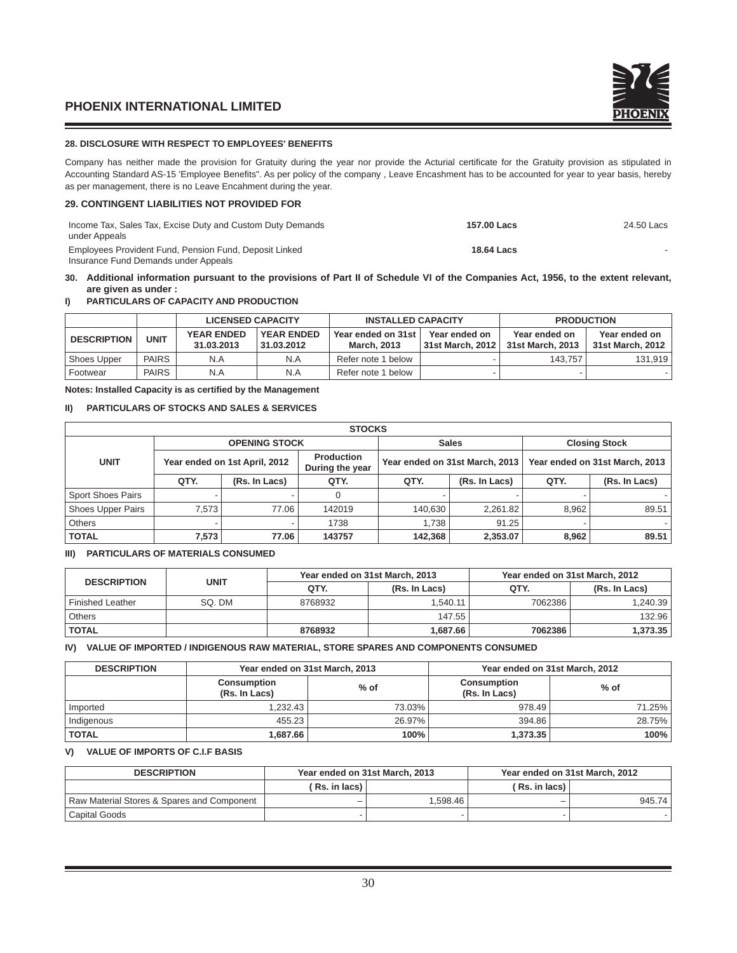## **28. DISCLOSURE WITH RESPECT TO EMPLOYEES' BENEFITS**

Company has neither made the provision for Gratuity during the year nor provide the Acturial certificate for the Gratuity provision as stipulated in Accounting Standard AS-15 'Employee Benefits". As per policy of the company, Leave Encashment has to be accounted for year to year basis, hereby as per management, there is no Leave Encahment during the year.

## **29. CONTINGENT LIABILITIES NOT PROVIDED FOR**

| Income Tax, Sales Tax, Excise Duty and Custom Duty Demands<br>under Appeals                    | 157.00 Lacs | 24.50 Lacs |
|------------------------------------------------------------------------------------------------|-------------|------------|
| Employees Provident Fund, Pension Fund, Deposit Linked<br>Insurance Fund Demands under Appeals | 18.64 Lacs  |            |

**30. Additional information pursuant to the provisions of Part II of Schedule VI of the Companies Act, 1956, to the extent relevant, are given as under :**

## **I) PARTICULARS OF CAPACITY AND PRODUCTION**

|                    |              | <b>LICENSED CAPACITY</b>        |                                 | <b>INSTALLED CAPACITY</b>                |                                     | <b>PRODUCTION</b>                 |                                   |  |
|--------------------|--------------|---------------------------------|---------------------------------|------------------------------------------|-------------------------------------|-----------------------------------|-----------------------------------|--|
| <b>DESCRIPTION</b> | <b>UNIT</b>  | <b>YEAR ENDED</b><br>31.03.2013 | <b>YEAR ENDED</b><br>31.03.2012 | Year ended on 31st<br><b>March, 2013</b> | Year ended on<br>  31st March. 2012 | Year ended on<br>31st March, 2013 | Year ended on<br>31st March, 2012 |  |
| Shoes Upper        | <b>PAIRS</b> | N.A                             | N.A                             | Refer note 1 below                       |                                     | 143.757                           | 131.919                           |  |
| Footwear           | <b>PAIRS</b> | N.A                             | N.A                             | Refer note 1 below                       |                                     |                                   |                                   |  |

#### **Notes: Installed Capacity is as certified by the Management**

#### **II) PARTICULARS OF STOCKS AND SALES & SERVICES**

| <b>STOCKS</b>            |                                                                       |                      |                                |         |                                |                      |               |  |
|--------------------------|-----------------------------------------------------------------------|----------------------|--------------------------------|---------|--------------------------------|----------------------|---------------|--|
|                          |                                                                       | <b>OPENING STOCK</b> |                                |         | <b>Sales</b>                   | <b>Closing Stock</b> |               |  |
| <b>UNIT</b>              | <b>Production</b><br>Year ended on 1st April, 2012<br>During the year |                      | Year ended on 31st March, 2013 |         | Year ended on 31st March, 2013 |                      |               |  |
|                          | QTY.                                                                  | (Rs. In Lacs)        | QTY.                           | QTY.    | (Rs. In Lacs)                  | QTY.                 | (Rs. In Lacs) |  |
| <b>Sport Shoes Pairs</b> |                                                                       |                      |                                |         |                                |                      |               |  |
| <b>Shoes Upper Pairs</b> | 7.573                                                                 | 77.06                | 142019                         | 140.630 | 2.261.82                       | 8.962                | 89.51         |  |
| <b>Others</b>            | $\overline{\phantom{a}}$                                              |                      | 1738                           | 1.738   | 91.25                          |                      |               |  |
| <b>TOTAL</b>             | 7.573                                                                 | 77.06                | 143757                         | 142.368 | 2.353.07                       | 8.962                | 89.51         |  |

# **III) PARTICULARS OF MATERIALS CONSUMED**

| <b>DESCRIPTION</b>      | <b>UNIT</b> |                       | Year ended on 31st March, 2013 | Year ended on 31st March, 2012 |               |  |
|-------------------------|-------------|-----------------------|--------------------------------|--------------------------------|---------------|--|
|                         |             | QTY.<br>(Rs. In Lacs) |                                | QTY.                           | (Rs. In Lacs) |  |
| <b>Finished Leather</b> | SO. DM      | 8768932               | 1.540.11                       | 7062386                        | 1,240.39      |  |
| <b>Others</b>           |             |                       | 147.55                         |                                | 132.96        |  |
| <b>TOTAL</b>            |             | 8768932               | 1.687.66                       | 7062386                        | 1,373.35      |  |

## **IV) VALUE OF IMPORTED / INDIGENOUS RAW MATERIAL, STORE SPARES AND COMPONENTS CONSUMED**

| <b>DESCRIPTION</b> |                                     | Year ended on 31st March, 2013 | Year ended on 31st March, 2012      |        |  |
|--------------------|-------------------------------------|--------------------------------|-------------------------------------|--------|--|
|                    | <b>Consumption</b><br>(Rs. In Lacs) | $%$ of                         | <b>Consumption</b><br>(Rs. In Lacs) | $%$ of |  |
| Imported           | 1.232.43                            | 73.03%                         | 978.49                              | 71.25% |  |
| Indigenous         | 455.23                              | 26.97%                         | 394.86                              | 28.75% |  |
| <b>TOTAL</b>       | 1.687.66                            | 100%                           | 1.373.35                            | 100%   |  |

## **V) VALUE OF IMPORTS OF C.I.F BASIS**

| <b>DESCRIPTION</b>                         |               | Year ended on 31st March, 2013 |                | Year ended on 31st March, 2012 |
|--------------------------------------------|---------------|--------------------------------|----------------|--------------------------------|
|                                            | (Rs. in lacs) |                                | ( Rs. in lacs) |                                |
| Raw Material Stores & Spares and Component |               | 1.598.46                       | -              | 945.74                         |
| Capital Goods                              |               |                                |                |                                |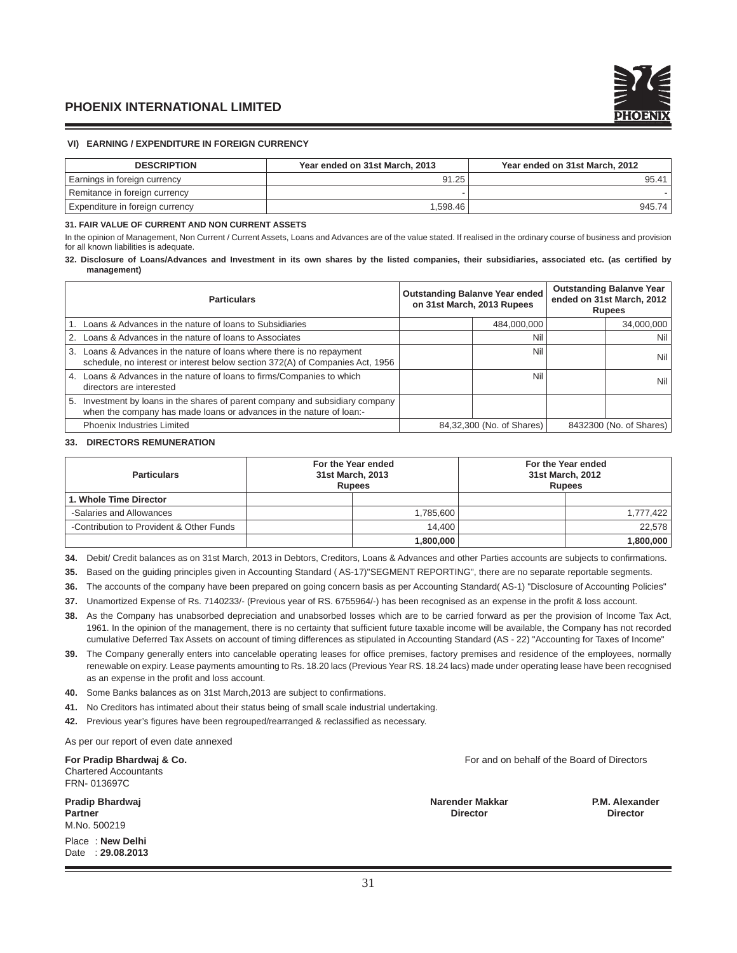## **VI) EARNING / EXPENDITURE IN FOREIGN CURRENCY**

| <b>DESCRIPTION</b>              | Year ended on 31st March, 2013 | Year ended on 31st March, 2012 |
|---------------------------------|--------------------------------|--------------------------------|
| Earnings in foreign currency    | 91.25                          | 95.41                          |
| Remitance in foreign currency   |                                |                                |
| Expenditure in foreign currency | 1.598.46                       | 945.74                         |

#### **31. FAIR VALUE OF CURRENT AND NON CURRENT ASSETS**

In the opinion of Management, Non Current / Current Assets, Loans and Advances are of the value stated. If realised in the ordinary course of business and provision for all known liabilities is adequate.

#### **32. Disclosure of Loans/Advances and Investment in its own shares by the listed companies, their subsidiaries, associated etc. (as certifi ed by management)**

| <b>Particulars</b> |                                                                                                                                                         | <b>Outstanding Balanve Year ended</b><br>on 31st March, 2013 Rupees |                           | <b>Outstanding Balanve Year</b><br>ended on 31st March, 2012<br><b>Rupees</b> |                         |
|--------------------|---------------------------------------------------------------------------------------------------------------------------------------------------------|---------------------------------------------------------------------|---------------------------|-------------------------------------------------------------------------------|-------------------------|
|                    | 1. Loans & Advances in the nature of loans to Subsidiaries                                                                                              |                                                                     | 484,000,000               |                                                                               | 34,000,000              |
|                    | 2. Loans & Advances in the nature of loans to Associates                                                                                                |                                                                     | Nil                       |                                                                               | Nil l                   |
|                    | 3. Loans & Advances in the nature of loans where there is no repayment<br>schedule, no interest or interest below section 372(A) of Companies Act, 1956 |                                                                     | Nil                       |                                                                               | Nil I                   |
|                    | 4. Loans & Advances in the nature of loans to firms/Companies to which<br>directors are interested                                                      |                                                                     | Nil                       |                                                                               | Nil I                   |
|                    | 5. Investment by loans in the shares of parent company and subsidiary company<br>when the company has made loans or advances in the nature of loan:-    |                                                                     |                           |                                                                               |                         |
|                    | <b>Phoenix Industries Limited</b>                                                                                                                       |                                                                     | 84,32,300 (No. of Shares) |                                                                               | 8432300 (No. of Shares) |

#### **33. DIRECTORS REMUNERATION**

| <b>Particulars</b>                       | 31st March, 2013<br><b>Rupees</b> | For the Year ended | For the Year ended<br>31st March, 2012<br><b>Rupees</b> |           |
|------------------------------------------|-----------------------------------|--------------------|---------------------------------------------------------|-----------|
| 1. Whole Time Director                   |                                   |                    |                                                         |           |
| -Salaries and Allowances                 |                                   | 1,785,600          |                                                         | 1,777,422 |
| -Contribution to Provident & Other Funds |                                   | 14.400             |                                                         | 22.578    |
|                                          |                                   | 1,800,000          |                                                         | 1,800,000 |

34. Debit/ Credit balances as on 31st March, 2013 in Debtors, Creditors, Loans & Advances and other Parties accounts are subjects to confirmations.

**35.** Based on the guiding principles given in Accounting Standard ( AS-17)"SEGMENT REPORTING", there are no separate reportable segments.

**36.** The accounts of the company have been prepared on going concern basis as per Accounting Standard( AS-1) "Disclosure of Accounting Policies"

37. Unamortized Expense of Rs. 7140233/- (Previous year of RS. 6755964/-) has been recognised as an expense in the profit & loss account.

- **38.** As the Company has unabsorbed depreciation and unabsorbed losses which are to be carried forward as per the provision of Income Tax Act, 1961. In the opinion of the management, there is no certainty that sufficient future taxable income will be available, the Company has not recorded cumulative Deferred Tax Assets on account of timing differences as stipulated in Accounting Standard (AS - 22) "Accounting for Taxes of Income"
- 39. The Company generally enters into cancelable operating leases for office premises, factory premises and residence of the employees, normally renewable on expiry. Lease payments amounting to Rs. 18.20 lacs (Previous Year RS. 18.24 lacs) made under operating lease have been recognised as an expense in the profit and loss account.
- 40. Some Banks balances as on 31st March, 2013 are subject to confirmations.
- **41.** No Creditors has intimated about their status being of small scale industrial undertaking.
- 42. Previous year's figures have been regrouped/rearranged & reclassified as necessary.

As per our report of even date annexed

Chartered Accountants FRN- 013697C

**Pradip Bhardwaj Narender Makkar P.M. Alexander Partner Director Director** M.No. 500219

Place : **New Delhi**  Date : **29.08.2013**

**For Pradip Bhardwai & Co. For and on behalf of the Board of Directors For and on behalf of the Board of Directors**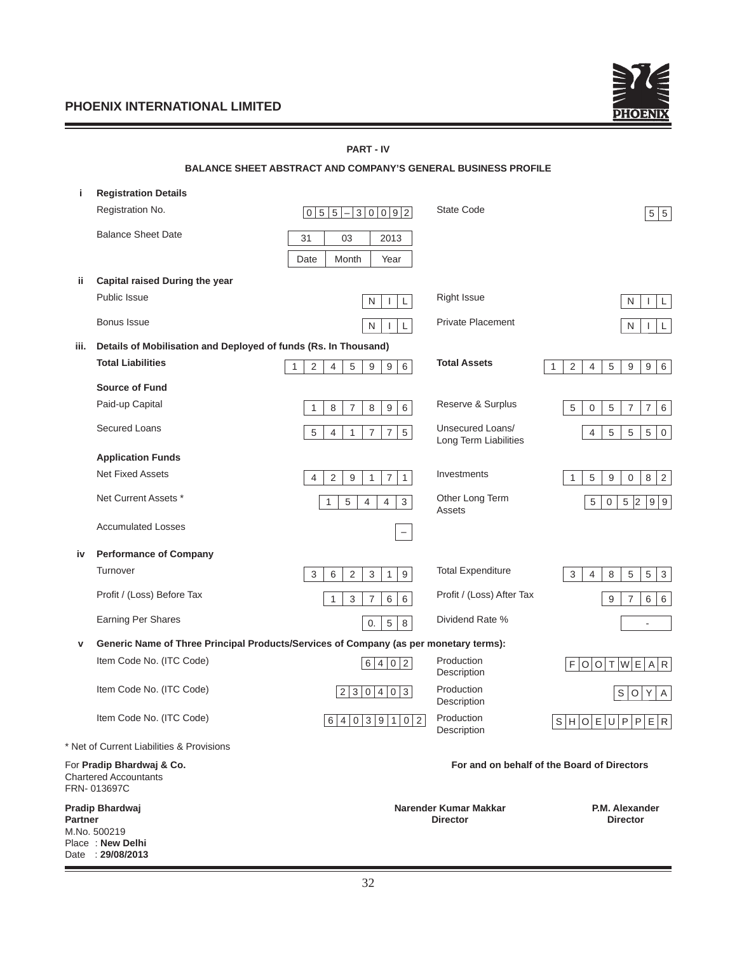Date : **29/08/2013**



|         |                                                                                       | <b>PART - IV</b>                                                                        |                                           |                                                                                    |
|---------|---------------------------------------------------------------------------------------|-----------------------------------------------------------------------------------------|-------------------------------------------|------------------------------------------------------------------------------------|
|         |                                                                                       | <b>BALANCE SHEET ABSTRACT AND COMPANY'S GENERAL BUSINESS PROFILE</b>                    |                                           |                                                                                    |
| j.      | <b>Registration Details</b>                                                           |                                                                                         |                                           |                                                                                    |
|         | Registration No.                                                                      | $5 5 -3 0 0 9 2$<br>$\overline{0}$                                                      | State Code                                | 5 5                                                                                |
|         | <b>Balance Sheet Date</b>                                                             | 31<br>03<br>2013                                                                        |                                           |                                                                                    |
|         |                                                                                       | Date<br>Month<br>Year                                                                   |                                           |                                                                                    |
| ii.     | Capital raised During the year                                                        |                                                                                         |                                           |                                                                                    |
|         | Public Issue                                                                          | N<br>L<br>$\mathbf{I}$                                                                  | <b>Right Issue</b>                        | N<br>L<br>$\mathbf{I}$                                                             |
|         | Bonus Issue                                                                           | ${\sf N}$<br>Г<br>T                                                                     | <b>Private Placement</b>                  | N<br>$\mathsf{L}$                                                                  |
| iii.    | Details of Mobilisation and Deployed of funds (Rs. In Thousand)                       |                                                                                         |                                           |                                                                                    |
|         | <b>Total Liabilities</b>                                                              | 6<br>5<br>2<br>$\overline{4}$<br>9<br>9<br>$\mathbf{1}$                                 | <b>Total Assets</b>                       | 1<br>2<br>$\overline{4}$<br>5<br>9<br>9<br>6                                       |
|         | <b>Source of Fund</b>                                                                 |                                                                                         |                                           |                                                                                    |
|         | Paid-up Capital                                                                       | $\overline{7}$<br>$\hbox{9}$<br>$\,6\,$<br>8<br>8<br>1                                  | Reserve & Surplus                         | 5<br>$\sqrt{5}$<br>$\overline{7}$<br>$\boldsymbol{7}$<br>$\,6\,$<br>$\mathbf 0$    |
|         | <b>Secured Loans</b>                                                                  | $\,$ 5 $\,$<br>$\overline{7}$<br>$\overline{7}$<br>5<br>4<br>1                          | Unsecured Loans/<br>Long Term Liabilities | $\,$ 5 $\,$<br>$\,$ 5 $\,$<br>5<br>4<br>$\boldsymbol{0}$                           |
|         | <b>Application Funds</b>                                                              |                                                                                         |                                           |                                                                                    |
|         | <b>Net Fixed Assets</b>                                                               | $\overline{7}$<br>$\overline{2}$<br>9<br>$\mathbf{1}$<br>$\overline{4}$<br>$\mathbf{1}$ | Investments                               | 5<br>9<br>$\,8\,$<br>$\overline{2}$<br>$\mathbf{1}$<br>$\boldsymbol{0}$            |
|         | Net Current Assets *                                                                  | $\mathbf{3}$<br>5<br>$\overline{4}$<br>$\overline{4}$<br>1                              | Other Long Term<br>Assets                 | $\overline{5}$<br>$\sqrt{5}$<br>$\vert$ <sub>2</sub><br>9 9<br>$\mathsf{O}\xspace$ |
|         | <b>Accumulated Losses</b>                                                             | -                                                                                       |                                           |                                                                                    |
| iv      | <b>Performance of Company</b>                                                         |                                                                                         |                                           |                                                                                    |
|         | Turnover                                                                              | $\boldsymbol{9}$<br>3<br>6<br>$\overline{2}$<br>3<br>$\mathbf{1}$                       | <b>Total Expenditure</b>                  | 5<br>5<br>3<br>8<br>$\mathbf{3}$<br>4                                              |
|         | Profit / (Loss) Before Tax                                                            | 3<br>$\overline{7}$<br>6<br>6<br>1                                                      | Profit / (Loss) After Tax                 | 9<br>$\overline{7}$<br>6<br>6                                                      |
|         | <b>Earning Per Shares</b>                                                             | 5<br>$\,8\,$<br>0.                                                                      | Dividend Rate %                           | $\overline{\phantom{a}}$                                                           |
| v       | Generic Name of Three Principal Products/Services of Company (as per monetary terms): |                                                                                         |                                           |                                                                                    |
|         | Item Code No. (ITC Code)                                                              | 6 4 0 2                                                                                 | Production<br>Description                 | F O O T W E A R                                                                    |
|         | Item Code No. (ITC Code)                                                              | 2 3 0 4 0 <br>3                                                                         | Production<br>Description                 | S O Y A                                                                            |
|         | Item Code No. (ITC Code)                                                              | 6 4 0 3 9 1 0 2                                                                         | Production<br>Description                 | S H O E U P P E R                                                                  |
|         | * Net of Current Liabilities & Provisions                                             |                                                                                         |                                           |                                                                                    |
|         | For Pradip Bhardwaj & Co.<br><b>Chartered Accountants</b><br>FRN-013697C              |                                                                                         |                                           | For and on behalf of the Board of Directors                                        |
| Partner | Pradip Bhardwaj<br>M.No. 500219<br>Place: New Delhi                                   |                                                                                         | Narender Kumar Makkar<br><b>Director</b>  | P.M. Alexander<br><b>Director</b>                                                  |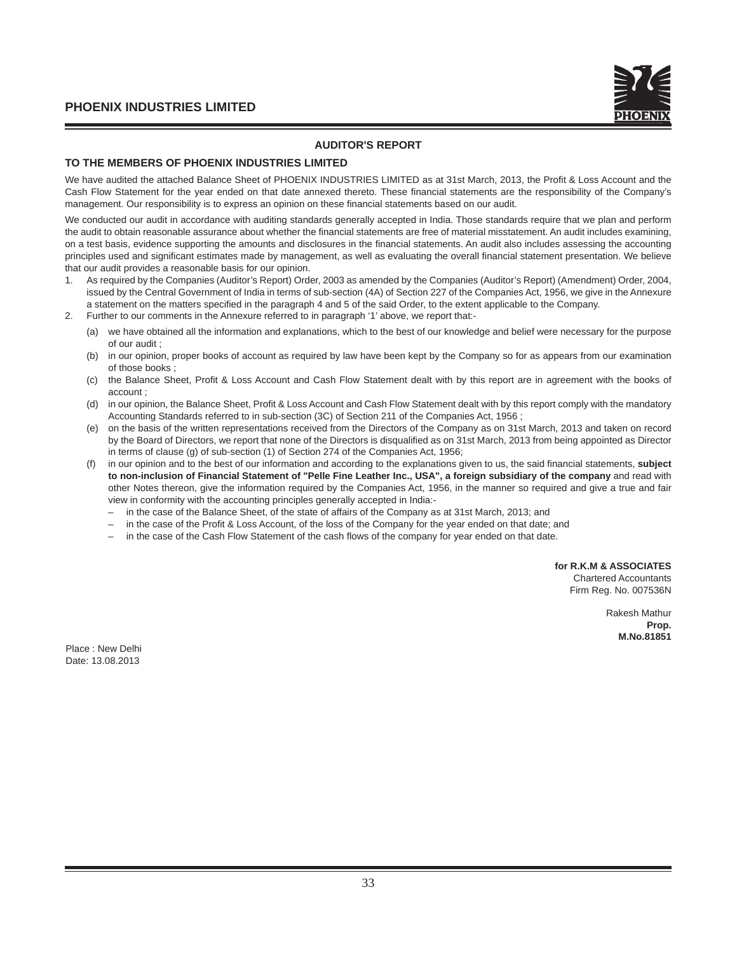# **AUDITOR'S REPORT**

# **TO THE MEMBERS OF PHOENIX INDUSTRIES LIMITED**

We have audited the attached Balance Sheet of PHOENIX INDUSTRIES LIMITED as at 31st March, 2013, the Profit & Loss Account and the Cash Flow Statement for the year ended on that date annexed thereto. These financial statements are the responsibility of the Company's management. Our responsibility is to express an opinion on these financial statements based on our audit.

We conducted our audit in accordance with auditing standards generally accepted in India. Those standards require that we plan and perform the audit to obtain reasonable assurance about whether the financial statements are free of material misstatement. An audit includes examining, on a test basis, evidence supporting the amounts and disclosures in the financial statements. An audit also includes assessing the accounting principles used and significant estimates made by management, as well as evaluating the overall financial statement presentation. We believe that our audit provides a reasonable basis for our opinion.

- 1. As required by the Companies (Auditor's Report) Order, 2003 as amended by the Companies (Auditor's Report) (Amendment) Order, 2004, issued by the Central Government of India in terms of sub-section (4A) of Section 227 of the Companies Act, 1956, we give in the Annexure a statement on the matters specified in the paragraph 4 and 5 of the said Order, to the extent applicable to the Company.
- 2. Further to our comments in the Annexure referred to in paragraph '1' above, we report that:-
	- (a) we have obtained all the information and explanations, which to the best of our knowledge and belief were necessary for the purpose of our audit ;
	- (b) in our opinion, proper books of account as required by law have been kept by the Company so for as appears from our examination of those books ;
	- (c) the Balance Sheet, Profit & Loss Account and Cash Flow Statement dealt with by this report are in agreement with the books of account ;
	- (d) in our opinion, the Balance Sheet, Profit & Loss Account and Cash Flow Statement dealt with by this report comply with the mandatory Accounting Standards referred to in sub-section (3C) of Section 211 of the Companies Act, 1956 ;
	- (e) on the basis of the written representations received from the Directors of the Company as on 31st March, 2013 and taken on record by the Board of Directors, we report that none of the Directors is disqualified as on 31st March, 2013 from being appointed as Director in terms of clause (g) of sub-section (1) of Section 274 of the Companies Act, 1956;
	- in our opinion and to the best of our information and according to the explanations given to us, the said financial statements, **subject to non-inclusion of Financial Statement of "Pelle Fine Leather Inc., USA", a foreign subsidiary of the company** and read with other Notes thereon, give the information required by the Companies Act, 1956, in the manner so required and give a true and fair view in conformity with the accounting principles generally accepted in India:-
		- in the case of the Balance Sheet, of the state of affairs of the Company as at 31st March, 2013; and
		- in the case of the Profit & Loss Account, of the loss of the Company for the year ended on that date; and
		- in the case of the Cash Flow Statement of the cash flows of the company for year ended on that date.

**for R.K.M & ASSOCIATES**

Chartered Accountants Firm Reg. No. 007536N

> Rakesh Mathur **Prop. M.No.81851**

Place : New Delhi Date: 13.08.2013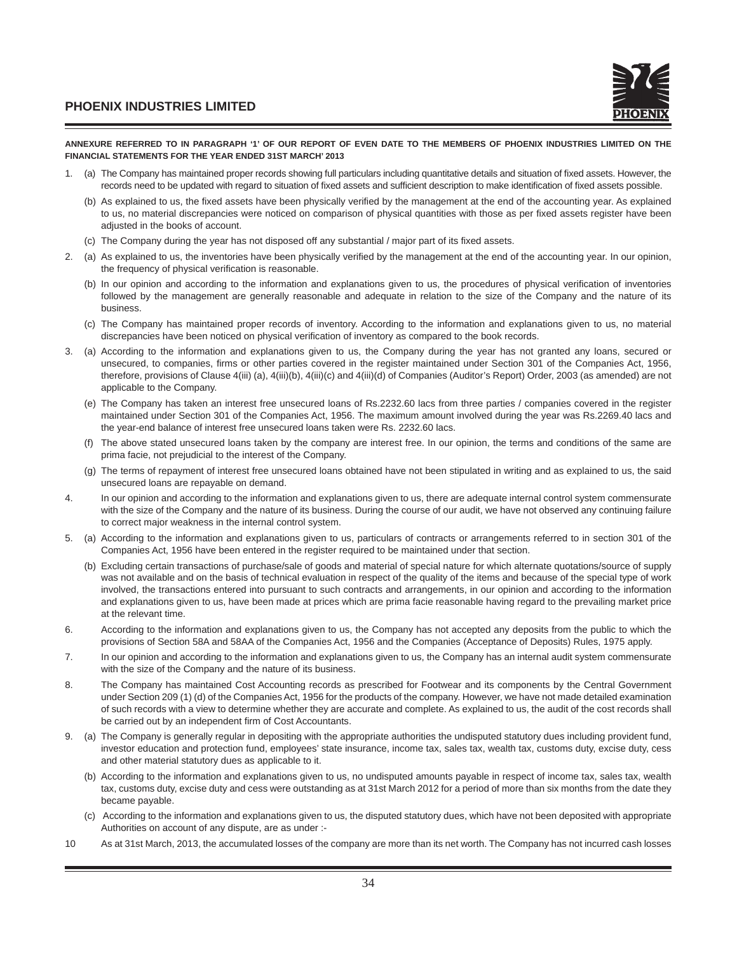

#### **ANNEXURE REFERRED TO IN PARAGRAPH '1' OF OUR REPORT OF EVEN DATE TO THE MEMBERS OF PHOENIX INDUSTRIES LIMITED ON THE FINANCIAL STATEMENTS FOR THE YEAR ENDED 31ST MARCH' 2013**

- 1. (a) The Company has maintained proper records showing full particulars including quantitative details and situation of fixed assets. However, the records need to be updated with regard to situation of fixed assets and sufficient description to make identification of fixed assets possible.
	- (b) As explained to us, the fixed assets have been physically verified by the management at the end of the accounting year. As explained to us, no material discrepancies were noticed on comparison of physical quantities with those as per fixed assets register have been adjusted in the books of account.
	- (c) The Company during the year has not disposed off any substantial / major part of its fixed assets.
- 2. (a) As explained to us, the inventories have been physically verified by the management at the end of the accounting year. In our opinion, the frequency of physical verification is reasonable.
	- (b) In our opinion and according to the information and explanations given to us, the procedures of physical verification of inventories followed by the management are generally reasonable and adequate in relation to the size of the Company and the nature of its business.
	- (c) The Company has maintained proper records of inventory. According to the information and explanations given to us, no material discrepancies have been noticed on physical verification of inventory as compared to the book records.
- 3. (a) According to the information and explanations given to us, the Company during the year has not granted any loans, secured or unsecured, to companies, firms or other parties covered in the register maintained under Section 301 of the Companies Act, 1956, therefore, provisions of Clause 4(iii) (a), 4(iii)(b), 4(iii)(c) and 4(iii)(d) of Companies (Auditor's Report) Order, 2003 (as amended) are not applicable to the Company.
	- (e) The Company has taken an interest free unsecured loans of Rs.2232.60 lacs from three parties / companies covered in the register maintained under Section 301 of the Companies Act, 1956. The maximum amount involved during the year was Rs.2269.40 lacs and the year-end balance of interest free unsecured loans taken were Rs. 2232.60 lacs.
	- (f) The above stated unsecured loans taken by the company are interest free. In our opinion, the terms and conditions of the same are prima facie, not prejudicial to the interest of the Company.
	- (g) The terms of repayment of interest free unsecured loans obtained have not been stipulated in writing and as explained to us, the said unsecured loans are repayable on demand.
- 4. In our opinion and according to the information and explanations given to us, there are adequate internal control system commensurate with the size of the Company and the nature of its business. During the course of our audit, we have not observed any continuing failure to correct major weakness in the internal control system.
- 5. (a) According to the information and explanations given to us, particulars of contracts or arrangements referred to in section 301 of the Companies Act, 1956 have been entered in the register required to be maintained under that section.
	- (b) Excluding certain transactions of purchase/sale of goods and material of special nature for which alternate quotations/source of supply was not available and on the basis of technical evaluation in respect of the quality of the items and because of the special type of work involved, the transactions entered into pursuant to such contracts and arrangements, in our opinion and according to the information and explanations given to us, have been made at prices which are prima facie reasonable having regard to the prevailing market price at the relevant time.
- 6. According to the information and explanations given to us, the Company has not accepted any deposits from the public to which the provisions of Section 58A and 58AA of the Companies Act, 1956 and the Companies (Acceptance of Deposits) Rules, 1975 apply.
- 7. In our opinion and according to the information and explanations given to us, the Company has an internal audit system commensurate with the size of the Company and the nature of its business.
- 8. The Company has maintained Cost Accounting records as prescribed for Footwear and its components by the Central Government under Section 209 (1) (d) of the Companies Act, 1956 for the products of the company. However, we have not made detailed examination of such records with a view to determine whether they are accurate and complete. As explained to us, the audit of the cost records shall be carried out by an independent firm of Cost Accountants.
- 9. (a) The Company is generally regular in depositing with the appropriate authorities the undisputed statutory dues including provident fund, investor education and protection fund, employees' state insurance, income tax, sales tax, wealth tax, customs duty, excise duty, cess and other material statutory dues as applicable to it.
	- (b) According to the information and explanations given to us, no undisputed amounts payable in respect of income tax, sales tax, wealth tax, customs duty, excise duty and cess were outstanding as at 31st March 2012 for a period of more than six months from the date they became payable.
	- (c) According to the information and explanations given to us, the disputed statutory dues, which have not been deposited with appropriate Authorities on account of any dispute, are as under :-
- 10 As at 31st March, 2013, the accumulated losses of the company are more than its net worth. The Company has not incurred cash losses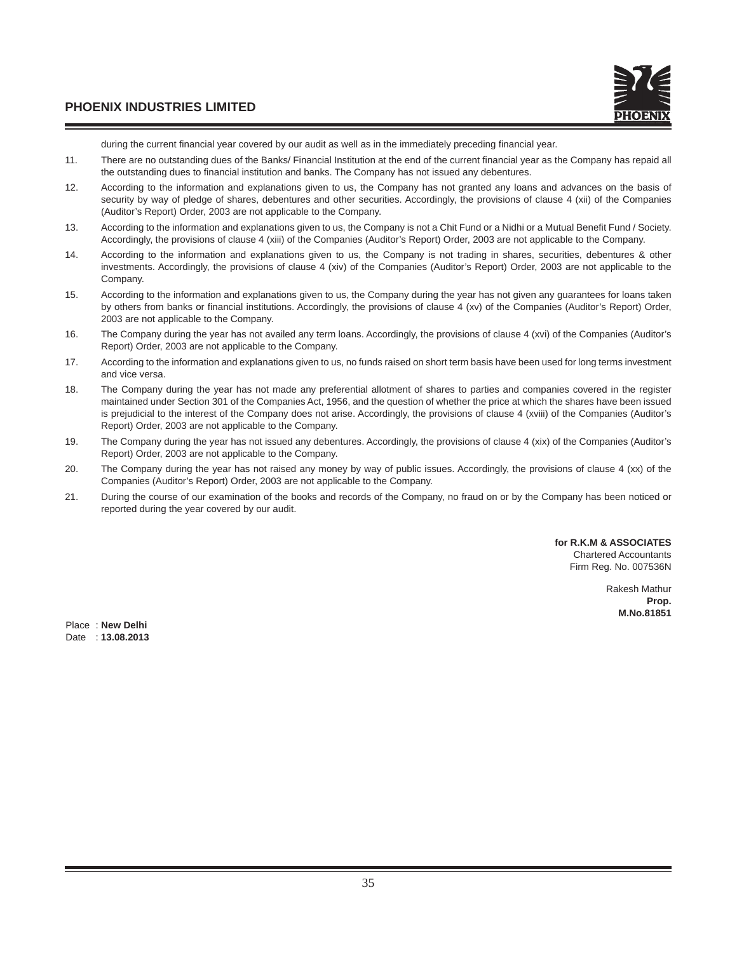during the current financial year covered by our audit as well as in the immediately preceding financial year.

- 11. There are no outstanding dues of the Banks/ Financial Institution at the end of the current financial year as the Company has repaid all the outstanding dues to financial institution and banks. The Company has not issued any debentures.
- 12. According to the information and explanations given to us, the Company has not granted any loans and advances on the basis of security by way of pledge of shares, debentures and other securities. Accordingly, the provisions of clause 4 (xii) of the Companies (Auditor's Report) Order, 2003 are not applicable to the Company.
- 13. According to the information and explanations given to us, the Company is not a Chit Fund or a Nidhi or a Mutual Benefit Fund / Society. Accordingly, the provisions of clause 4 (xiii) of the Companies (Auditor's Report) Order, 2003 are not applicable to the Company.
- 14. According to the information and explanations given to us, the Company is not trading in shares, securities, debentures & other investments. Accordingly, the provisions of clause 4 (xiv) of the Companies (Auditor's Report) Order, 2003 are not applicable to the Company.
- 15. According to the information and explanations given to us, the Company during the year has not given any guarantees for loans taken by others from banks or financial institutions. Accordingly, the provisions of clause 4 (xv) of the Companies (Auditor's Report) Order, 2003 are not applicable to the Company.
- 16. The Company during the year has not availed any term loans. Accordingly, the provisions of clause 4 (xvi) of the Companies (Auditor's Report) Order, 2003 are not applicable to the Company.
- 17. According to the information and explanations given to us, no funds raised on short term basis have been used for long terms investment and vice versa.
- 18. The Company during the year has not made any preferential allotment of shares to parties and companies covered in the register maintained under Section 301 of the Companies Act, 1956, and the question of whether the price at which the shares have been issued is prejudicial to the interest of the Company does not arise. Accordingly, the provisions of clause 4 (xviii) of the Companies (Auditor's Report) Order, 2003 are not applicable to the Company.
- 19. The Company during the year has not issued any debentures. Accordingly, the provisions of clause 4 (xix) of the Companies (Auditor's Report) Order, 2003 are not applicable to the Company.
- 20. The Company during the year has not raised any money by way of public issues. Accordingly, the provisions of clause 4 (xx) of the Companies (Auditor's Report) Order, 2003 are not applicable to the Company.
- 21. During the course of our examination of the books and records of the Company, no fraud on or by the Company has been noticed or reported during the year covered by our audit.

**for R.K.M & ASSOCIATES** Chartered Accountants Firm Reg. No. 007536N

> Rakesh Mathur **Prop. M.No.81851**

Place : **New Delhi** Date : **13.08.2013**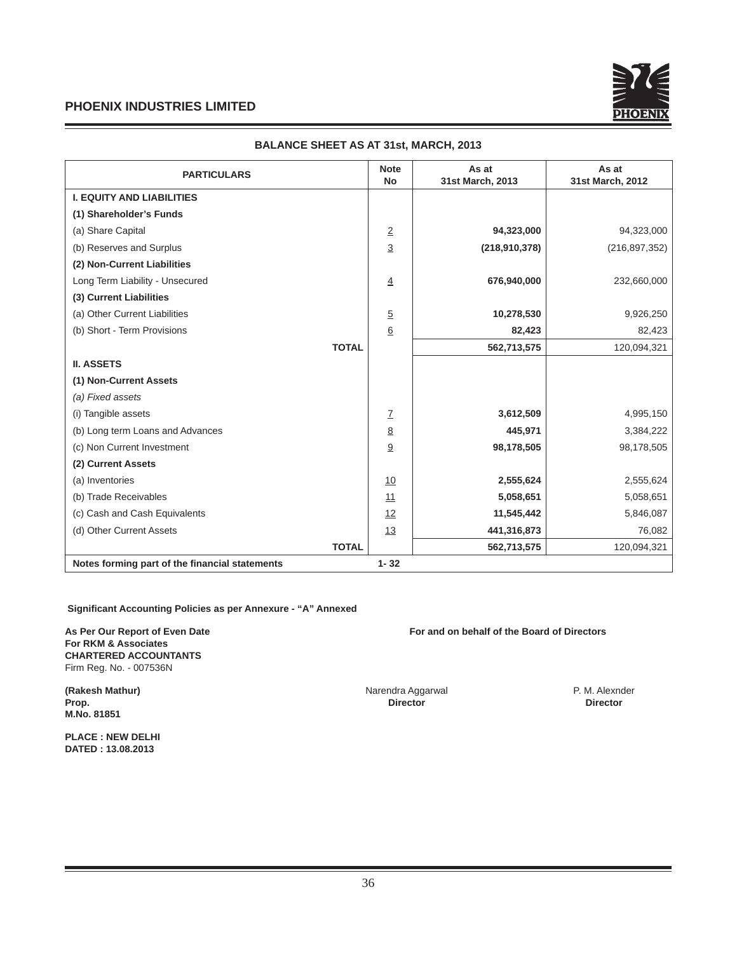

| <b>PARTICULARS</b>                             |              | <b>Note</b><br><b>No</b> | As at<br>31st March, 2013 | As at<br>31st March, 2012 |
|------------------------------------------------|--------------|--------------------------|---------------------------|---------------------------|
| <b>I. EQUITY AND LIABILITIES</b>               |              |                          |                           |                           |
| (1) Shareholder's Funds                        |              |                          |                           |                           |
| (a) Share Capital                              |              | $\overline{2}$           | 94,323,000                | 94,323,000                |
| (b) Reserves and Surplus                       |              | $\overline{3}$           | (218,910,378)             | (216, 897, 352)           |
| (2) Non-Current Liabilities                    |              |                          |                           |                           |
| Long Term Liability - Unsecured                |              | $\overline{4}$           | 676,940,000               | 232,660,000               |
| (3) Current Liabilities                        |              |                          |                           |                           |
| (a) Other Current Liabilities                  |              | 5                        | 10,278,530                | 9,926,250                 |
| (b) Short - Term Provisions                    |              | <u>6</u>                 | 82,423                    | 82,423                    |
|                                                | <b>TOTAL</b> |                          | 562,713,575               | 120,094,321               |
| <b>II. ASSETS</b>                              |              |                          |                           |                           |
| (1) Non-Current Assets                         |              |                          |                           |                           |
| (a) Fixed assets                               |              |                          |                           |                           |
| (i) Tangible assets                            |              | Z                        | 3,612,509                 | 4,995,150                 |
| (b) Long term Loans and Advances               |              | <u>8</u>                 | 445,971                   | 3,384,222                 |
| (c) Non Current Investment                     |              | 9                        | 98,178,505                | 98,178,505                |
| (2) Current Assets                             |              |                          |                           |                           |
| (a) Inventories                                |              | 10                       | 2,555,624                 | 2,555,624                 |
| (b) Trade Receivables                          |              | 11                       | 5,058,651                 | 5,058,651                 |
| (c) Cash and Cash Equivalents                  |              | 12                       | 11,545,442                | 5,846,087                 |
| (d) Other Current Assets                       |              | 13                       | 441,316,873               | 76,082                    |
|                                                | <b>TOTAL</b> |                          | 562,713,575               | 120,094,321               |
| Notes forming part of the financial statements |              | $1 - 32$                 |                           |                           |

# **BALANCE SHEET AS AT 31st, MARCH, 2013**

 **Signifi cant Accounting Policies as per Annexure - "A" Annexed** 

**For RKM & Associates CHARTERED ACCOUNTANTS** Firm Reg. No. - 007536N

**(Rakesh Mathur) (Rakesh Mathur) 1998 1999 Narendra Aggarwal P. M. Alexnder Prop. (P. M. Alexnder Prop. 2014) P. M. Alexnder Prop. Director Prop. Director Director M.No. 81851**

**PLACE : NEW DELHI DATED : 13.08.2013**

**As Per Our Report of Even Date For and on behalf of the Board of Directors**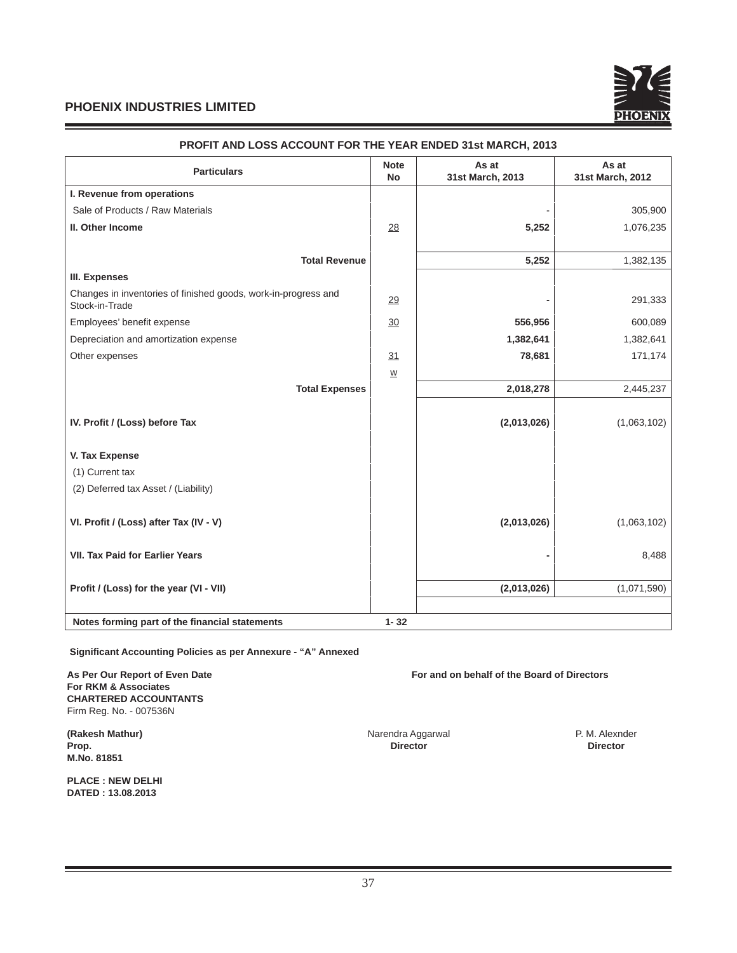

| <b>Particulars</b>                                                               | <b>Note</b><br><b>No</b> | As at<br>31st March, 2013 | As at<br>31st March, 2012 |
|----------------------------------------------------------------------------------|--------------------------|---------------------------|---------------------------|
| I. Revenue from operations                                                       |                          |                           |                           |
| Sale of Products / Raw Materials                                                 |                          |                           | 305,900                   |
| II. Other Income                                                                 | 28                       | 5,252                     | 1,076,235                 |
| <b>Total Revenue</b>                                                             |                          | 5,252                     | 1,382,135                 |
| III. Expenses                                                                    |                          |                           |                           |
| Changes in inventories of finished goods, work-in-progress and<br>Stock-in-Trade | 29                       |                           | 291,333                   |
| Employees' benefit expense                                                       | 30                       | 556,956                   | 600,089                   |
| Depreciation and amortization expense                                            |                          | 1,382,641                 | 1,382,641                 |
| Other expenses                                                                   | 31                       | 78,681                    | 171,174                   |
|                                                                                  | $\underline{\mathsf{W}}$ |                           |                           |
| <b>Total Expenses</b>                                                            |                          | 2,018,278                 | 2,445,237                 |
| IV. Profit / (Loss) before Tax                                                   |                          | (2,013,026)               | (1,063,102)               |
| V. Tax Expense                                                                   |                          |                           |                           |
| (1) Current tax                                                                  |                          |                           |                           |
| (2) Deferred tax Asset / (Liability)                                             |                          |                           |                           |
| VI. Profit / (Loss) after Tax (IV - V)                                           |                          | (2,013,026)               | (1,063,102)               |
| <b>VII. Tax Paid for Earlier Years</b>                                           |                          |                           | 8,488                     |
| Profit / (Loss) for the year (VI - VII)                                          |                          | (2,013,026)               | (1,071,590)               |
|                                                                                  |                          |                           |                           |
| Notes forming part of the financial statements                                   | $1 - 32$                 |                           |                           |

# **PROFIT AND LOSS ACCOUNT FOR THE YEAR ENDED 31st MARCH, 2013**

 **Signifi cant Accounting Policies as per Annexure - "A" Annexed** 

**For RKM & Associates CHARTERED ACCOUNTANTS** Firm Reg. No. - 007536N

**M.No. 81851**

**PLACE : NEW DELHI DATED : 13.08.2013**

As Per Our Report of Even Date **For and on behalf of the Board of Directors** 

**(Rakesh Mathur) Calcularies Access 19 and 20 and 20 and 20 and 20 and 20 and 20 and 20 and 20 and 20 and 20 and 20 and 20 and 20 and 20 and 20 and 20 and 20 and 20 and 20 and 20 and 20 and 20 and 20 and 20 and 20 and 20 Prop. Director Director**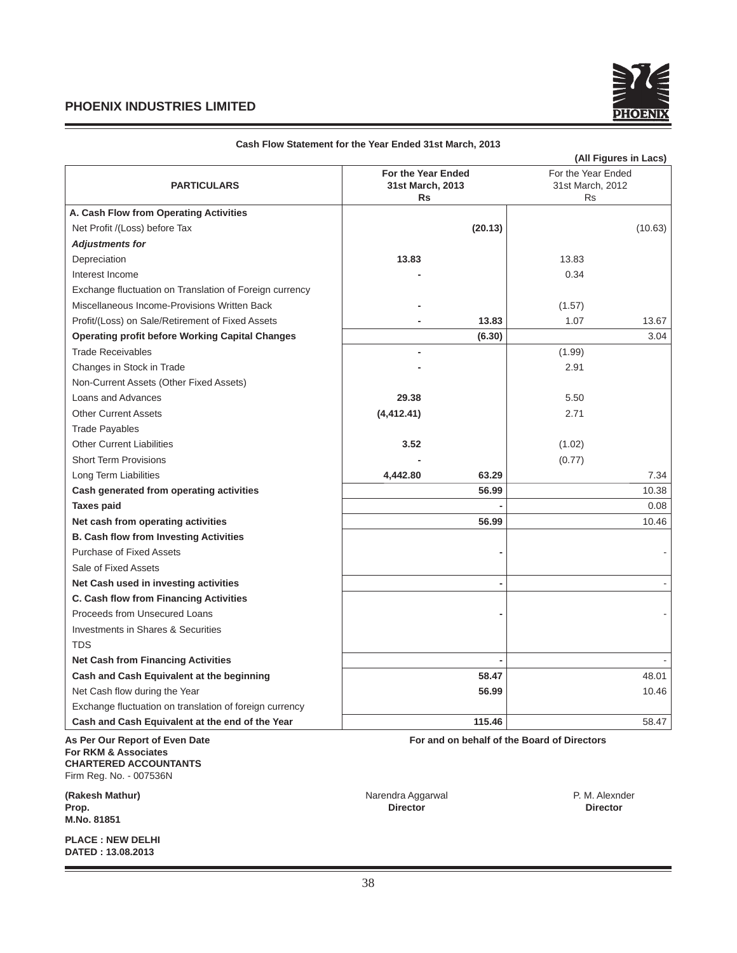

|                                                         |                    |         |                                             | (All Figures in Lacs) |
|---------------------------------------------------------|--------------------|---------|---------------------------------------------|-----------------------|
|                                                         | For the Year Ended |         | For the Year Ended<br>31st March, 2012      |                       |
| <b>PARTICULARS</b>                                      | 31st March, 2013   |         |                                             |                       |
|                                                         | <b>Rs</b>          |         | <b>Rs</b>                                   |                       |
| A. Cash Flow from Operating Activities                  |                    |         |                                             |                       |
| Net Profit /(Loss) before Tax                           |                    | (20.13) |                                             | (10.63)               |
| <b>Adjustments for</b>                                  |                    |         |                                             |                       |
| Depreciation                                            | 13.83              |         | 13.83                                       |                       |
| Interest Income                                         |                    |         | 0.34                                        |                       |
| Exchange fluctuation on Translation of Foreign currency |                    |         |                                             |                       |
| Miscellaneous Income-Provisions Written Back            |                    |         | (1.57)                                      |                       |
| Profit/(Loss) on Sale/Retirement of Fixed Assets        |                    | 13.83   | 1.07                                        | 13.67                 |
| <b>Operating profit before Working Capital Changes</b>  |                    | (6.30)  |                                             | 3.04                  |
| <b>Trade Receivables</b>                                |                    |         | (1.99)                                      |                       |
| Changes in Stock in Trade                               |                    |         | 2.91                                        |                       |
| Non-Current Assets (Other Fixed Assets)                 |                    |         |                                             |                       |
| Loans and Advances                                      | 29.38              |         | 5.50                                        |                       |
| <b>Other Current Assets</b>                             | (4, 412.41)        |         | 2.71                                        |                       |
| <b>Trade Payables</b>                                   |                    |         |                                             |                       |
| <b>Other Current Liabilities</b>                        | 3.52               |         | (1.02)                                      |                       |
| <b>Short Term Provisions</b>                            |                    |         | (0.77)                                      |                       |
| Long Term Liabilities                                   | 4,442.80           | 63.29   |                                             | 7.34                  |
| Cash generated from operating activities                |                    | 56.99   |                                             | 10.38                 |
| <b>Taxes paid</b>                                       |                    |         |                                             | 0.08                  |
| Net cash from operating activities                      |                    | 56.99   |                                             | 10.46                 |
| <b>B. Cash flow from Investing Activities</b>           |                    |         |                                             |                       |
| Purchase of Fixed Assets                                |                    |         |                                             |                       |
| Sale of Fixed Assets                                    |                    |         |                                             |                       |
| Net Cash used in investing activities                   |                    |         |                                             |                       |
| C. Cash flow from Financing Activities                  |                    |         |                                             |                       |
| Proceeds from Unsecured Loans                           |                    |         |                                             |                       |
| Investments in Shares & Securities                      |                    |         |                                             |                       |
| <b>TDS</b>                                              |                    |         |                                             |                       |
| <b>Net Cash from Financing Activities</b>               |                    |         |                                             |                       |
| Cash and Cash Equivalent at the beginning               |                    | 58.47   |                                             | 48.01                 |
| Net Cash flow during the Year                           |                    | 56.99   |                                             | 10.46                 |
| Exchange fluctuation on translation of foreign currency |                    |         |                                             |                       |
| Cash and Cash Equivalent at the end of the Year         |                    | 115.46  |                                             | 58.47                 |
| As Per Our Report of Even Date<br>For RKM & Associates  |                    |         | For and on behalf of the Board of Directors |                       |

# **Cash Flow Statement for the Year Ended 31st March, 2013**

**CHARTERED ACCOUNTANTS** Firm Reg. No. - 007536N

**(Rakesh Mathur) Calcularies Access 19 and 20 and 20 and 20 and 20 and 20 and 20 and 20 and 20 and 20 and 20 and 20 and 20 and 20 and 20 and 20 and 20 and 20 and 20 and 20 and 20 and 20 and 20 and 20 and 20 and 20 and 20 Prop. Director Director M.No. 81851**

**PLACE : NEW DELHI DATED : 13.08.2013**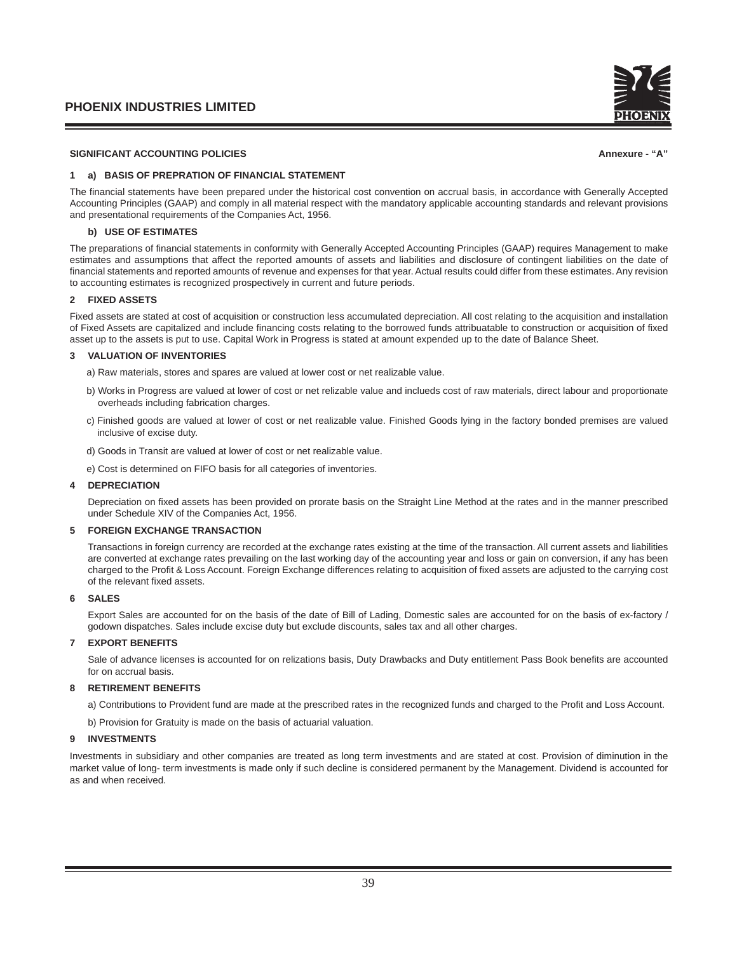

# SIGNIFICANT ACCOUNTING POLICIES **Annexure - "A"** Annexure - "A" **Annexure - "A"** Annexure - "A"

# **1 a) BASIS OF PREPRATION OF FINANCIAL STATEMENT**

The financial statements have been prepared under the historical cost convention on accrual basis, in accordance with Generally Accepted Accounting Principles (GAAP) and comply in all material respect with the mandatory applicable accounting standards and relevant provisions and presentational requirements of the Companies Act, 1956.

## **b) USE OF ESTIMATES**

The preparations of financial statements in conformity with Generally Accepted Accounting Principles (GAAP) requires Management to make estimates and assumptions that affect the reported amounts of assets and liabilities and disclosure of contingent liabilities on the date of financial statements and reported amounts of revenue and expenses for that year. Actual results could differ from these estimates. Any revision to accounting estimates is recognized prospectively in current and future periods.

## **2 FIXED ASSETS**

Fixed assets are stated at cost of acquisition or construction less accumulated depreciation. All cost relating to the acquisition and installation of Fixed Assets are capitalized and include financing costs relating to the borrowed funds attribuatable to construction or acquisition of fixed asset up to the assets is put to use. Capital Work in Progress is stated at amount expended up to the date of Balance Sheet.

## **3 VALUATION OF INVENTORIES**

- a) Raw materials, stores and spares are valued at lower cost or net realizable value.
- b) Works in Progress are valued at lower of cost or net relizable value and inclueds cost of raw materials, direct labour and proportionate overheads including fabrication charges.
- c) Finished goods are valued at lower of cost or net realizable value. Finished Goods lying in the factory bonded premises are valued inclusive of excise duty.
- d) Goods in Transit are valued at lower of cost or net realizable value.
- e) Cost is determined on FIFO basis for all categories of inventories.

# **4 DEPRECIATION**

Depreciation on fixed assets has been provided on prorate basis on the Straight Line Method at the rates and in the manner prescribed under Schedule XIV of the Companies Act, 1956.

## **5 FOREIGN EXCHANGE TRANSACTION**

Transactions in foreign currency are recorded at the exchange rates existing at the time of the transaction. All current assets and liabilities are converted at exchange rates prevailing on the last working day of the accounting year and loss or gain on conversion, if any has been charged to the Profit & Loss Account. Foreign Exchange differences relating to acquisition of fixed assets are adjusted to the carrying cost of the relevant fixed assets.

#### **6 SALES**

Export Sales are accounted for on the basis of the date of Bill of Lading, Domestic sales are accounted for on the basis of ex-factory / godown dispatches. Sales include excise duty but exclude discounts, sales tax and all other charges.

#### **7 EXPORT BENEFITS**

Sale of advance licenses is accounted for on relizations basis, Duty Drawbacks and Duty entitlement Pass Book benefits are accounted for on accrual basis.

#### **8 RETIREMENT BENEFITS**

a) Contributions to Provident fund are made at the prescribed rates in the recognized funds and charged to the Profit and Loss Account.

b) Provision for Gratuity is made on the basis of actuarial valuation.

## **9 INVESTMENTS**

Investments in subsidiary and other companies are treated as long term investments and are stated at cost. Provision of diminution in the market value of long- term investments is made only if such decline is considered permanent by the Management. Dividend is accounted for as and when received.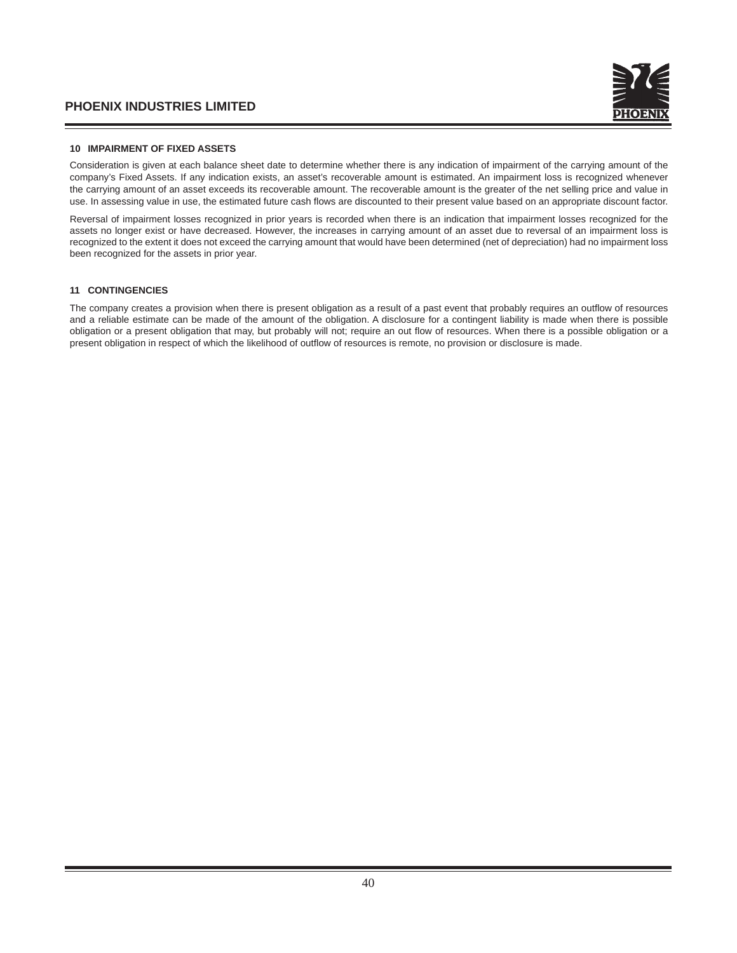

## **10 IMPAIRMENT OF FIXED ASSETS**

Consideration is given at each balance sheet date to determine whether there is any indication of impairment of the carrying amount of the company's Fixed Assets. If any indication exists, an asset's recoverable amount is estimated. An impairment loss is recognized whenever the carrying amount of an asset exceeds its recoverable amount. The recoverable amount is the greater of the net selling price and value in use. In assessing value in use, the estimated future cash flows are discounted to their present value based on an appropriate discount factor.

Reversal of impairment losses recognized in prior years is recorded when there is an indication that impairment losses recognized for the assets no longer exist or have decreased. However, the increases in carrying amount of an asset due to reversal of an impairment loss is recognized to the extent it does not exceed the carrying amount that would have been determined (net of depreciation) had no impairment loss been recognized for the assets in prior year.

## **11 CONTINGENCIES**

The company creates a provision when there is present obligation as a result of a past event that probably requires an outflow of resources and a reliable estimate can be made of the amount of the obligation. A disclosure for a contingent liability is made when there is possible obligation or a present obligation that may, but probably will not; require an out flow of resources. When there is a possible obligation or a present obligation in respect of which the likelihood of outflow of resources is remote, no provision or disclosure is made.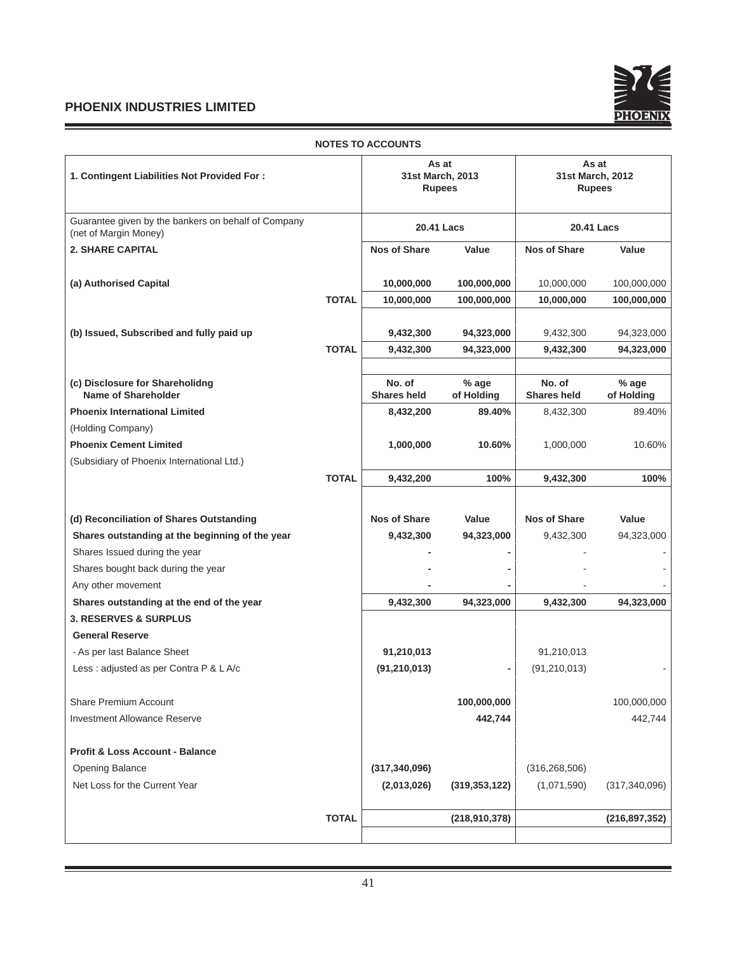and the control of the control of the control of the control of the control of the control of

Ξ



|                                                                              |              | <b>NOTES TO ACCOUNTS</b>                   |                     |                                            |                       |
|------------------------------------------------------------------------------|--------------|--------------------------------------------|---------------------|--------------------------------------------|-----------------------|
| 1. Contingent Liabilities Not Provided For:                                  |              | As at<br>31st March, 2013<br><b>Rupees</b> |                     | As at<br>31st March, 2012<br><b>Rupees</b> |                       |
| Guarantee given by the bankers on behalf of Company<br>(net of Margin Money) |              |                                            | 20.41 Lacs          |                                            | 20.41 Lacs            |
| <b>2. SHARE CAPITAL</b>                                                      |              | <b>Nos of Share</b>                        | Value               | <b>Nos of Share</b>                        | Value                 |
| (a) Authorised Capital                                                       |              | 10,000,000                                 | 100,000,000         | 10,000,000                                 | 100,000,000           |
|                                                                              | <b>TOTAL</b> | 10,000,000                                 | 100,000,000         | 10,000,000                                 | 100,000,000           |
| (b) Issued, Subscribed and fully paid up                                     |              | 9,432,300                                  | 94,323,000          | 9,432,300                                  | 94,323,000            |
|                                                                              | <b>TOTAL</b> | 9,432,300                                  | 94,323,000          | 9,432,300                                  | 94,323,000            |
|                                                                              |              |                                            |                     |                                            |                       |
| (c) Disclosure for Shareholidng<br><b>Name of Shareholder</b>                |              | No. of<br><b>Shares held</b>               | % age<br>of Holding | No. of<br><b>Shares held</b>               | $%$ age<br>of Holding |
| <b>Phoenix International Limited</b>                                         |              | 8,432,200                                  | 89.40%              | 8,432,300                                  | 89.40%                |
| (Holding Company)                                                            |              |                                            |                     |                                            |                       |
| <b>Phoenix Cement Limited</b>                                                |              | 1,000,000                                  | 10.60%              | 1,000,000                                  | 10.60%                |
| (Subsidiary of Phoenix International Ltd.)                                   |              |                                            |                     |                                            |                       |
|                                                                              | <b>TOTAL</b> | 9,432,200                                  | 100%                | 9,432,300                                  | 100%                  |
|                                                                              |              |                                            |                     |                                            |                       |
| (d) Reconciliation of Shares Outstanding                                     |              | <b>Nos of Share</b>                        | Value               | <b>Nos of Share</b>                        | Value                 |
| Shares outstanding at the beginning of the year                              |              | 9,432,300                                  | 94,323,000          | 9,432,300                                  | 94,323,000            |
| Shares Issued during the year                                                |              |                                            |                     |                                            |                       |
| Shares bought back during the year                                           |              |                                            |                     |                                            |                       |
| Any other movement                                                           |              |                                            |                     |                                            |                       |
| Shares outstanding at the end of the year                                    |              | 9,432,300                                  | 94,323,000          | 9,432,300                                  | 94,323,000            |
| <b>3. RESERVES &amp; SURPLUS</b>                                             |              |                                            |                     |                                            |                       |
| <b>General Reserve</b>                                                       |              |                                            |                     |                                            |                       |
| - As per last Balance Sheet                                                  |              | 91,210,013                                 |                     | 91,210,013                                 |                       |
| Less : adjusted as per Contra P & L A/c                                      |              | (91, 210, 013)                             |                     | (91, 210, 013)                             |                       |
| Share Premium Account                                                        |              |                                            | 100,000,000         |                                            | 100,000,000           |
| <b>Investment Allowance Reserve</b>                                          |              |                                            | 442,744             |                                            | 442,744               |
|                                                                              |              |                                            |                     |                                            |                       |
| <b>Profit &amp; Loss Account - Balance</b>                                   |              |                                            |                     |                                            |                       |
| Opening Balance                                                              |              | (317, 340, 096)                            |                     | (316, 268, 506)                            |                       |
| Net Loss for the Current Year                                                |              | (2,013,026)                                | (319, 353, 122)     | (1,071,590)                                | (317, 340, 096)       |
|                                                                              |              |                                            |                     |                                            |                       |
|                                                                              | <b>TOTAL</b> |                                            | (218, 910, 378)     |                                            | (216, 897, 352)       |
|                                                                              |              |                                            |                     |                                            |                       |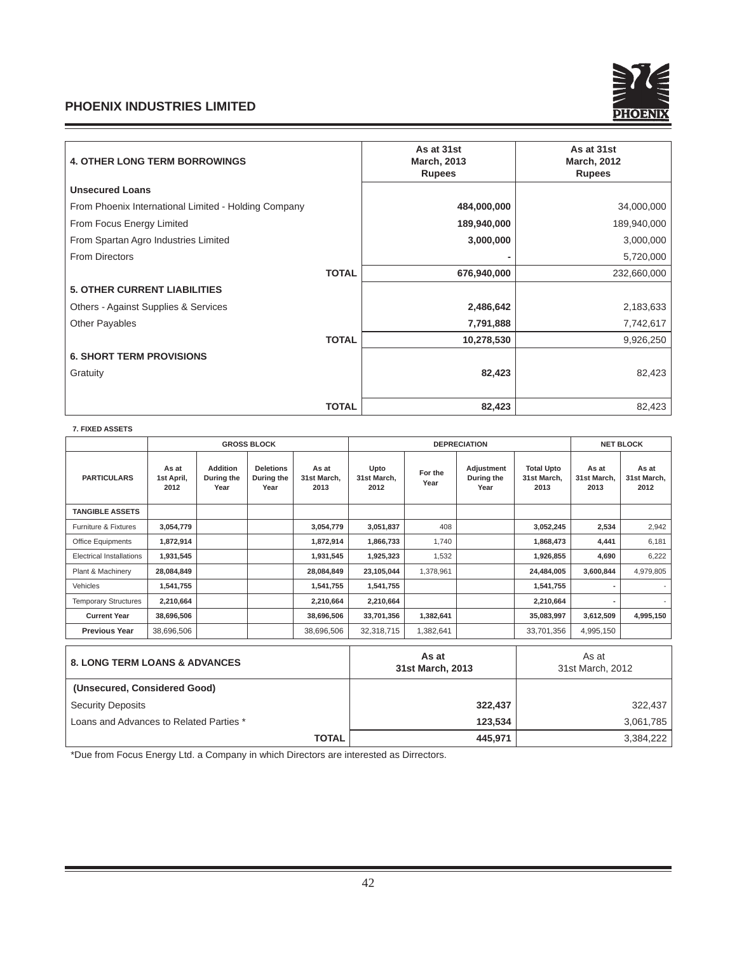

| <b>4. OTHER LONG TERM BORROWINGS</b>                 |              | As at 31st<br><b>March, 2013</b><br><b>Rupees</b> | As at 31st<br><b>March, 2012</b><br><b>Rupees</b> |
|------------------------------------------------------|--------------|---------------------------------------------------|---------------------------------------------------|
| <b>Unsecured Loans</b>                               |              |                                                   |                                                   |
| From Phoenix International Limited - Holding Company |              | 484,000,000                                       | 34,000,000                                        |
| From Focus Energy Limited                            |              | 189,940,000                                       | 189,940,000                                       |
| From Spartan Agro Industries Limited                 |              | 3,000,000                                         | 3,000,000                                         |
| <b>From Directors</b>                                |              |                                                   | 5,720,000                                         |
|                                                      | <b>TOTAL</b> | 676,940,000                                       | 232,660,000                                       |
| <b>5. OTHER CURRENT LIABILITIES</b>                  |              |                                                   |                                                   |
| Others - Against Supplies & Services                 |              | 2,486,642                                         | 2,183,633                                         |
| <b>Other Payables</b>                                |              | 7,791,888                                         | 7,742,617                                         |
|                                                      | <b>TOTAL</b> | 10,278,530                                        | 9,926,250                                         |
| <b>6. SHORT TERM PROVISIONS</b>                      |              |                                                   |                                                   |
| Gratuity                                             |              | 82,423                                            | 82,423                                            |
|                                                      | <b>TOTAL</b> | 82,423                                            | 82,423                                            |

# **7. FIXED ASSETS**

|                                          |                             |                                       | <b>GROSS BLOCK</b>                     |                              | <b>DEPRECIATION</b>         |                 |                                  |                                          | <b>NET BLOCK</b>             |                              |
|------------------------------------------|-----------------------------|---------------------------------------|----------------------------------------|------------------------------|-----------------------------|-----------------|----------------------------------|------------------------------------------|------------------------------|------------------------------|
| <b>PARTICULARS</b>                       | As at<br>1st April,<br>2012 | <b>Addition</b><br>During the<br>Year | <b>Deletions</b><br>During the<br>Year | As at<br>31st March,<br>2013 | Upto<br>31st March,<br>2012 | For the<br>Year | Adjustment<br>During the<br>Year | <b>Total Upto</b><br>31st March,<br>2013 | As at<br>31st March,<br>2013 | As at<br>31st March,<br>2012 |
| <b>TANGIBLE ASSETS</b>                   |                             |                                       |                                        |                              |                             |                 |                                  |                                          |                              |                              |
| Furniture & Fixtures                     | 3,054,779                   |                                       |                                        | 3,054,779                    | 3,051,837                   | 408             |                                  | 3,052,245                                | 2,534                        | 2,942                        |
| Office Equipments                        | 1,872,914                   |                                       |                                        | 1,872,914                    | 1,866,733                   | 1,740           |                                  | 1,868,473                                | 4,441                        | 6,181                        |
| Electrical Installations                 | 1,931,545                   |                                       |                                        | 1,931,545                    | 1,925,323                   | 1,532           |                                  | 1,926,855                                | 4,690                        | 6,222                        |
| Plant & Machinery                        | 28,084,849                  |                                       |                                        | 28,084,849                   | 23,105,044                  | 1,378,961       |                                  | 24,484,005                               | 3,600,844                    | 4,979,805                    |
| Vehicles                                 | 1,541,755                   |                                       |                                        | 1,541,755                    | 1,541,755                   |                 |                                  | 1,541,755                                |                              | $\overline{\phantom{a}}$     |
| <b>Temporary Structures</b>              | 2,210,664                   |                                       |                                        | 2,210,664                    | 2,210,664                   |                 |                                  | 2,210,664                                |                              |                              |
| <b>Current Year</b>                      | 38,696,506                  |                                       |                                        | 38,696,506                   | 33,701,356                  | 1,382,641       |                                  | 35,083,997                               | 3,612,509                    | 4,995,150                    |
| <b>Previous Year</b>                     | 38,696,506                  |                                       |                                        | 38,696,506                   | 32,318,715                  | 1,382,641       |                                  | 33,701,356                               | 4,995,150                    |                              |
| <b>8. LONG TERM LOANS &amp; ADVANCES</b> |                             | As at<br>31st March, 2013             |                                        |                              | As at<br>31st March, 2012   |                 |                                  |                                          |                              |                              |

| $\sigma$ . LONG TENIT LOANG & AD ANGEO  | 31st March, 2013 | 31st March, 2012 |
|-----------------------------------------|------------------|------------------|
| (Unsecured, Considered Good)            |                  |                  |
| <b>Security Deposits</b>                | 322.437          | 322,437          |
| Loans and Advances to Related Parties * | 123.534          | 3,061,785        |
| TOTAL                                   | 445.971          | 3,384,222        |

\*Due from Focus Energy Ltd. a Company in which Directors are interested as Dirrectors.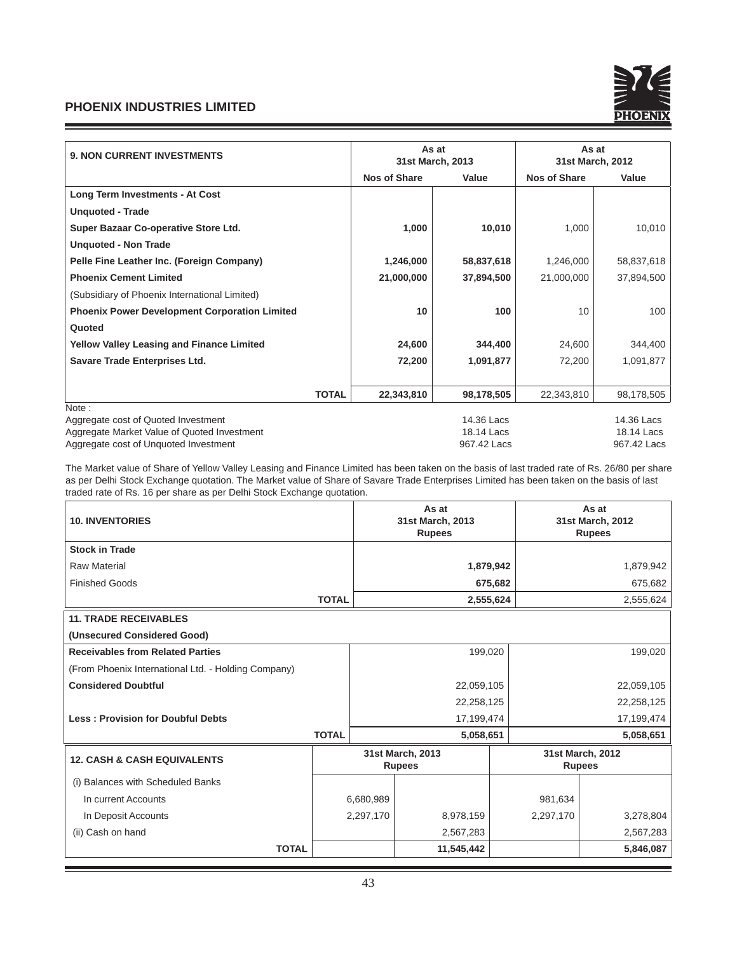

| <b>9. NON CURRENT INVESTMENTS</b>                    |              | As at<br>31st March, 2013 |             | As at<br>31st March, 2012 |             |  |
|------------------------------------------------------|--------------|---------------------------|-------------|---------------------------|-------------|--|
|                                                      |              | <b>Nos of Share</b>       | Value       | <b>Nos of Share</b>       | Value       |  |
| <b>Long Term Investments - At Cost</b>               |              |                           |             |                           |             |  |
| <b>Unquoted - Trade</b>                              |              |                           |             |                           |             |  |
| Super Bazaar Co-operative Store Ltd.                 |              | 1,000                     | 10,010      | 1,000                     | 10,010      |  |
| <b>Unquoted - Non Trade</b>                          |              |                           |             |                           |             |  |
| Pelle Fine Leather Inc. (Foreign Company)            |              | 1,246,000                 | 58,837,618  | 1,246,000                 | 58,837,618  |  |
| <b>Phoenix Cement Limited</b>                        |              | 21,000,000                | 37,894,500  | 21,000,000                | 37,894,500  |  |
| (Subsidiary of Phoenix International Limited)        |              |                           |             |                           |             |  |
| <b>Phoenix Power Development Corporation Limited</b> |              | 10                        | 100         | 10                        | 100         |  |
| Quoted                                               |              |                           |             |                           |             |  |
| <b>Yellow Valley Leasing and Finance Limited</b>     |              | 24,600                    | 344,400     | 24,600                    | 344,400     |  |
| Savare Trade Enterprises Ltd.                        |              | 72,200                    | 1,091,877   | 72,200                    | 1,091,877   |  |
|                                                      | <b>TOTAL</b> | 22,343,810                | 98,178,505  | 22,343,810                | 98,178,505  |  |
| Note:                                                |              |                           |             |                           |             |  |
| Aggregate cost of Quoted Investment                  |              | 14.36 Lacs                |             | 14.36 Lacs                |             |  |
| Aggregate Market Value of Quoted Investment          |              | 18.14 Lacs                |             | 18.14 Lacs                |             |  |
| Aggregate cost of Unquoted Investment                |              |                           | 967.42 Lacs |                           | 967.42 Lacs |  |

The Market value of Share of Yellow Valley Leasing and Finance Limited has been taken on the basis of last traded rate of Rs. 26/80 per share as per Delhi Stock Exchange quotation. The Market value of Share of Savare Trade Enterprises Limited has been taken on the basis of last traded rate of Rs. 16 per share as per Delhi Stock Exchange quotation.

| <b>10. INVENTORIES</b>                              |              |           | As at<br>31st March, 2013<br><b>Rupees</b> |            | As at<br>31st March, 2012<br><b>Rupees</b> |                                   |  |
|-----------------------------------------------------|--------------|-----------|--------------------------------------------|------------|--------------------------------------------|-----------------------------------|--|
| <b>Stock in Trade</b>                               |              |           |                                            |            |                                            |                                   |  |
| <b>Raw Material</b>                                 |              |           |                                            | 1,879,942  |                                            | 1,879,942                         |  |
| <b>Finished Goods</b>                               |              |           |                                            | 675,682    |                                            | 675,682                           |  |
|                                                     | <b>TOTAL</b> |           | 2,555,624                                  |            |                                            | 2,555,624                         |  |
| <b>11. TRADE RECEIVABLES</b>                        |              |           |                                            |            |                                            |                                   |  |
| (Unsecured Considered Good)                         |              |           |                                            |            |                                            |                                   |  |
| <b>Receivables from Related Parties</b>             |              | 199,020   |                                            |            | 199,020                                    |                                   |  |
| (From Phoenix International Ltd. - Holding Company) |              |           |                                            |            |                                            |                                   |  |
| <b>Considered Doubtful</b>                          |              |           | 22,059,105                                 |            |                                            | 22,059,105                        |  |
|                                                     |              |           | 22,258,125                                 |            |                                            | 22,258,125                        |  |
| <b>Less: Provision for Doubful Debts</b>            |              |           |                                            | 17,199,474 |                                            | 17,199,474                        |  |
|                                                     | <b>TOTAL</b> | 5,058,651 |                                            |            | 5,058,651                                  |                                   |  |
| <b>12. CASH &amp; CASH EQUIVALENTS</b>              |              |           | 31st March, 2013<br><b>Rupees</b>          |            |                                            | 31st March, 2012<br><b>Rupees</b> |  |
| (i) Balances with Scheduled Banks                   |              |           |                                            |            |                                            |                                   |  |
| In current Accounts                                 | 6,680,989    |           |                                            |            | 981,634                                    |                                   |  |
| In Deposit Accounts                                 |              | 2,297,170 | 8,978,159                                  |            | 2,297,170                                  | 3,278,804                         |  |
| (ii) Cash on hand                                   |              |           | 2,567,283                                  |            |                                            | 2,567,283                         |  |
| <b>TOTAL</b>                                        |              |           | 11,545,442                                 |            |                                            | 5,846,087                         |  |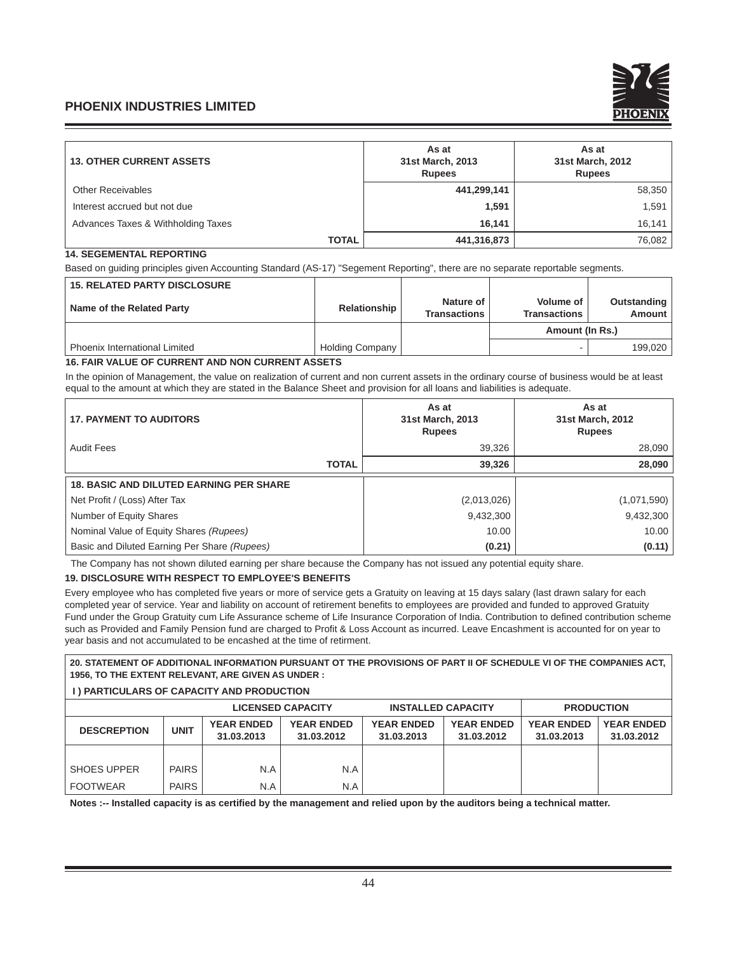

| <b>13. OTHER CURRENT ASSETS</b>    | As at<br>31st March, 2013<br><b>Rupees</b> | As at<br>31st March, 2012<br><b>Rupees</b> |  |
|------------------------------------|--------------------------------------------|--------------------------------------------|--|
| <b>Other Receivables</b>           | 441,299,141                                | 58,350                                     |  |
| Interest accrued but not due       | 1.591                                      | 1,591                                      |  |
| Advances Taxes & Withholding Taxes | 16.141                                     | 16, 141                                    |  |
| <b>TOTAL</b>                       | 441,316,873                                | 76,082                                     |  |

# **14. SEGEMENTAL REPORTING**

Based on guiding principles given Accounting Standard (AS-17) "Segement Reporting", there are no separate reportable segments.

| <b>15. RELATED PARTY DISCLOSURE</b>  |                        |                                  |                                         |                       |
|--------------------------------------|------------------------|----------------------------------|-----------------------------------------|-----------------------|
| Name of the Related Party            | Relationship           | Nature of<br><b>Transactions</b> | <b>Volume of</b><br><b>Transactions</b> | Outstanding<br>Amount |
|                                      |                        |                                  | Amount (In Rs.)                         |                       |
| <b>Phoenix International Limited</b> | <b>Holding Company</b> |                                  |                                         | 199.020               |

# **16. FAIR VALUE OF CURRENT AND NON CURRENT ASSETS**

In the opinion of Management, the value on realization of current and non current assets in the ordinary course of business would be at least equal to the amount at which they are stated in the Balance Sheet and provision for all loans and liabilities is adequate.

| <b>17. PAYMENT TO AUDITORS</b>                 |              | As at<br>31st March, 2013<br><b>Rupees</b> | As at<br>31st March, 2012<br><b>Rupees</b> |
|------------------------------------------------|--------------|--------------------------------------------|--------------------------------------------|
| <b>Audit Fees</b>                              |              | 39,326                                     | 28,090                                     |
|                                                | <b>TOTAL</b> | 39,326                                     | 28,090                                     |
| <b>18. BASIC AND DILUTED EARNING PER SHARE</b> |              |                                            |                                            |
| Net Profit / (Loss) After Tax                  |              | (2,013,026)                                | (1,071,590)                                |
| Number of Equity Shares                        |              | 9,432,300                                  | 9,432,300                                  |
| Nominal Value of Equity Shares (Rupees)        |              | 10.00                                      | 10.00                                      |
| Basic and Diluted Earning Per Share (Rupees)   |              | (0.21)                                     | (0.11)                                     |

The Company has not shown diluted earning per share because the Company has not issued any potential equity share.

# **19. DISCLOSURE WITH RESPECT TO EMPLOYEE'S BENEFITS**

Every employee who has completed five years or more of service gets a Gratuity on leaving at 15 days salary (last drawn salary for each completed year of service. Year and liability on account of retirement benefits to employees are provided and funded to approved Gratuity Fund under the Group Gratuity cum Life Assurance scheme of Life Insurance Corporation of India. Contribution to defined contribution scheme such as Provided and Family Pension fund are charged to Profit & Loss Account as incurred. Leave Encashment is accounted for on year to year basis and not accumulated to be encashed at the time of retirment.

**20. STATEMENT OF ADDITIONAL INFORMATION PURSUANT OT THE PROVISIONS OF PART II OF SCHEDULE VI OF THE COMPANIES ACT, 1956, TO THE EXTENT RELEVANT, ARE GIVEN AS UNDER :**

# **I ) PARTICULARS OF CAPACITY AND PRODUCTION**

|                    | <b>LICENSED CAPACITY</b> |                                 | <b>INSTALLED CAPACITY</b>       |                                 | <b>PRODUCTION</b>               |                                 |                                 |
|--------------------|--------------------------|---------------------------------|---------------------------------|---------------------------------|---------------------------------|---------------------------------|---------------------------------|
| <b>DESCREPTION</b> | <b>UNIT</b>              | <b>YEAR ENDED</b><br>31.03.2013 | <b>YEAR ENDED</b><br>31.03.2012 | <b>YEAR ENDED</b><br>31.03.2013 | <b>YEAR ENDED</b><br>31.03.2012 | <b>YEAR ENDED</b><br>31.03.2013 | <b>YEAR ENDED</b><br>31.03.2012 |
|                    |                          |                                 |                                 |                                 |                                 |                                 |                                 |
| <b>SHOES UPPER</b> | <b>PAIRS</b>             | N.A                             | N.A                             |                                 |                                 |                                 |                                 |
| <b>FOOTWEAR</b>    | <b>PAIRS</b>             | N.A                             | N.A                             |                                 |                                 |                                 |                                 |

Notes :-- Installed capacity is as certified by the management and relied upon by the auditors being a technical matter.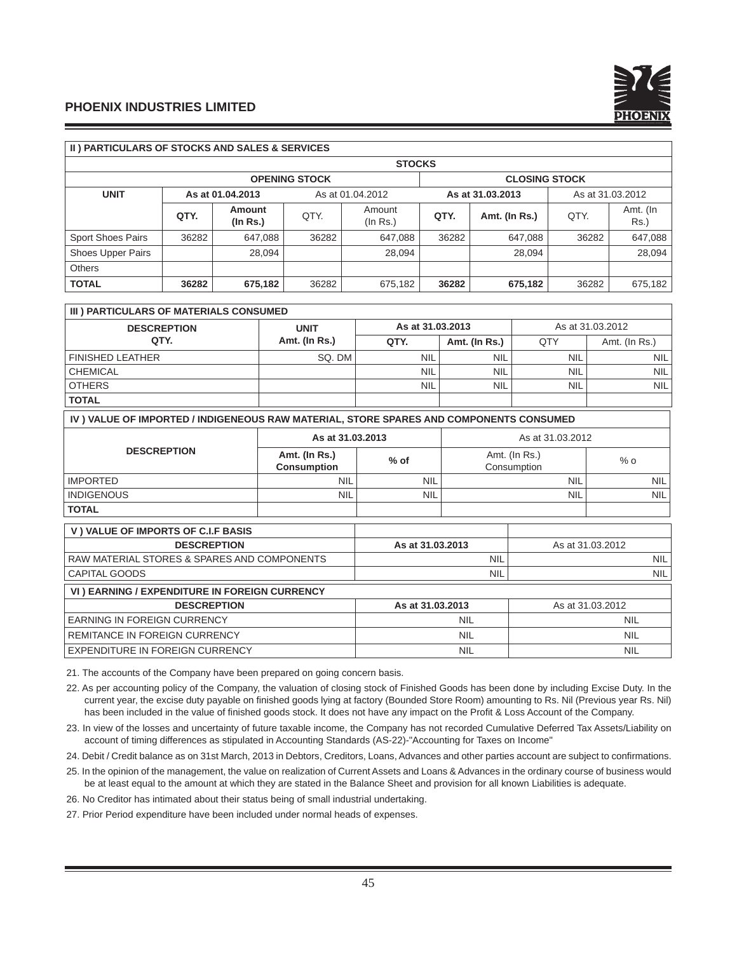

## **II ) PARTICULARS OF STOCKS AND SALES & SERVICES**

| <b>STOCKS</b>            |       |                    |                      |                                      |                      |               |       |                  |  |
|--------------------------|-------|--------------------|----------------------|--------------------------------------|----------------------|---------------|-------|------------------|--|
|                          |       |                    | <b>OPENING STOCK</b> |                                      | <b>CLOSING STOCK</b> |               |       |                  |  |
| <b>UNIT</b>              |       | As at 01.04.2013   |                      | As at 31.03.2013<br>As at 01.04.2012 |                      |               |       | As at 31.03.2012 |  |
|                          | QTY.  | Amount<br>(In Rs.) | QTY.                 | Amount<br>(ln Rs.)                   | QTY.                 | Amt. (In Rs.) | QTY.  | Amt. (In<br>Rs.) |  |
| <b>Sport Shoes Pairs</b> | 36282 | 647,088            | 36282                | 647.088                              | 36282                | 647.088       | 36282 | 647,088          |  |
| Shoes Upper Pairs        |       | 28.094             |                      | 28.094                               |                      | 28.094        |       | 28,094           |  |
| <b>Others</b>            |       |                    |                      |                                      |                      |               |       |                  |  |
| <b>TOTAL</b>             | 36282 | 675,182            | 36282                | 675,182                              | 36282                | 675,182       | 36282 | 675,182          |  |

# **III) PARTICULARS OF MATERIALS CONSUMED**

| <b>DESCREPTION</b>      | <b>UNIT</b>   | As at 31.03.2013 |               | As at 31.03.2012 |               |  |
|-------------------------|---------------|------------------|---------------|------------------|---------------|--|
| QTY.                    | Amt. (In Rs.) | QTY.             | Amt. (In Rs.) | QTY              | Amt. (In Rs.) |  |
| <b>FINISHED LEATHER</b> | SQ. DM        | <b>NIL</b>       | NIL           | <b>NIL</b>       | <b>NIL</b>    |  |
| <b>CHEMICAL</b>         |               | <b>NIL</b>       | <b>NIL</b>    | <b>NIL</b>       | <b>NIL</b>    |  |
| <b>OTHERS</b>           |               | <b>NIL</b>       | <b>NIL</b>    | <b>NIL</b>       | <b>NIL</b>    |  |
| <b>TOTAL</b>            |               |                  |               |                  |               |  |

#### **IV ) VALUE OF IMPORTED / INDIGENEOUS RAW MATERIAL, STORE SPARES AND COMPONENTS CONSUMED**

|                    | As at 31.03.2013                    |            | As at 31.03.2012             |                  |  |
|--------------------|-------------------------------------|------------|------------------------------|------------------|--|
| <b>DESCREPTION</b> | Amt. (In Rs.)<br><b>Consumption</b> | $%$ of     | Amt. (In Rs.)<br>Consumption | $%$ o            |  |
| I IMPORTED         | <b>NIL</b>                          | <b>NIL</b> | <b>NIL</b>                   | NIL <sup>I</sup> |  |
| <b>INDIGENOUS</b>  | <b>NIL</b>                          | <b>NIL</b> | <b>NIL</b>                   | <b>NIL</b>       |  |
| <b>TOTAL</b>       |                                     |            |                              |                  |  |

| V) VALUE OF IMPORTS OF C.I.F BASIS            |                  |                  |
|-----------------------------------------------|------------------|------------------|
| <b>DESCREPTION</b>                            | As at 31.03.2013 | As at 31.03.2012 |
| I RAW MATERIAL STORES & SPARES AND COMPONENTS | <b>NIL</b>       | NIL I            |
| l CAPITAL GOODS                               | <b>NIL</b>       | NIL I            |
| VI) EARNING / EXPENDITURE IN FOREIGN CURRENCY |                  |                  |

| <b>DESCREPTION</b>               | As at 31.03.2013 | As at 31.03.2012 |
|----------------------------------|------------------|------------------|
| I EARNING IN FOREIGN CURRENCY    | <b>NIL</b>       | <b>NIL</b>       |
| I REMITANCE IN FOREIGN CURRENCY  | <b>NIL</b>       | <b>NIL</b>       |
| LEXPENDITURE IN FOREIGN CURRENCY | <b>NIL</b>       | <b>NIL</b>       |

21. The accounts of the Company have been prepared on going concern basis.

22. As per accounting policy of the Company, the valuation of closing stock of Finished Goods has been done by including Excise Duty. In the current year, the excise duty payable on finished goods lying at factory (Bounded Store Room) amounting to Rs. Nil (Previous year Rs. Nil) has been included in the value of finished goods stock. It does not have any impact on the Profit & Loss Account of the Company.

23. In view of the losses and uncertainty of future taxable income, the Company has not recorded Cumulative Deferred Tax Assets/Liability on account of timing differences as stipulated in Accounting Standards (AS-22)-"Accounting for Taxes on Income"

24. Debit / Credit balance as on 31st March, 2013 in Debtors, Creditors, Loans, Advances and other parties account are subject to confirmations.

25. In the opinion of the management, the value on realization of Current Assets and Loans & Advances in the ordinary course of business would be at least equal to the amount at which they are stated in the Balance Sheet and provision for all known Liabilities is adequate.

26. No Creditor has intimated about their status being of small industrial undertaking.

27. Prior Period expenditure have been included under normal heads of expenses.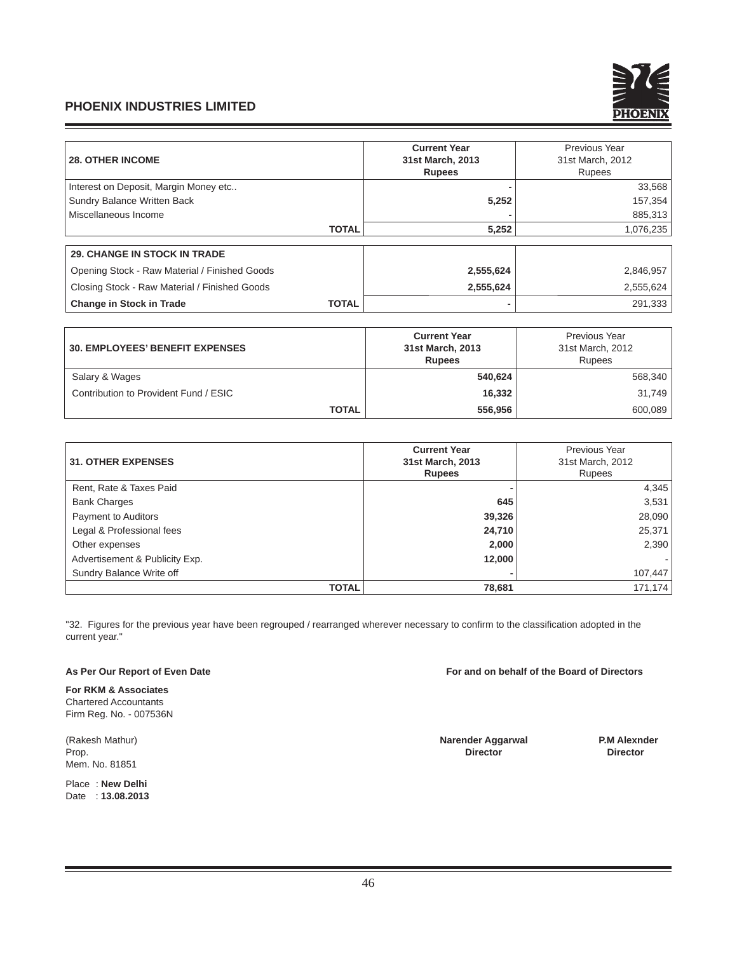

| <b>28. OTHER INCOME</b>                       |              | <b>Current Year</b><br>31st March, 2013 | Previous Year<br>31st March, 2012 |
|-----------------------------------------------|--------------|-----------------------------------------|-----------------------------------|
|                                               |              | <b>Rupees</b>                           | <b>Rupees</b>                     |
| Interest on Deposit, Margin Money etc         |              |                                         | 33,568                            |
| Sundry Balance Written Back                   |              | 5,252                                   | 157,354                           |
| Miscellaneous Income                          |              |                                         | 885,313                           |
|                                               | <b>TOTAL</b> | 5,252                                   | 1,076,235                         |
| <b>29. CHANGE IN STOCK IN TRADE</b>           |              |                                         |                                   |
| Opening Stock - Raw Material / Finished Goods |              | 2,555,624                               | 2,846,957                         |
| Closing Stock - Raw Material / Finished Goods |              | 2,555,624                               | 2,555,624                         |
| <b>Change in Stock in Trade</b>               | <b>TOTAL</b> |                                         | 291,333                           |

| <b>30. EMPLOYEES' BENEFIT EXPENSES</b> | <b>Current Year</b><br>31st March, 2013<br><b>Rupees</b> | Previous Year<br>31st March, 2012<br><b>Rupees</b> |  |  |
|----------------------------------------|----------------------------------------------------------|----------------------------------------------------|--|--|
| Salary & Wages                         | 540,624                                                  | 568.340                                            |  |  |
| Contribution to Provident Fund / ESIC  | 16,332                                                   | 31,749                                             |  |  |
| <b>TOTAL</b>                           | 556.956                                                  | 600.089                                            |  |  |

|                                | <b>Current Year</b> | Previous Year    |
|--------------------------------|---------------------|------------------|
| <b>31. OTHER EXPENSES</b>      | 31st March, 2013    | 31st March, 2012 |
|                                | <b>Rupees</b>       | Rupees           |
| Rent, Rate & Taxes Paid        |                     | 4,345            |
| <b>Bank Charges</b>            | 645                 | 3,531            |
| Payment to Auditors            | 39,326              | 28,090           |
| Legal & Professional fees      | 24,710              | 25,371           |
| Other expenses                 | 2,000               | 2,390            |
| Advertisement & Publicity Exp. | 12,000              |                  |
| Sundry Balance Write off       |                     | 107,447          |
| <b>TOTAL</b>                   | 78,681              | 171,174          |

"32. Figures for the previous year have been regrouped / rearranged wherever necessary to confirm to the classification adopted in the current year."

**For RKM & Associates** Chartered Accountants Firm Reg. No. - 007536N

Mem. No. 81851

Place : **New Delhi** Date : **13.08.2013**

As Per Our Report of Even Date **For and on behalf of the Board of Directors** 

(Rakesh Mathur) **Narender Aggarwal P.M Alexnder** Prop. **Director Director**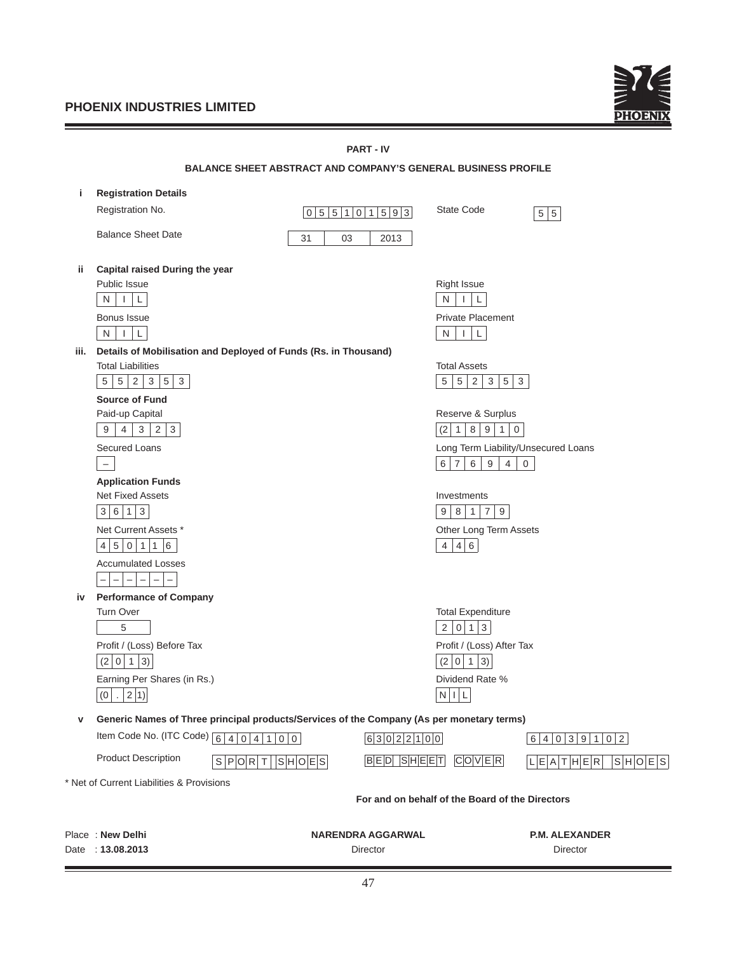<u> 1989 - Johann Barnett, mars et al. 1989 - Anna ann an t-</u>

Ξ



|      | <b>PART - IV</b>                                                                                             |                       |                                                                                           |                                                                                  |                              |  |  |  |
|------|--------------------------------------------------------------------------------------------------------------|-----------------------|-------------------------------------------------------------------------------------------|----------------------------------------------------------------------------------|------------------------------|--|--|--|
|      |                                                                                                              |                       | <b>BALANCE SHEET ABSTRACT AND COMPANY'S GENERAL BUSINESS PROFILE</b>                      |                                                                                  |                              |  |  |  |
| j.   | <b>Registration Details</b>                                                                                  |                       |                                                                                           |                                                                                  |                              |  |  |  |
|      | Registration No.                                                                                             |                       | 055101593                                                                                 | State Code                                                                       | 5 5                          |  |  |  |
|      | <b>Balance Sheet Date</b>                                                                                    | 31                    | 03<br>2013                                                                                |                                                                                  |                              |  |  |  |
| ii.  | Capital raised During the year                                                                               |                       |                                                                                           |                                                                                  |                              |  |  |  |
|      | Public Issue                                                                                                 |                       |                                                                                           | <b>Right Issue</b>                                                               |                              |  |  |  |
|      | $N$    <br>$\mathsf L$                                                                                       |                       |                                                                                           | $N$      <br>L                                                                   |                              |  |  |  |
|      | Bonus Issue                                                                                                  |                       |                                                                                           | <b>Private Placement</b>                                                         |                              |  |  |  |
|      | N<br>$\Box$<br>L                                                                                             |                       |                                                                                           | $\perp$ $\perp$<br>N                                                             |                              |  |  |  |
| iii. | Details of Mobilisation and Deployed of Funds (Rs. in Thousand)<br><b>Total Liabilities</b>                  |                       |                                                                                           | <b>Total Assets</b>                                                              |                              |  |  |  |
|      | 5<br>5 <br>$\overline{2}$<br>3<br>5<br>$\mathbf{3}$                                                          |                       |                                                                                           | 5 <sup>5</sup><br>$\overline{2}$<br>$\mathbf{3}$<br>5 <sup>5</sup><br>5<br>3     |                              |  |  |  |
|      | <b>Source of Fund</b>                                                                                        |                       |                                                                                           |                                                                                  |                              |  |  |  |
|      | Paid-up Capital                                                                                              |                       |                                                                                           | Reserve & Surplus                                                                |                              |  |  |  |
|      | $4 \mid 3 \mid 2 \mid 3$<br>9                                                                                |                       |                                                                                           | (2 1 8 9 1 0)                                                                    |                              |  |  |  |
|      | <b>Secured Loans</b>                                                                                         |                       |                                                                                           | Long Term Liability/Unsecured Loans                                              |                              |  |  |  |
|      | $\overline{\phantom{m}}$                                                                                     |                       |                                                                                           | $6\phantom{.}6$<br>$9\,$<br>6<br>$ 7\rangle$<br>$\overline{4}$<br>$\overline{0}$ |                              |  |  |  |
|      | <b>Application Funds</b>                                                                                     |                       |                                                                                           |                                                                                  |                              |  |  |  |
|      | <b>Net Fixed Assets</b><br>$6 \mid 1 \mid 3$<br>3                                                            |                       |                                                                                           | Investments<br>$\sqrt{7}$<br>8 1 <br>9<br>9                                      |                              |  |  |  |
|      | Net Current Assets *                                                                                         |                       |                                                                                           |                                                                                  |                              |  |  |  |
|      | 4 5 0 1 1 6                                                                                                  |                       |                                                                                           | Other Long Term Assets<br>4 4 6                                                  |                              |  |  |  |
|      | <b>Accumulated Losses</b>                                                                                    |                       |                                                                                           |                                                                                  |                              |  |  |  |
|      | $\overline{\phantom{0}}$<br>$\qquad \qquad -$<br>$\qquad \qquad -$<br>$\qquad \qquad -$<br>$\qquad \qquad -$ |                       |                                                                                           |                                                                                  |                              |  |  |  |
| iv   | <b>Performance of Company</b>                                                                                |                       |                                                                                           |                                                                                  |                              |  |  |  |
|      | <b>Turn Over</b>                                                                                             |                       |                                                                                           | <b>Total Expenditure</b>                                                         |                              |  |  |  |
|      | 5                                                                                                            |                       |                                                                                           | 2 0 1 3                                                                          |                              |  |  |  |
|      | Profit / (Loss) Before Tax                                                                                   |                       |                                                                                           | Profit / (Loss) After Tax                                                        |                              |  |  |  |
|      | (2 0 1 3)                                                                                                    |                       |                                                                                           | (2 0 1)<br>$ 3\rangle$                                                           |                              |  |  |  |
|      | Earning Per Shares (in Rs.)<br>(0   .   2   1)                                                               |                       |                                                                                           | Dividend Rate %<br>$N$    $L$                                                    |                              |  |  |  |
|      |                                                                                                              |                       |                                                                                           |                                                                                  |                              |  |  |  |
| v    |                                                                                                              |                       | Generic Names of Three principal products/Services of the Company (As per monetary terms) |                                                                                  |                              |  |  |  |
|      | Item Code No. (ITC Code) $\boxed{6 4 0 4 1 00}$                                                              |                       | 6 3 0 2 2 1 0 0                                                                           |                                                                                  | 6 4 0 3 9 1 0 2              |  |  |  |
|      | <b>Product Description</b>                                                                                   | S P O R T   S H O E S | <b>BED SHEET</b>                                                                          | $C$ $O V E R$                                                                    | L E A T H E R <br> S H O E S |  |  |  |
|      | * Net of Current Liabilities & Provisions                                                                    |                       |                                                                                           |                                                                                  |                              |  |  |  |
|      |                                                                                                              |                       |                                                                                           | For and on behalf of the Board of the Directors                                  |                              |  |  |  |
|      | Place: New Delhi                                                                                             |                       | <b>NARENDRA AGGARWAL</b>                                                                  |                                                                                  | <b>P.M. ALEXANDER</b>        |  |  |  |
|      | Date: 13.08.2013                                                                                             |                       | Director                                                                                  |                                                                                  | Director                     |  |  |  |
|      |                                                                                                              |                       |                                                                                           |                                                                                  |                              |  |  |  |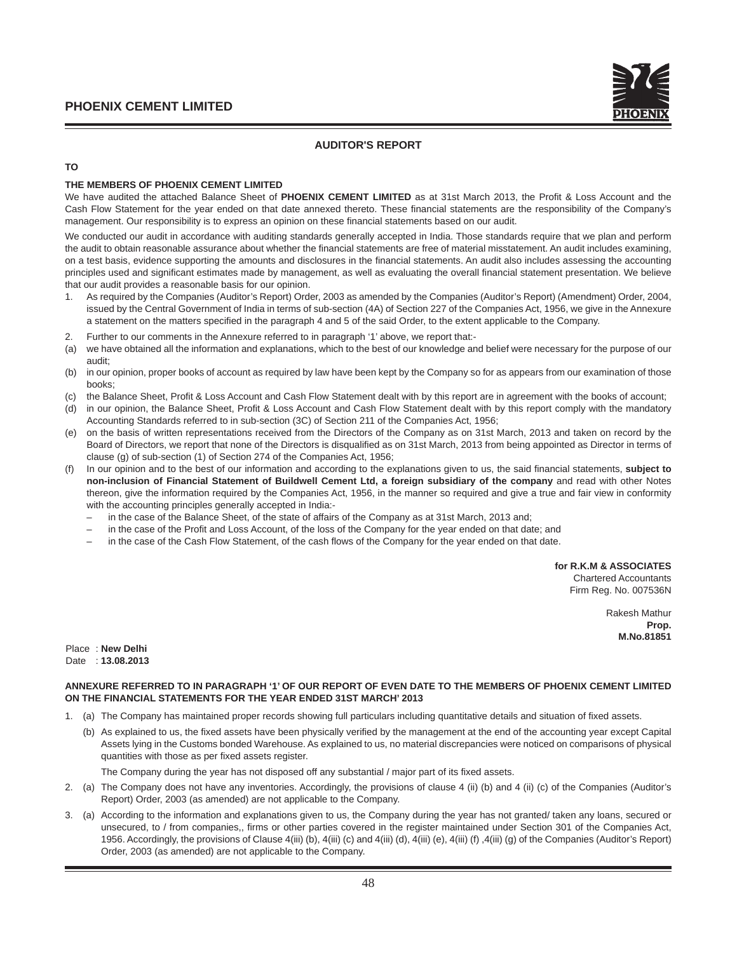

# **AUDITOR'S REPORT**

## **TO**

## **THE MEMBERS OF PHOENIX CEMENT LIMITED**

We have audited the attached Balance Sheet of PHOENIX CEMENT LIMITED as at 31st March 2013, the Profit & Loss Account and the Cash Flow Statement for the year ended on that date annexed thereto. These financial statements are the responsibility of the Company's management. Our responsibility is to express an opinion on these financial statements based on our audit.

We conducted our audit in accordance with auditing standards generally accepted in India. Those standards require that we plan and perform the audit to obtain reasonable assurance about whether the financial statements are free of material misstatement. An audit includes examining, on a test basis, evidence supporting the amounts and disclosures in the financial statements. An audit also includes assessing the accounting principles used and significant estimates made by management, as well as evaluating the overall financial statement presentation. We believe that our audit provides a reasonable basis for our opinion.

- 1. As required by the Companies (Auditor's Report) Order, 2003 as amended by the Companies (Auditor's Report) (Amendment) Order, 2004, issued by the Central Government of India in terms of sub-section (4A) of Section 227 of the Companies Act, 1956, we give in the Annexure a statement on the matters specified in the paragraph 4 and 5 of the said Order, to the extent applicable to the Company.
- 2. Further to our comments in the Annexure referred to in paragraph '1' above, we report that:-
- (a) we have obtained all the information and explanations, which to the best of our knowledge and belief were necessary for the purpose of our audit;
- (b) in our opinion, proper books of account as required by law have been kept by the Company so for as appears from our examination of those books;
- (c) the Balance Sheet, Profit & Loss Account and Cash Flow Statement dealt with by this report are in agreement with the books of account;
- (d) in our opinion, the Balance Sheet, Profit & Loss Account and Cash Flow Statement dealt with by this report comply with the mandatory Accounting Standards referred to in sub-section (3C) of Section 211 of the Companies Act, 1956;
- (e) on the basis of written representations received from the Directors of the Company as on 31st March, 2013 and taken on record by the Board of Directors, we report that none of the Directors is disqualified as on 31st March, 2013 from being appointed as Director in terms of clause (g) of sub-section (1) of Section 274 of the Companies Act, 1956;
- (f) In our opinion and to the best of our information and according to the explanations given to us, the said fi nancial statements, **subject to non-inclusion of Financial Statement of Buildwell Cement Ltd, a foreign subsidiary of the company** and read with other Notes thereon, give the information required by the Companies Act, 1956, in the manner so required and give a true and fair view in conformity with the accounting principles generally accepted in India:
	- in the case of the Balance Sheet, of the state of affairs of the Company as at 31st March, 2013 and;
	- in the case of the Profit and Loss Account, of the loss of the Company for the year ended on that date; and
	- in the case of the Cash Flow Statement, of the cash flows of the Company for the year ended on that date.

**for R.K.M & ASSOCIATES**

Chartered Accountants Firm Reg. No. 007536N

> Rakesh Mathur **Prop. M.No.81851**

Place : **New Delhi** Date : **13.08.2013**

#### **ANNEXURE REFERRED TO IN PARAGRAPH '1' OF OUR REPORT OF EVEN DATE TO THE MEMBERS OF PHOENIX CEMENT LIMITED ON THE FINANCIAL STATEMENTS FOR THE YEAR ENDED 31ST MARCH' 2013**

- 1. (a) The Company has maintained proper records showing full particulars including quantitative details and situation of fixed assets.
	- (b) As explained to us, the fixed assets have been physically verified by the management at the end of the accounting year except Capital Assets lying in the Customs bonded Warehouse. As explained to us, no material discrepancies were noticed on comparisons of physical quantities with those as per fixed assets register.

The Company during the year has not disposed off any substantial / major part of its fixed assets.

- 2. (a) The Company does not have any inventories. Accordingly, the provisions of clause 4 (ii) (b) and 4 (ii) (c) of the Companies (Auditor's Report) Order, 2003 (as amended) are not applicable to the Company.
- 3. (a) According to the information and explanations given to us, the Company during the year has not granted/ taken any loans, secured or unsecured, to / from companies,, firms or other parties covered in the register maintained under Section 301 of the Companies Act, 1956. Accordingly, the provisions of Clause 4(iii) (b), 4(iii) (c) and 4(iii) (d), 4(iii) (e), 4(iii) (f) ,4(iii) (g) of the Companies (Auditor's Report) Order, 2003 (as amended) are not applicable to the Company.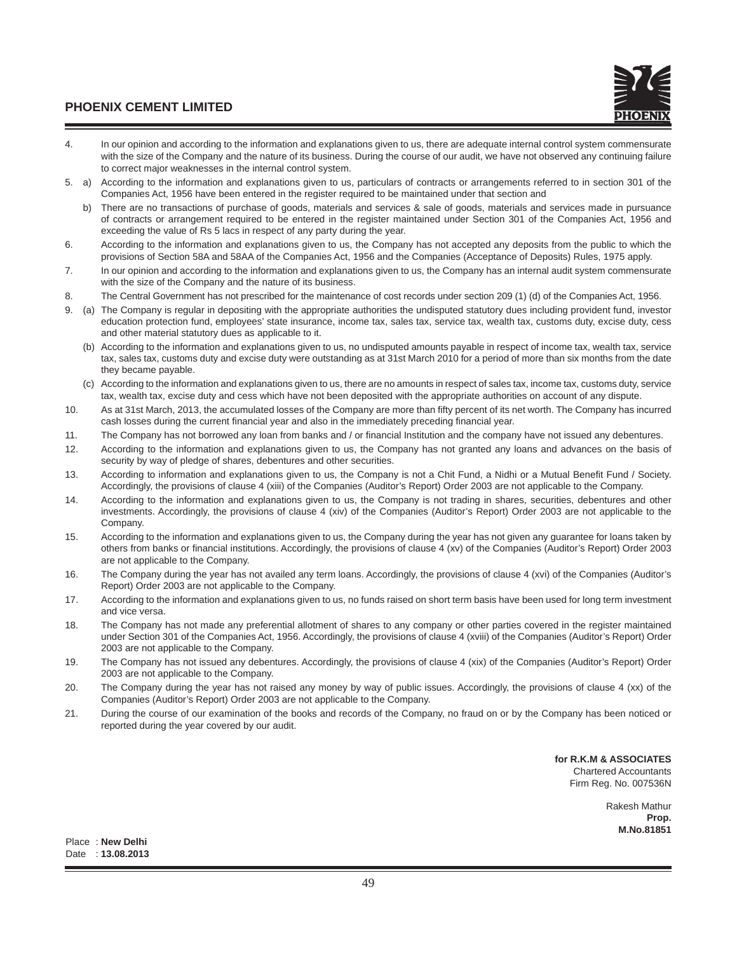- 4. In our opinion and according to the information and explanations given to us, there are adequate internal control system commensurate with the size of the Company and the nature of its business. During the course of our audit, we have not observed any continuing failure to correct major weaknesses in the internal control system.
- 5. a) According to the information and explanations given to us, particulars of contracts or arrangements referred to in section 301 of the Companies Act, 1956 have been entered in the register required to be maintained under that section and
	- b) There are no transactions of purchase of goods, materials and services & sale of goods, materials and services made in pursuance of contracts or arrangement required to be entered in the register maintained under Section 301 of the Companies Act, 1956 and exceeding the value of Rs 5 lacs in respect of any party during the year.
- 6. According to the information and explanations given to us, the Company has not accepted any deposits from the public to which the provisions of Section 58A and 58AA of the Companies Act, 1956 and the Companies (Acceptance of Deposits) Rules, 1975 apply.
- 7. In our opinion and according to the information and explanations given to us, the Company has an internal audit system commensurate with the size of the Company and the nature of its business.
- 8. The Central Government has not prescribed for the maintenance of cost records under section 209 (1) (d) of the Companies Act, 1956.
- 9. (a) The Company is regular in depositing with the appropriate authorities the undisputed statutory dues including provident fund, investor education protection fund, employees' state insurance, income tax, sales tax, service tax, wealth tax, customs duty, excise duty, cess and other material statutory dues as applicable to it.
	- (b) According to the information and explanations given to us, no undisputed amounts payable in respect of income tax, wealth tax, service tax, sales tax, customs duty and excise duty were outstanding as at 31st March 2010 for a period of more than six months from the date they became payable.
	- (c) According to the information and explanations given to us, there are no amounts in respect of sales tax, income tax, customs duty, service tax, wealth tax, excise duty and cess which have not been deposited with the appropriate authorities on account of any dispute.
- 10. As at 31st March, 2013, the accumulated losses of the Company are more than fifty percent of its net worth. The Company has incurred cash losses during the current financial year and also in the immediately preceding financial year.
- 11. The Company has not borrowed any loan from banks and / or financial Institution and the company have not issued any debentures.
- 12. According to the information and explanations given to us, the Company has not granted any loans and advances on the basis of security by way of pledge of shares, debentures and other securities.
- 13. According to information and explanations given to us, the Company is not a Chit Fund, a Nidhi or a Mutual Benefit Fund / Society. Accordingly, the provisions of clause 4 (xiii) of the Companies (Auditor's Report) Order 2003 are not applicable to the Company.
- 14. According to the information and explanations given to us, the Company is not trading in shares, securities, debentures and other investments. Accordingly, the provisions of clause 4 (xiv) of the Companies (Auditor's Report) Order 2003 are not applicable to the Company.
- 15. According to the information and explanations given to us, the Company during the year has not given any guarantee for loans taken by others from banks or financial institutions. Accordingly, the provisions of clause 4 (xv) of the Companies (Auditor's Report) Order 2003 are not applicable to the Company.
- 16. The Company during the year has not availed any term loans. Accordingly, the provisions of clause 4 (xvi) of the Companies (Auditor's Report) Order 2003 are not applicable to the Company.
- 17. According to the information and explanations given to us, no funds raised on short term basis have been used for long term investment and vice versa.
- 18. The Company has not made any preferential allotment of shares to any company or other parties covered in the register maintained under Section 301 of the Companies Act, 1956. Accordingly, the provisions of clause 4 (xviii) of the Companies (Auditor's Report) Order 2003 are not applicable to the Company.
- 19. The Company has not issued any debentures. Accordingly, the provisions of clause 4 (xix) of the Companies (Auditor's Report) Order 2003 are not applicable to the Company.
- 20. The Company during the year has not raised any money by way of public issues. Accordingly, the provisions of clause 4 (xx) of the Companies (Auditor's Report) Order 2003 are not applicable to the Company.
- 21. During the course of our examination of the books and records of the Company, no fraud on or by the Company has been noticed or reported during the year covered by our audit.

**for R.K.M & ASSOCIATES** Chartered Accountants Firm Reg. No. 007536N

> Rakesh Mathur **Prop. M.No.81851**

Place : **New Delhi** Date : **13.08.2013**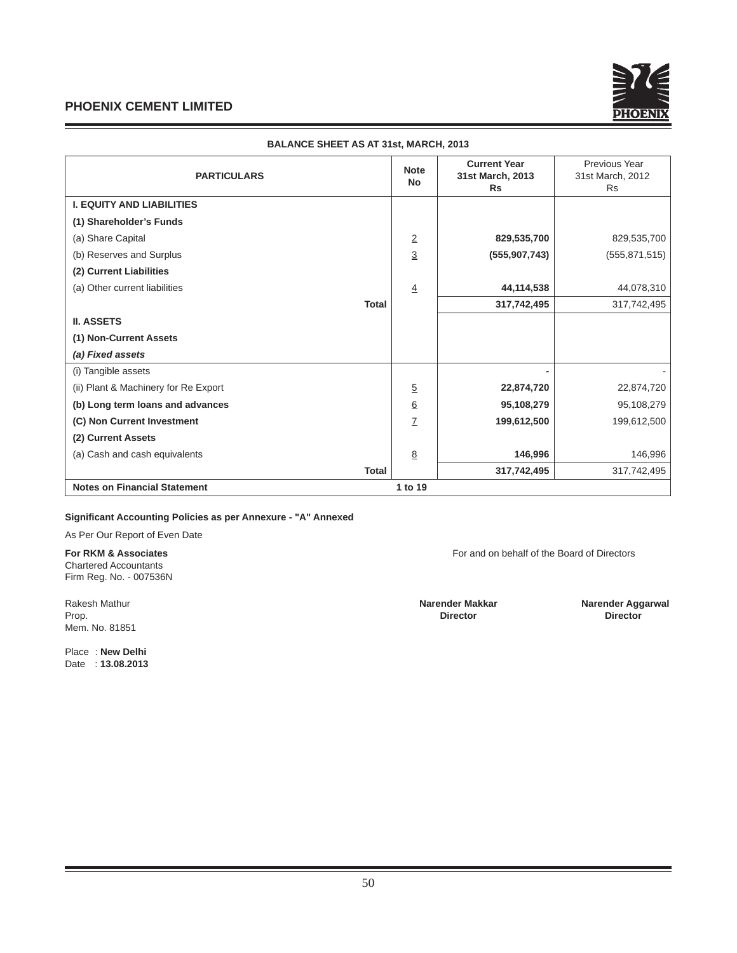

| <b>PARTICULARS</b>                   |              | <b>Note</b><br><b>No</b> | <b>Current Year</b><br>31st March, 2013<br><b>Rs</b> | Previous Year<br>31st March, 2012<br><b>Rs</b> |
|--------------------------------------|--------------|--------------------------|------------------------------------------------------|------------------------------------------------|
| <b>I. EQUITY AND LIABILITIES</b>     |              |                          |                                                      |                                                |
| (1) Shareholder's Funds              |              |                          |                                                      |                                                |
| (a) Share Capital                    |              | $\overline{2}$           | 829,535,700                                          | 829,535,700                                    |
| (b) Reserves and Surplus             |              | $\overline{3}$           | (555, 907, 743)                                      | (555, 871, 515)                                |
| (2) Current Liabilities              |              |                          |                                                      |                                                |
| (a) Other current liabilities        |              | $\overline{4}$           | 44,114,538                                           | 44,078,310                                     |
|                                      | <b>Total</b> |                          | 317,742,495                                          | 317,742,495                                    |
| <b>II. ASSETS</b>                    |              |                          |                                                      |                                                |
| (1) Non-Current Assets               |              |                          |                                                      |                                                |
| (a) Fixed assets                     |              |                          |                                                      |                                                |
| (i) Tangible assets                  |              |                          |                                                      |                                                |
| (ii) Plant & Machinery for Re Export |              | $\overline{5}$           | 22,874,720                                           | 22,874,720                                     |
| (b) Long term loans and advances     |              | $\underline{6}$          | 95,108,279                                           | 95,108,279                                     |
| (C) Non Current Investment           |              | Z                        | 199,612,500                                          | 199,612,500                                    |
| (2) Current Assets                   |              |                          |                                                      |                                                |
| (a) Cash and cash equivalents        |              | 8                        | 146,996                                              | 146,996                                        |
|                                      | Total        |                          | 317,742,495                                          | 317,742,495                                    |
| <b>Notes on Financial Statement</b>  |              | 1 to 19                  |                                                      |                                                |

#### **BALANCE SHEET AS AT 31st, MARCH, 2013**

# **Signifi cant Accounting Policies as per Annexure - "A" Annexed**

As Per Our Report of Even Date

Chartered Accountants Firm Reg. No. - 007536N

Prop. **Director Director** Mem. No. 81851

Place : **New Delhi** Date : **13.08.2013**

**For RKM & Associates** For and on behalf of the Board of Directors

Rakesh Mathur **Narender Makkar Narender Aggarwal**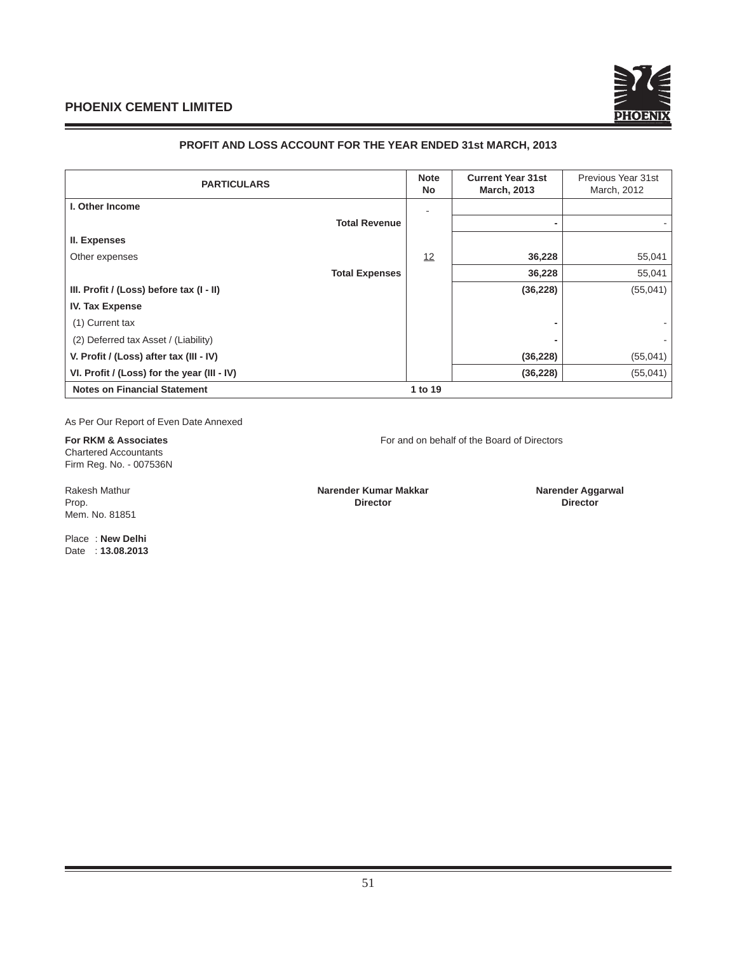

# **PROFIT AND LOSS ACCOUNT FOR THE YEAR ENDED 31st MARCH, 2013**

| <b>PARTICULARS</b>                          |         | <b>Current Year 31st</b><br><b>March, 2013</b> | Previous Year 31st<br>March, 2012 |
|---------------------------------------------|---------|------------------------------------------------|-----------------------------------|
| I. Other Income                             |         |                                                |                                   |
| <b>Total Revenue</b>                        |         |                                                |                                   |
| II. Expenses                                |         |                                                |                                   |
| Other expenses                              | 12      | 36,228                                         | 55,041                            |
| <b>Total Expenses</b>                       |         | 36,228                                         | 55,041                            |
| III. Profit / (Loss) before tax (I - II)    |         | (36, 228)                                      | (55,041)                          |
| <b>IV. Tax Expense</b>                      |         |                                                |                                   |
| (1) Current tax                             |         | -                                              |                                   |
| (2) Deferred tax Asset / (Liability)        |         |                                                |                                   |
| V. Profit / (Loss) after tax (III - IV)     |         | (36, 228)                                      | (55,041)                          |
| VI. Profit / (Loss) for the year (III - IV) |         | (36, 228)                                      | (55,041)                          |
| <b>Notes on Financial Statement</b>         | 1 to 19 |                                                |                                   |

As Per Our Report of Even Date Annexed

**For RKM & Associates For and on behalf of the Board of Directors** Chartered Accountants Firm Reg. No. - 007536N

Mem. No. 81851

Rakesh Mathur **Narender Kumar Makkar Narender Aggarwal Narender Aggarwal Narender Aggarwal Prop. Director** Prop. **Director Director**

Place : **New Delhi** Date : **13.08.2013**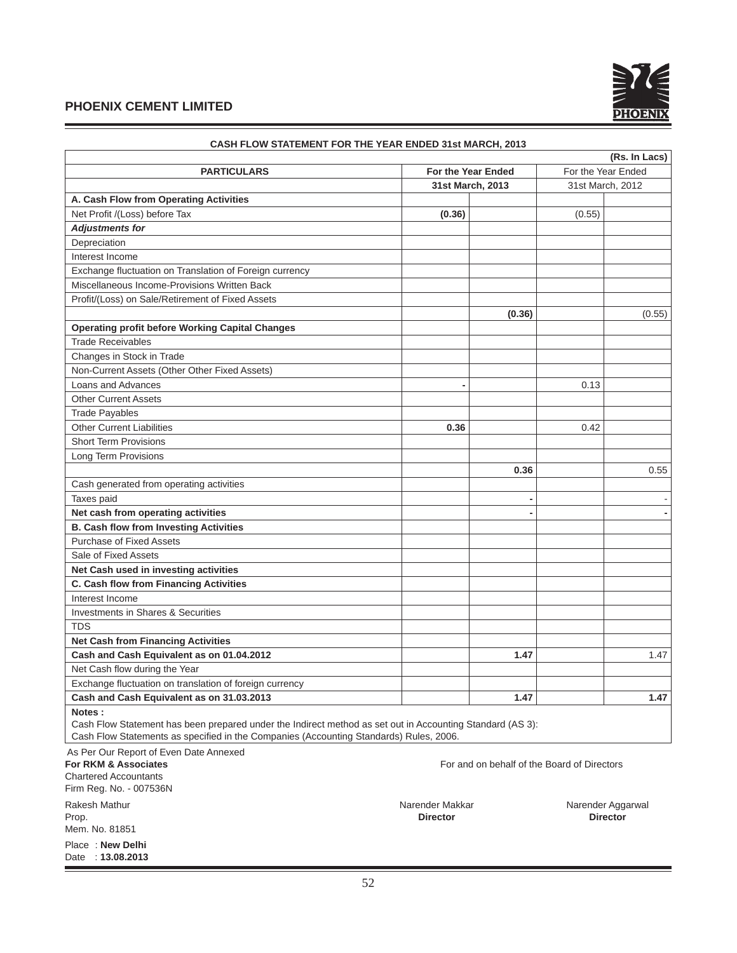

| <b>PARTICULARS</b>                                      | (Rs. In Lacs)<br>For the Year Ended<br>For the Year Ended |        |                  |        |  |
|---------------------------------------------------------|-----------------------------------------------------------|--------|------------------|--------|--|
|                                                         | 31st March, 2013                                          |        | 31st March, 2012 |        |  |
| A. Cash Flow from Operating Activities                  |                                                           |        |                  |        |  |
| Net Profit /(Loss) before Tax                           | (0.36)                                                    |        | (0.55)           |        |  |
| <b>Adjustments for</b>                                  |                                                           |        |                  |        |  |
| Depreciation                                            |                                                           |        |                  |        |  |
| Interest Income                                         |                                                           |        |                  |        |  |
| Exchange fluctuation on Translation of Foreign currency |                                                           |        |                  |        |  |
| Miscellaneous Income-Provisions Written Back            |                                                           |        |                  |        |  |
| Profit/(Loss) on Sale/Retirement of Fixed Assets        |                                                           |        |                  |        |  |
|                                                         |                                                           | (0.36) |                  | (0.55) |  |
| <b>Operating profit before Working Capital Changes</b>  |                                                           |        |                  |        |  |
| <b>Trade Receivables</b>                                |                                                           |        |                  |        |  |
| Changes in Stock in Trade                               |                                                           |        |                  |        |  |
| Non-Current Assets (Other Other Fixed Assets)           |                                                           |        |                  |        |  |
| Loans and Advances                                      |                                                           |        | 0.13             |        |  |
| <b>Other Current Assets</b>                             |                                                           |        |                  |        |  |
| <b>Trade Payables</b>                                   |                                                           |        |                  |        |  |
| <b>Other Current Liabilities</b>                        | 0.36                                                      |        | 0.42             |        |  |
| <b>Short Term Provisions</b>                            |                                                           |        |                  |        |  |
| Long Term Provisions                                    |                                                           |        |                  |        |  |
|                                                         |                                                           | 0.36   |                  | 0.55   |  |
| Cash generated from operating activities                |                                                           |        |                  |        |  |
| Taxes paid                                              |                                                           |        |                  |        |  |
| Net cash from operating activities                      |                                                           |        |                  |        |  |
| <b>B. Cash flow from Investing Activities</b>           |                                                           |        |                  |        |  |
| <b>Purchase of Fixed Assets</b>                         |                                                           |        |                  |        |  |
| Sale of Fixed Assets                                    |                                                           |        |                  |        |  |
| Net Cash used in investing activities                   |                                                           |        |                  |        |  |
| C. Cash flow from Financing Activities                  |                                                           |        |                  |        |  |
| Interest Income                                         |                                                           |        |                  |        |  |
| Investments in Shares & Securities                      |                                                           |        |                  |        |  |
| <b>TDS</b>                                              |                                                           |        |                  |        |  |
| <b>Net Cash from Financing Activities</b>               |                                                           |        |                  |        |  |
| Cash and Cash Equivalent as on 01.04.2012               |                                                           | 1.47   |                  | 1.47   |  |
| Net Cash flow during the Year                           |                                                           |        |                  |        |  |
| Exchange fluctuation on translation of foreign currency |                                                           |        |                  |        |  |
| Cash and Cash Equivalent as on 31.03.2013               |                                                           | 1.47   |                  | 1.47   |  |
| Notes:                                                  |                                                           |        |                  |        |  |

**CASH FLOW STATEMENT FOR THE YEAR ENDED 31st MARCH, 2013**

 Cash Flow Statement has been prepared under the Indirect method as set out in Accounting Standard (AS 3): Cash Flow Statements as specified in the Companies (Accounting Standards) Rules, 2006.

As Per Our Report of Even Date Annexed

**For RKM & Associates For and on behalf of the Board of Directors** Chartered Accountants Firm Reg. No. - 007536N

Prop. **Director Director** Mem. No. 81851

Place : **New Delhi** Date : **13.08.2013**

Rakesh Mathur Narender Makkar Narender Makkar Narender Makkar Narender Aggarwal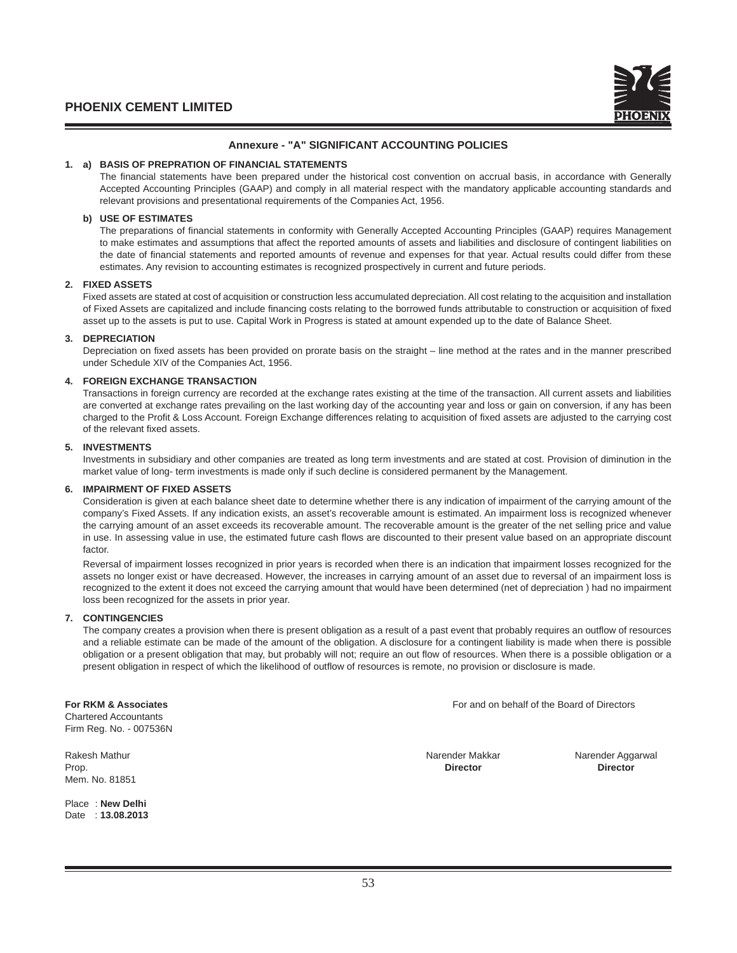## **Annexure - "A" SIGNIFICANT ACCOUNTING POLICIES**

## **1. a) BASIS OF PREPRATION OF FINANCIAL STATEMENTS**

The financial statements have been prepared under the historical cost convention on accrual basis, in accordance with Generally Accepted Accounting Principles (GAAP) and comply in all material respect with the mandatory applicable accounting standards and relevant provisions and presentational requirements of the Companies Act, 1956.

## **b) USE OF ESTIMATES**

The preparations of financial statements in conformity with Generally Accepted Accounting Principles (GAAP) requires Management to make estimates and assumptions that affect the reported amounts of assets and liabilities and disclosure of contingent liabilities on the date of financial statements and reported amounts of revenue and expenses for that year. Actual results could differ from these estimates. Any revision to accounting estimates is recognized prospectively in current and future periods.

## **2. FIXED ASSETS**

 Fixed assets are stated at cost of acquisition or construction less accumulated depreciation. All cost relating to the acquisition and installation of Fixed Assets are capitalized and include financing costs relating to the borrowed funds attributable to construction or acquisition of fixed asset up to the assets is put to use. Capital Work in Progress is stated at amount expended up to the date of Balance Sheet.

## **3. DEPRECIATION**

Depreciation on fixed assets has been provided on prorate basis on the straight – line method at the rates and in the manner prescribed under Schedule XIV of the Companies Act, 1956.

## **4. FOREIGN EXCHANGE TRANSACTION**

 Transactions in foreign currency are recorded at the exchange rates existing at the time of the transaction. All current assets and liabilities are converted at exchange rates prevailing on the last working day of the accounting year and loss or gain on conversion, if any has been charged to the Profit & Loss Account. Foreign Exchange differences relating to acquisition of fixed assets are adjusted to the carrying cost of the relevant fixed assets.

## **5. INVESTMENTS**

 Investments in subsidiary and other companies are treated as long term investments and are stated at cost. Provision of diminution in the market value of long- term investments is made only if such decline is considered permanent by the Management.

#### **6. IMPAIRMENT OF FIXED ASSETS**

 Consideration is given at each balance sheet date to determine whether there is any indication of impairment of the carrying amount of the company's Fixed Assets. If any indication exists, an asset's recoverable amount is estimated. An impairment loss is recognized whenever the carrying amount of an asset exceeds its recoverable amount. The recoverable amount is the greater of the net selling price and value in use. In assessing value in use, the estimated future cash flows are discounted to their present value based on an appropriate discount factor.

 Reversal of impairment losses recognized in prior years is recorded when there is an indication that impairment losses recognized for the assets no longer exist or have decreased. However, the increases in carrying amount of an asset due to reversal of an impairment loss is recognized to the extent it does not exceed the carrying amount that would have been determined (net of depreciation ) had no impairment loss been recognized for the assets in prior year.

#### **7. CONTINGENCIES**

The company creates a provision when there is present obligation as a result of a past event that probably requires an outflow of resources and a reliable estimate can be made of the amount of the obligation. A disclosure for a contingent liability is made when there is possible obligation or a present obligation that may, but probably will not; require an out flow of resources. When there is a possible obligation or a present obligation in respect of which the likelihood of outflow of resources is remote, no provision or disclosure is made.

Chartered Accountants Firm Reg. No. - 007536N

Prop. **Director Director** Mem. No. 81851

Place : **New Delhi** Date : **13.08.2013**

**For RKM & Associates** For and on behalf of the Board of Directors

Rakesh Mathur Narender Aggarwal Narender Makkar Narender Makkar Narender Aggarwal Narender Aggarwal Narender Aggarwal Narender Aggarwal Narender Aggarwal Narender Aggarwal Narender Aggarwal Narender Aggarwal Narender Aggar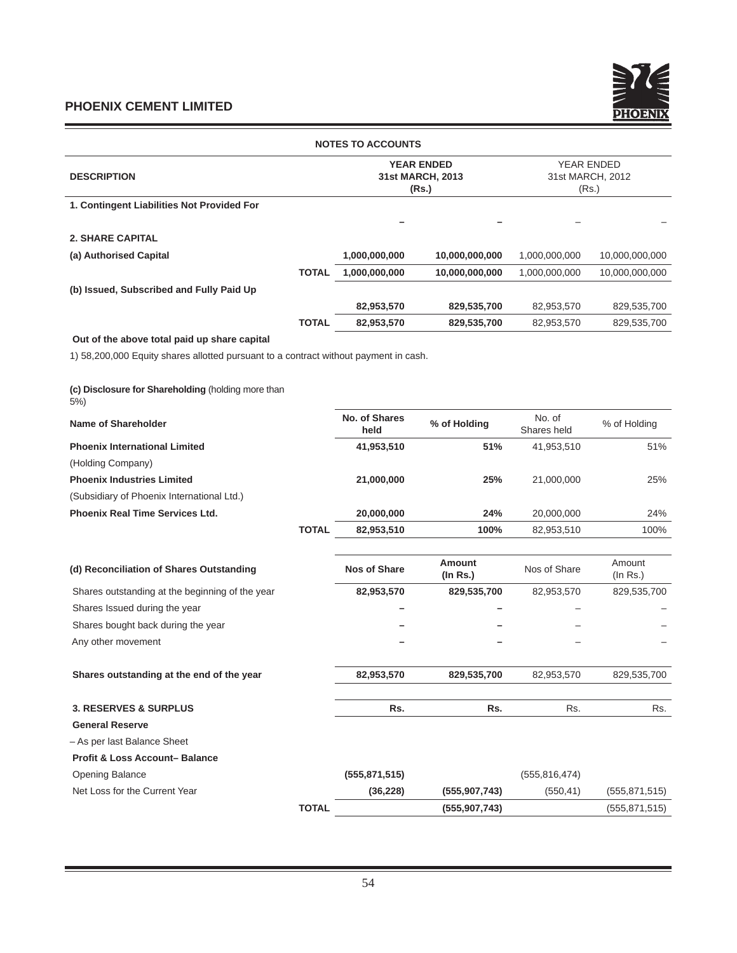

| <b>NOTES TO ACCOUNTS</b>                                                             |              |                              |                                                |                                         |                          |  |
|--------------------------------------------------------------------------------------|--------------|------------------------------|------------------------------------------------|-----------------------------------------|--------------------------|--|
| <b>DESCRIPTION</b>                                                                   |              |                              | <b>YEAR ENDED</b><br>31st MARCH, 2013<br>(Rs.) | YEAR ENDED<br>31st MARCH, 2012<br>(Rs.) |                          |  |
| 1. Contingent Liabilities Not Provided For                                           |              |                              |                                                |                                         |                          |  |
|                                                                                      |              |                              |                                                |                                         |                          |  |
| <b>2. SHARE CAPITAL</b>                                                              |              |                              |                                                |                                         |                          |  |
| (a) Authorised Capital                                                               |              | 1,000,000,000                | 10,000,000,000                                 | 1,000,000,000                           | 10,000,000,000           |  |
|                                                                                      | TOTAL        | 1,000,000,000                | 10,000,000,000                                 | 1,000,000,000                           | 10,000,000,000           |  |
| (b) Issued, Subscribed and Fully Paid Up                                             |              |                              |                                                |                                         |                          |  |
|                                                                                      |              | 82,953,570                   | 829,535,700                                    | 82,953,570                              | 829,535,700              |  |
|                                                                                      | <b>TOTAL</b> | 82,953,570                   | 829,535,700                                    | 82,953,570                              | 829,535,700              |  |
| Out of the above total paid up share capital                                         |              |                              |                                                |                                         |                          |  |
| 1) 58,200,000 Equity shares allotted pursuant to a contract without payment in cash. |              |                              |                                                |                                         |                          |  |
|                                                                                      |              |                              |                                                |                                         |                          |  |
| (c) Disclosure for Shareholding (holding more than<br>$5%$ )                         |              |                              |                                                |                                         |                          |  |
| <b>Name of Shareholder</b>                                                           |              | <b>No. of Shares</b><br>held | % of Holding                                   | No. of<br>Shares held                   | % of Holding             |  |
| <b>Phoenix International Limited</b>                                                 |              | 41,953,510                   | 51%                                            | 41,953,510                              | 51%                      |  |
| (Holding Company)                                                                    |              |                              |                                                |                                         |                          |  |
| <b>Phoenix Industries Limited</b>                                                    |              | 21,000,000                   | 25%                                            | 21,000,000                              | 25%                      |  |
| (Subsidiary of Phoenix International Ltd.)                                           |              |                              |                                                |                                         |                          |  |
| <b>Phoenix Real Time Services Ltd.</b>                                               |              | 20,000,000                   | 24%                                            | 20,000,000                              | 24%                      |  |
|                                                                                      | <b>TOTAL</b> | 82,953,510                   | 100%                                           | 82,953,510                              | 100%                     |  |
|                                                                                      |              |                              |                                                |                                         |                          |  |
| (d) Reconciliation of Shares Outstanding                                             |              | <b>Nos of Share</b>          | <b>Amount</b><br>(In Rs.)                      | Nos of Share                            | Amount<br>$($ ln Rs. $)$ |  |
| Shares outstanding at the beginning of the year                                      |              | 82,953,570                   | 829,535,700                                    | 82,953,570                              | 829,535,700              |  |
| Shares Issued during the year                                                        |              |                              |                                                |                                         |                          |  |
| Shares bought back during the year                                                   |              |                              |                                                |                                         |                          |  |
| Any other movement                                                                   |              |                              |                                                |                                         |                          |  |
|                                                                                      |              |                              |                                                |                                         |                          |  |
| Shares outstanding at the end of the year                                            |              | 82,953,570                   | 829,535,700                                    | 82,953,570                              | 829,535,700              |  |
|                                                                                      |              |                              |                                                |                                         |                          |  |
| <b>3. RESERVES &amp; SURPLUS</b>                                                     |              | Rs.                          | Rs.                                            | Rs.                                     | Rs.                      |  |
| <b>General Reserve</b>                                                               |              |                              |                                                |                                         |                          |  |
| - As per last Balance Sheet                                                          |              |                              |                                                |                                         |                          |  |
| <b>Profit &amp; Loss Account-Balance</b>                                             |              |                              |                                                |                                         |                          |  |
| Opening Balance                                                                      |              | (555, 871, 515)              |                                                | (555, 816, 474)                         |                          |  |
| Net Loss for the Current Year                                                        |              | (36, 228)                    | (555, 907, 743)                                | (550, 41)                               | (555, 871, 515)          |  |
|                                                                                      | <b>TOTAL</b> |                              | (555, 907, 743)                                |                                         | (555, 871, 515)          |  |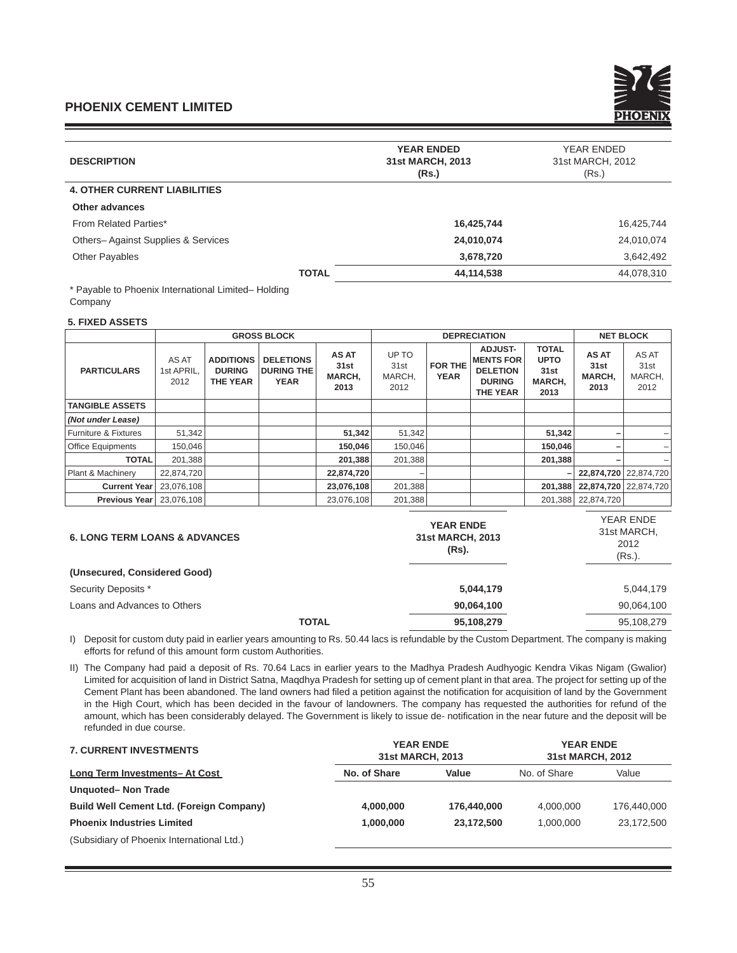

| <b>DESCRIPTION</b>                  | <b>YEAR ENDED</b><br>31st MARCH, 2013<br>(Rs.) | YEAR ENDED<br>31st MARCH, 2012<br>(Rs.) |  |
|-------------------------------------|------------------------------------------------|-----------------------------------------|--|
| <b>4. OTHER CURRENT LIABILITIES</b> |                                                |                                         |  |
| <b>Other advances</b>               |                                                |                                         |  |
| From Related Parties*               | 16,425,744                                     | 16,425,744                              |  |
| Others-Against Supplies & Services  | 24,010,074                                     | 24,010,074                              |  |
| <b>Other Payables</b>               | 3,678,720                                      | 3,642,492                               |  |
| <b>TOTAL</b>                        | 44,114,538                                     | 44,078,310                              |  |
|                                     |                                                |                                         |  |

\* Payable to Phoenix International Limited– Holding Company

## **5. FIXED ASSETS**

|                          |                             |                                                      | <b>GROSS BLOCK</b>                                   |                                        | <b>DEPRECIATION</b>             |                        |                                                                                           |                                                       | <b>NET BLOCK</b>                       |                                 |
|--------------------------|-----------------------------|------------------------------------------------------|------------------------------------------------------|----------------------------------------|---------------------------------|------------------------|-------------------------------------------------------------------------------------------|-------------------------------------------------------|----------------------------------------|---------------------------------|
| <b>PARTICULARS</b>       | AS AT<br>1st APRIL.<br>2012 | <b>ADDITIONS</b><br><b>DURING</b><br><b>THE YEAR</b> | <b>DELETIONS</b><br><b>DURING THE</b><br><b>YEAR</b> | <b>AS AT</b><br>31st<br>MARCH,<br>2013 | UP TO<br>31st<br>MARCH,<br>2012 | FOR THE<br><b>YEAR</b> | <b>ADJUST-</b><br><b>MENTS FOR</b><br><b>DELETION</b><br><b>DURING</b><br><b>THE YEAR</b> | <b>TOTAL</b><br><b>UPTO</b><br>31st<br>MARCH,<br>2013 | <b>AS AT</b><br>31st<br>MARCH,<br>2013 | AS AT<br>31st<br>MARCH,<br>2012 |
| <b>TANGIBLE ASSETS</b>   |                             |                                                      |                                                      |                                        |                                 |                        |                                                                                           |                                                       |                                        |                                 |
| (Not under Lease)        |                             |                                                      |                                                      |                                        |                                 |                        |                                                                                           |                                                       |                                        |                                 |
| Furniture & Fixtures     | 51,342                      |                                                      |                                                      | 51,342                                 | 51,342                          |                        |                                                                                           | 51,342                                                |                                        |                                 |
| <b>Office Equipments</b> | 150,046                     |                                                      |                                                      | 150,046                                | 150,046                         |                        |                                                                                           | 150,046                                               |                                        |                                 |
| <b>TOTAL</b>             | 201,388                     |                                                      |                                                      | 201,388                                | 201,388                         |                        |                                                                                           | 201,388                                               |                                        |                                 |
| Plant & Machinery        | 22,874,720                  |                                                      |                                                      | 22,874,720                             |                                 |                        |                                                                                           |                                                       |                                        | 22,874,720 22,874,720           |
| <b>Current Year</b>      | 23,076,108                  |                                                      |                                                      | 23,076,108                             | 201,388                         |                        |                                                                                           | 201.388                                               |                                        | 22.874.720 22.874.720           |
| <b>Previous Year</b>     | 23,076,108                  |                                                      |                                                      | 23,076,108                             | 201,388                         |                        |                                                                                           | 201,388                                               | 22,874,720                             |                                 |
|                          |                             |                                                      |                                                      |                                        |                                 |                        |                                                                                           |                                                       |                                        | $1/7$ $1 \nabla$ $1 \nabla$     |

| <b>YEAR ENDE</b><br>31st MARCH, 2013<br>(Rs). | YEAR ENDE<br>31st MARCH,<br>2012<br>$(Rs.)$ . |
|-----------------------------------------------|-----------------------------------------------|
|                                               |                                               |
| 5,044,179                                     | 5,044,179                                     |
| 90,064,100                                    | 90,064,100                                    |
| 95,108,279                                    | 95,108,279                                    |
|                                               |                                               |

I) Deposit for custom duty paid in earlier years amounting to Rs. 50.44 lacs is refundable by the Custom Department. The company is making efforts for refund of this amount form custom Authorities.

II) The Company had paid a deposit of Rs. 70.64 Lacs in earlier years to the Madhya Pradesh Audhyogic Kendra Vikas Nigam (Gwalior) Limited for acquisition of land in District Satna, Maqdhya Pradesh for setting up of cement plant in that area. The project for setting up of the Cement Plant has been abandoned. The land owners had filed a petition against the notification for acquisition of land by the Government in the High Court, which has been decided in the favour of landowners. The company has requested the authorities for refund of the amount, which has been considerably delayed. The Government is likely to issue de- notification in the near future and the deposit will be refunded in due course.

| <b>7. CURRENT INVESTMENTS</b>                   | <b>YEAR ENDE</b><br>31st MARCH, 2013 |             | <b>YEAR ENDE</b><br>31st MARCH, 2012 |             |
|-------------------------------------------------|--------------------------------------|-------------|--------------------------------------|-------------|
| <b>Long Term Investments-At Cost</b>            | No. of Share                         | Value       | No. of Share                         | Value       |
| Unquoted-Non Trade                              |                                      |             |                                      |             |
| <b>Build Well Cement Ltd. (Foreign Company)</b> | 4.000.000                            | 176,440,000 | 4.000.000                            | 176,440,000 |
| <b>Phoenix Industries Limited</b>               | 1.000.000                            | 23.172.500  | 1.000.000                            | 23,172,500  |
| (Subsidiary of Phoenix International Ltd.)      |                                      |             |                                      |             |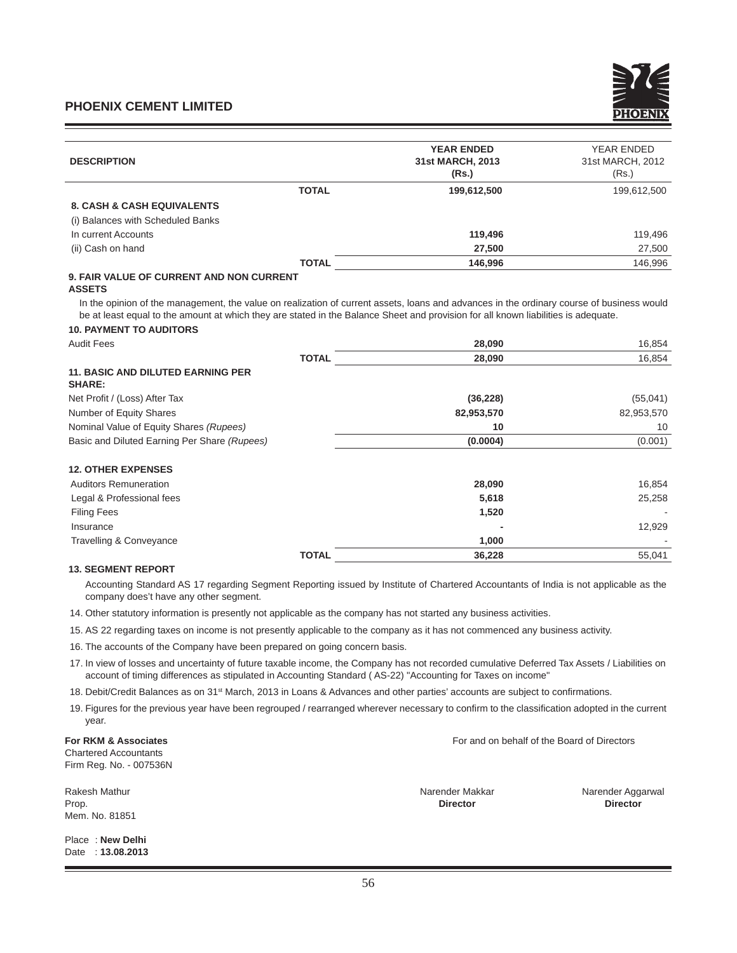| <b>DESCRIPTION</b>                                        |              | <b>YEAR ENDED</b><br>31st MARCH, 2013<br>(Rs.) | YEAR ENDED<br>31st MARCH, 2012<br>(Rs.) |
|-----------------------------------------------------------|--------------|------------------------------------------------|-----------------------------------------|
|                                                           | <b>TOTAL</b> | 199,612,500                                    | 199,612,500                             |
| <b>8. CASH &amp; CASH EQUIVALENTS</b>                     |              |                                                |                                         |
| (i) Balances with Scheduled Banks                         |              |                                                |                                         |
| In current Accounts                                       |              | 119,496                                        | 119,496                                 |
| (ii) Cash on hand                                         |              | 27,500                                         | 27,500                                  |
|                                                           | <b>TOTAL</b> | 146,996                                        | 146,996                                 |
| $\sim$ Film $\sim$ i.i. af alimnetic itin tiall alimnetic |              |                                                |                                         |

#### **9. FAIR VALUE OF CURRENT AND NON CURRENT ASSETS**

In the opinion of the management, the value on realization of current assets, loans and advances in the ordinary course of business would be at least equal to the amount at which they are stated in the Balance Sheet and provision for all known liabilities is adequate.

# **10. PAYMENT TO AUDITORS**

| <b>Audit Fees</b>                                         |              | 28,090     | 16,854     |
|-----------------------------------------------------------|--------------|------------|------------|
|                                                           | <b>TOTAL</b> | 28,090     | 16,854     |
| <b>11. BASIC AND DILUTED EARNING PER</b><br><b>SHARE:</b> |              |            |            |
| Net Profit / (Loss) After Tax                             |              | (36, 228)  | (55,041)   |
| Number of Equity Shares                                   |              | 82,953,570 | 82,953,570 |
| Nominal Value of Equity Shares (Rupees)                   |              | 10         | 10         |
| Basic and Diluted Earning Per Share (Rupees)              |              | (0.0004)   | (0.001)    |
| <b>12. OTHER EXPENSES</b>                                 |              |            |            |
| <b>Auditors Remuneration</b>                              |              | 28,090     | 16,854     |
| Legal & Professional fees                                 |              | 5,618      | 25,258     |
| <b>Filing Fees</b>                                        |              | 1,520      |            |
| Insurance                                                 |              |            | 12,929     |
| Travelling & Conveyance                                   |              | 1,000      |            |
|                                                           | <b>TOTAL</b> | 36,228     | 55,041     |

# **13. SEGMENT REPORT**

Accounting Standard AS 17 regarding Segment Reporting issued by Institute of Chartered Accountants of India is not applicable as the company does't have any other segment.

- 14. Other statutory information is presently not applicable as the company has not started any business activities.
- 15. AS 22 regarding taxes on income is not presently applicable to the company as it has not commenced any business activity.
- 16. The accounts of the Company have been prepared on going concern basis.
- 17. In view of losses and uncertainty of future taxable income, the Company has not recorded cumulative Deferred Tax Assets / Liabilities on account of timing differences as stipulated in Accounting Standard ( AS-22) "Accounting for Taxes on income"
- 18. Debit/Credit Balances as on 31<sup>st</sup> March, 2013 in Loans & Advances and other parties' accounts are subject to confirmations.
- 19. Figures for the previous year have been regrouped / rearranged wherever necessary to confirm to the classification adopted in the current year.

**For RKM & Associates** For and on behalf of the Board of Directors Chartered Accountants

Firm Reg. No. - 007536N

Prop. **Director Director** Mem. No. 81851

Place : **New Delhi** Date : **13.08.2013**

Rakesh Mathur Narender Aggarwal Narender Makkar Narender Makkar Narender Aggarwal Narender Aggarwal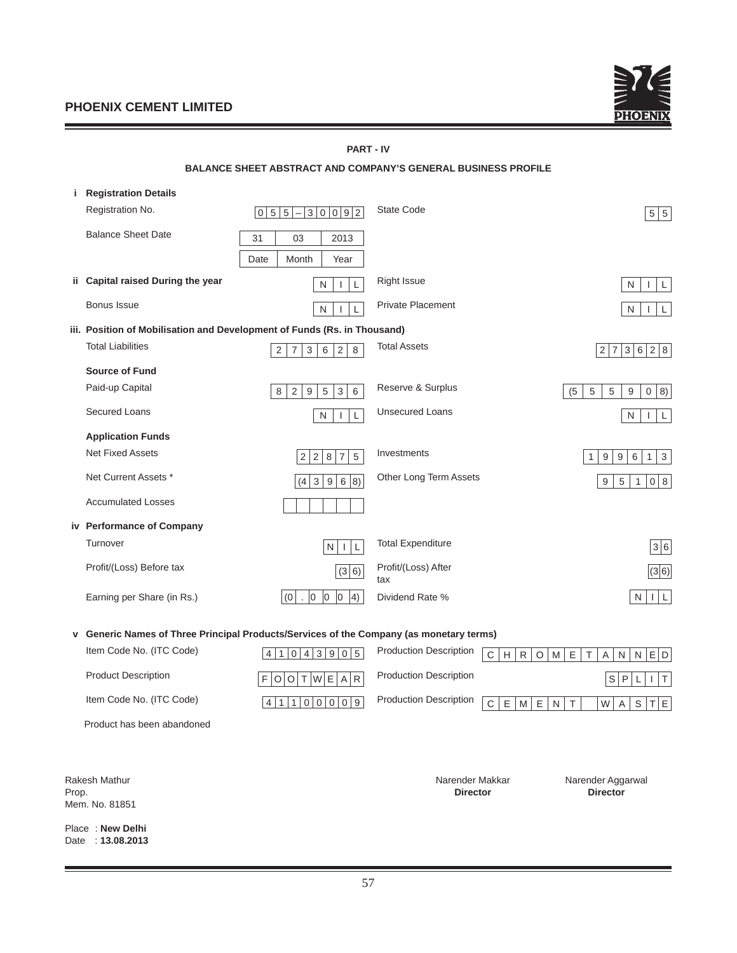

# **PART - IV**

|     | <b>BALANCE SHEET ABSTRACT AND COMPANY'S GENERAL BUSINESS PROFILE</b>     |                                                                                            |                            |                                             |  |
|-----|--------------------------------------------------------------------------|--------------------------------------------------------------------------------------------|----------------------------|---------------------------------------------|--|
| i.  | <b>Registration Details</b>                                              |                                                                                            |                            |                                             |  |
|     | Registration No.                                                         | 3 0 0 9 2<br> 0 5 5<br>$\qquad \qquad -$                                                   | State Code                 | 5 5                                         |  |
|     | <b>Balance Sheet Date</b>                                                | 31<br>03<br>2013                                                                           |                            |                                             |  |
|     |                                                                          | Date<br>Month<br>Year                                                                      |                            |                                             |  |
| ii. | Capital raised During the year                                           | N<br>L<br>$\mathbf{I}$                                                                     | <b>Right Issue</b>         | N<br>$\mathbf{I}$                           |  |
|     | <b>Bonus Issue</b>                                                       | ${\sf N}$<br>L<br>$\mathbf{I}$                                                             | <b>Private Placement</b>   | N<br>$\mathbf{I}$                           |  |
|     | iii. Position of Mobilisation and Development of Funds (Rs. in Thousand) |                                                                                            |                            |                                             |  |
|     | <b>Total Liabilities</b>                                                 | $\mathbf{3}$<br>$6\overline{6}$<br>$\overline{2}$<br>$\overline{7}$<br>$\overline{2}$<br>8 | <b>Total Assets</b>        | 2 8<br>2 7 <br>3 6                          |  |
|     | <b>Source of Fund</b>                                                    |                                                                                            |                            |                                             |  |
|     | Paid-up Capital                                                          | 8<br>$\sqrt{2}$<br>$\boldsymbol{9}$<br>$\,$ 5 $\,$<br>$\,$ 3 $\,$<br>$\,6\,$               | Reserve & Surplus          | (5)<br>$\sqrt{5}$<br>5<br>0   8)<br>$9\,$   |  |
|     | <b>Secured Loans</b>                                                     | N<br>L<br>I.                                                                               | <b>Unsecured Loans</b>     | N<br>L<br>$\mathbf{L}$                      |  |
|     | <b>Application Funds</b>                                                 |                                                                                            |                            |                                             |  |
|     | <b>Net Fixed Assets</b>                                                  | $\sqrt{5}$<br>$\overline{2}$<br>8<br>7 <sup>1</sup><br>$\overline{2}$                      | Investments                | $\,6\,$<br>$\mathbf{3}$<br>9<br>9<br>1<br>1 |  |
|     | Net Current Assets *                                                     | 3 9 <br>6 8)<br>(4)                                                                        | Other Long Term Assets     | 0 8 <br>9<br>5<br>$\mathbf{1}$              |  |
|     | <b>Accumulated Losses</b>                                                |                                                                                            |                            |                                             |  |
|     | iv Performance of Company                                                |                                                                                            |                            |                                             |  |
|     | Turnover                                                                 | N<br>L<br>$\mathbf{I}$                                                                     | <b>Total Expenditure</b>   | 3 6                                         |  |
|     | Profit/(Loss) Before tax                                                 | (3 6)                                                                                      | Profit/(Loss) After<br>tax | (3 6)                                       |  |
|     | Earning per Share (in Rs.)                                               | $ 0\rangle$<br>0<br>10<br>$ 4\rangle$<br>(0)<br>$\mathbf{r}$                               | Dividend Rate %            | N                                           |  |

**v Generic Names of Three Principal Products/Services of the Company (as monetary terms)**

| Item Code No. (ITC Code) |                                          | $41043905$ Production Description $CHHROMPETTAPNPED$                                             |
|--------------------------|------------------------------------------|--------------------------------------------------------------------------------------------------|
| Product Description      | $F$ O O T W E A R Production Description | $S$ $PL$ $I$ $T$                                                                                 |
| Item Code No. (ITC Code) |                                          | $\boxed{4 1 1 0 0 0 0 9}$ Production Description $\boxed{C \ E  M  E  N T}$ $\boxed{W  A S T E}$ |

Product has been abandoned

Mem. No. 81851

Place : **New Delhi** Date : **13.08.2013**

Prop. **Director Director**

Rakesh Mathur Narender Makkar Narender Makkar Narender Aggarwal<br>Prop. **Narender Aggarwal** Director **Narender Aggarwal**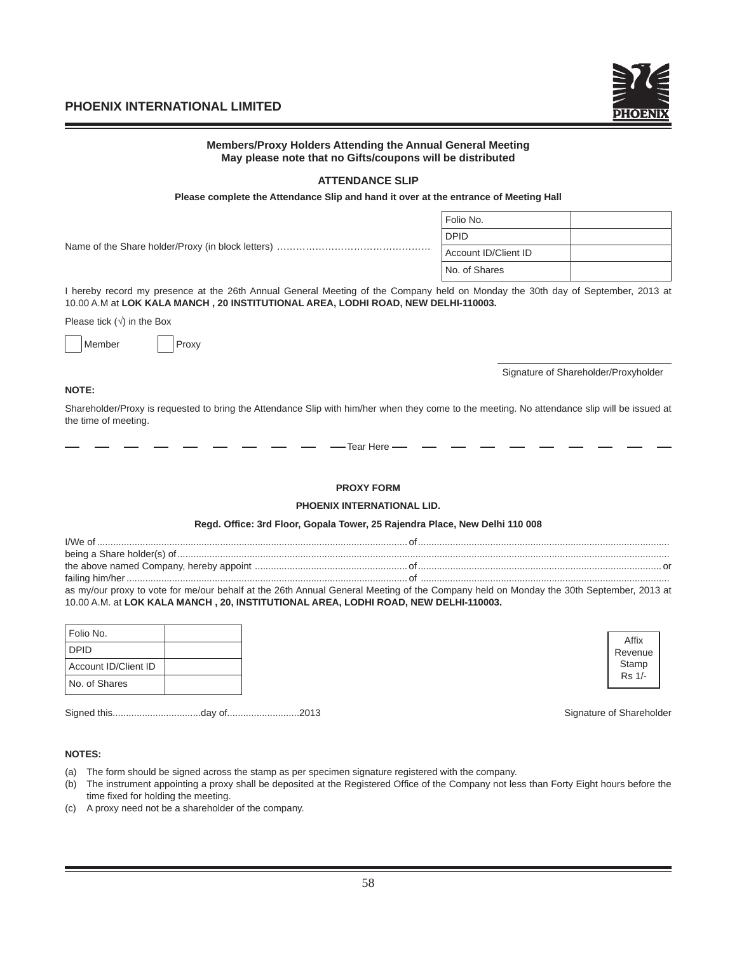

| Members/Proxy Holders Attending the Annual General Meeting<br>May please note that no Gifts/coupons will be distributed                                                                                                       |                      |                                      |
|-------------------------------------------------------------------------------------------------------------------------------------------------------------------------------------------------------------------------------|----------------------|--------------------------------------|
| <b>ATTENDANCE SLIP</b>                                                                                                                                                                                                        |                      |                                      |
| Please complete the Attendance Slip and hand it over at the entrance of Meeting Hall                                                                                                                                          |                      |                                      |
|                                                                                                                                                                                                                               | Folio No.            |                                      |
|                                                                                                                                                                                                                               | <b>DPID</b>          |                                      |
|                                                                                                                                                                                                                               | Account ID/Client ID |                                      |
|                                                                                                                                                                                                                               | No. of Shares        |                                      |
| I hereby record my presence at the 26th Annual General Meeting of the Company held on Monday the 30th day of September, 2013 at<br>10.00 A.M at LOK KALA MANCH, 20 INSTITUTIONAL AREA, LODHI ROAD, NEW DELHI-110003.          |                      |                                      |
| Please tick $(\sqrt{})$ in the Box                                                                                                                                                                                            |                      |                                      |
| Member<br>Proxy                                                                                                                                                                                                               |                      |                                      |
|                                                                                                                                                                                                                               |                      | Signature of Shareholder/Proxyholder |
| <b>NOTE:</b>                                                                                                                                                                                                                  |                      |                                      |
| Shareholder/Proxy is requested to bring the Attendance Slip with him/her when they come to the meeting. No attendance slip will be issued at<br>the time of meeting.                                                          |                      |                                      |
| - Tear Here -                                                                                                                                                                                                                 |                      |                                      |
| <b>PROXY FORM</b>                                                                                                                                                                                                             |                      |                                      |
| PHOENIX INTERNATIONAL LID.                                                                                                                                                                                                    |                      |                                      |
| Regd. Office: 3rd Floor, Gopala Tower, 25 Rajendra Place, New Delhi 110 008                                                                                                                                                   |                      |                                      |
|                                                                                                                                                                                                                               |                      |                                      |
|                                                                                                                                                                                                                               |                      |                                      |
| as my/our proxy to vote for me/our behalf at the 26th Annual General Meeting of the Company held on Monday the 30th September, 2013 at<br>10.00 A.M. at LOK KALA MANCH, 20, INSTITUTIONAL AREA, LODHI ROAD, NEW DELHI-110003. |                      |                                      |
| e e se                                                                                                                                                                                                                        |                      |                                      |

| Folio No.            |  | Affix  |
|----------------------|--|--------|
| <b>DPID</b>          |  | Revent |
| Account ID/Client ID |  | Stamp  |
| No. of Shares        |  | Rs 1/- |
|                      |  |        |

Signed this.................................day of...........................2013 Signature of Shareholder

Revenue Stamp Rs 1/-

# **NOTES:**

- (a) The form should be signed across the stamp as per specimen signature registered with the company.
- (b) The instrument appointing a proxy shall be deposited at the Registered Office of the Company not less than Forty Eight hours before the time fixed for holding the meeting.
- (c) A proxy need not be a shareholder of the company.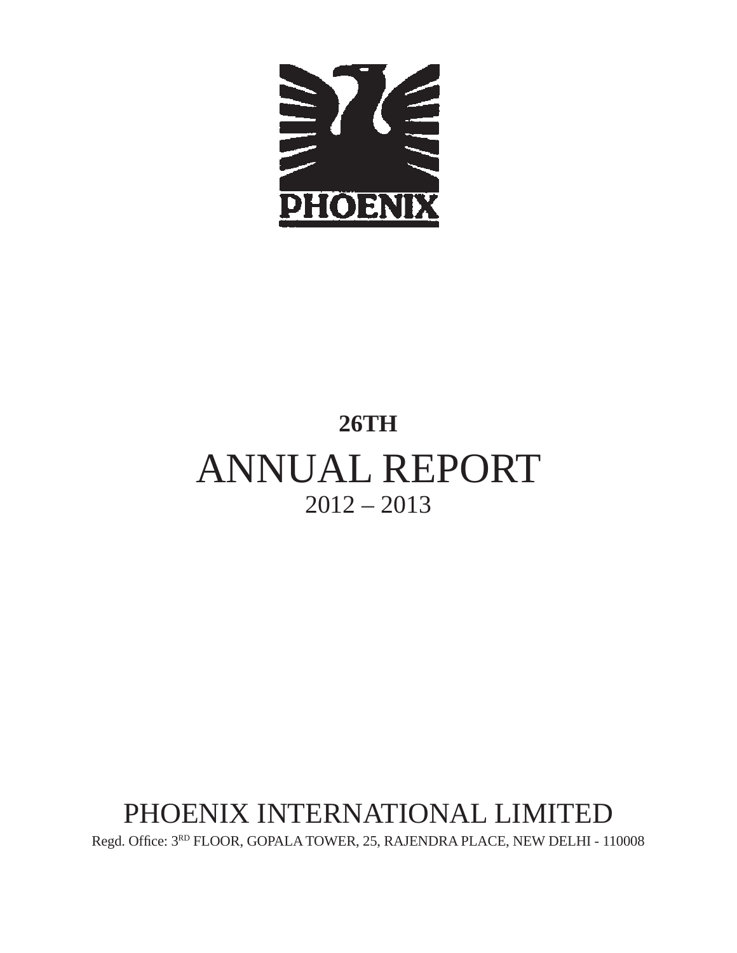

# **26TH** ANNUAL REPORT  $2012 - 2013$

# PHOENIX INTERNATIONAL LIMITED

Regd. Office:  $3^{RD}$  FLOOR, GOPALA TOWER, 25, RAJENDRA PLACE, NEW DELHI - 110008